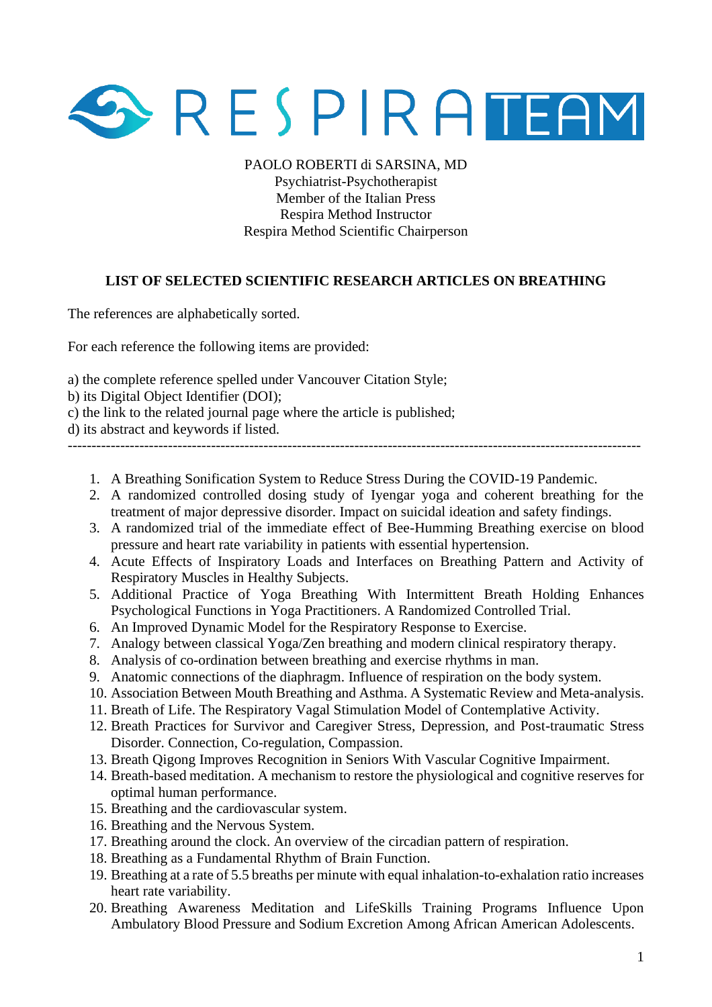# **SARESPIRATEAM**

#### PAOLO ROBERTI di SARSINA, MD Psychiatrist-Psychotherapist Member of the Italian Press Respira Method Instructor Respira Method Scientific Chairperson

## **LIST OF SELECTED SCIENTIFIC RESEARCH ARTICLES ON BREATHING**

The references are alphabetically sorted.

For each reference the following items are provided:

a) the complete reference spelled under Vancouver Citation Style;

b) its Digital Object Identifier (DOI);

c) the link to the related journal page where the article is published;

d) its abstract and keywords if listed.

------------------------------------------------------------------------------------------------------------------------

- 1. A Breathing Sonification System to Reduce Stress During the COVID-19 Pandemic.
- 2. A randomized controlled dosing study of Iyengar yoga and coherent breathing for the treatment of major depressive disorder. Impact on suicidal ideation and safety findings.
- 3. A randomized trial of the immediate effect of Bee-Humming Breathing exercise on blood pressure and heart rate variability in patients with essential hypertension.
- 4. Acute Effects of Inspiratory Loads and Interfaces on Breathing Pattern and Activity of Respiratory Muscles in Healthy Subjects.
- 5. Additional Practice of Yoga Breathing With Intermittent Breath Holding Enhances Psychological Functions in Yoga Practitioners. A Randomized Controlled Trial.
- 6. An Improved Dynamic Model for the Respiratory Response to Exercise.
- 7. Analogy between classical Yoga/Zen breathing and modern clinical respiratory therapy.
- 8. Analysis of co-ordination between breathing and exercise rhythms in man.
- 9. Anatomic connections of the diaphragm. Influence of respiration on the body system.
- 10. Association Between Mouth Breathing and Asthma. A Systematic Review and Meta-analysis.
- 11. Breath of Life. The Respiratory Vagal Stimulation Model of Contemplative Activity.
- 12. Breath Practices for Survivor and Caregiver Stress, Depression, and Post-traumatic Stress Disorder. Connection, Co-regulation, Compassion.
- 13. Breath Qigong Improves Recognition in Seniors With Vascular Cognitive Impairment.
- 14. Breath-based meditation. A mechanism to restore the physiological and cognitive reserves for optimal human performance.
- 15. Breathing and the cardiovascular system.
- 16. Breathing and the Nervous System.
- 17. Breathing around the clock. An overview of the circadian pattern of respiration.
- 18. Breathing as a Fundamental Rhythm of Brain Function.
- 19. Breathing at a rate of 5.5 breaths per minute with equal inhalation-to-exhalation ratio increases heart rate variability.
- 20. Breathing Awareness Meditation and LifeSkills Training Programs Influence Upon Ambulatory Blood Pressure and Sodium Excretion Among African American Adolescents.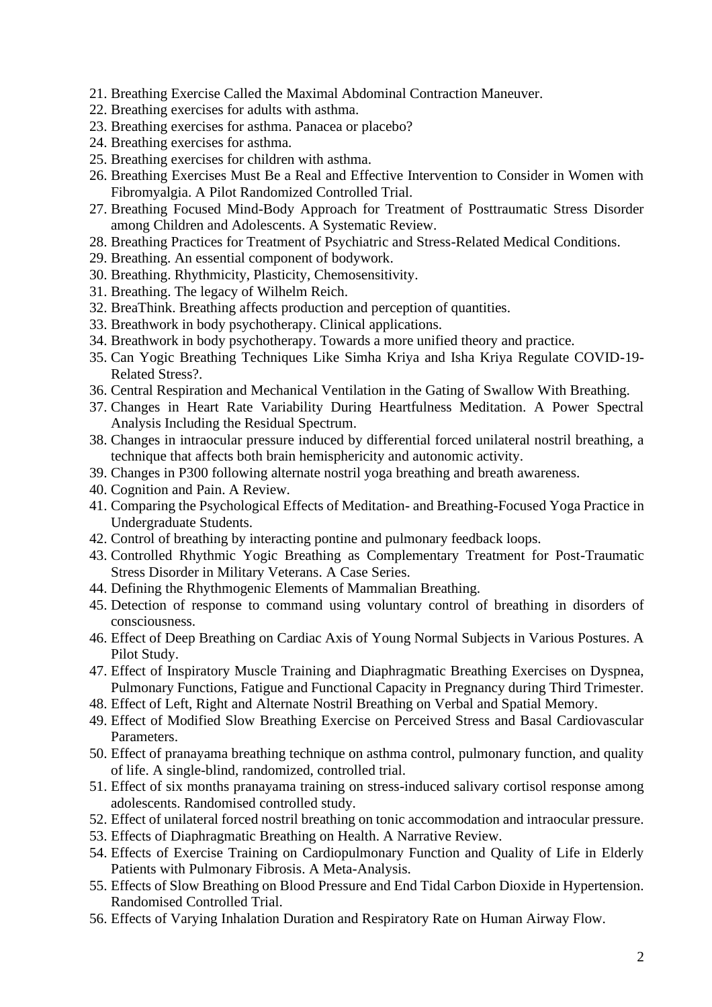- 21. Breathing Exercise Called the Maximal Abdominal Contraction Maneuver.
- 22. Breathing exercises for adults with asthma.
- 23. Breathing exercises for asthma. Panacea or placebo?
- 24. Breathing exercises for asthma.
- 25. Breathing exercises for children with asthma.
- 26. Breathing Exercises Must Be a Real and Effective Intervention to Consider in Women with Fibromyalgia. A Pilot Randomized Controlled Trial.
- 27. Breathing Focused Mind-Body Approach for Treatment of Posttraumatic Stress Disorder among Children and Adolescents. A Systematic Review.
- 28. Breathing Practices for Treatment of Psychiatric and Stress-Related Medical Conditions.
- 29. Breathing. An essential component of bodywork.
- 30. Breathing. Rhythmicity, Plasticity, Chemosensitivity.
- 31. Breathing. The legacy of Wilhelm Reich.
- 32. BreaThink. Breathing affects production and perception of quantities.
- 33. Breathwork in body psychotherapy. Clinical applications.
- 34. Breathwork in body psychotherapy. Towards a more unified theory and practice.
- 35. Can Yogic Breathing Techniques Like Simha Kriya and Isha Kriya Regulate COVID-19- Related Stress?.
- 36. Central Respiration and Mechanical Ventilation in the Gating of Swallow With Breathing.
- 37. Changes in Heart Rate Variability During Heartfulness Meditation. A Power Spectral Analysis Including the Residual Spectrum.
- 38. Changes in intraocular pressure induced by differential forced unilateral nostril breathing, a technique that affects both brain hemisphericity and autonomic activity.
- 39. Changes in P300 following alternate nostril yoga breathing and breath awareness.
- 40. Cognition and Pain. A Review.
- 41. Comparing the Psychological Effects of Meditation- and Breathing-Focused Yoga Practice in Undergraduate Students.
- 42. Control of breathing by interacting pontine and pulmonary feedback loops.
- 43. Controlled Rhythmic Yogic Breathing as Complementary Treatment for Post-Traumatic Stress Disorder in Military Veterans. A Case Series.
- 44. Defining the Rhythmogenic Elements of Mammalian Breathing.
- 45. Detection of response to command using voluntary control of breathing in disorders of consciousness.
- 46. Effect of Deep Breathing on Cardiac Axis of Young Normal Subjects in Various Postures. A Pilot Study.
- 47. Effect of Inspiratory Muscle Training and Diaphragmatic Breathing Exercises on Dyspnea, Pulmonary Functions, Fatigue and Functional Capacity in Pregnancy during Third Trimester.
- 48. Effect of Left, Right and Alternate Nostril Breathing on Verbal and Spatial Memory.
- 49. Effect of Modified Slow Breathing Exercise on Perceived Stress and Basal Cardiovascular Parameters.
- 50. Effect of pranayama breathing technique on asthma control, pulmonary function, and quality of life. A single-blind, randomized, controlled trial.
- 51. Effect of six months pranayama training on stress-induced salivary cortisol response among adolescents. Randomised controlled study.
- 52. Effect of unilateral forced nostril breathing on tonic accommodation and intraocular pressure.
- 53. Effects of Diaphragmatic Breathing on Health. A Narrative Review.
- 54. Effects of Exercise Training on Cardiopulmonary Function and Quality of Life in Elderly Patients with Pulmonary Fibrosis. A Meta-Analysis.
- 55. Effects of Slow Breathing on Blood Pressure and End Tidal Carbon Dioxide in Hypertension. Randomised Controlled Trial.
- 56. Effects of Varying Inhalation Duration and Respiratory Rate on Human Airway Flow.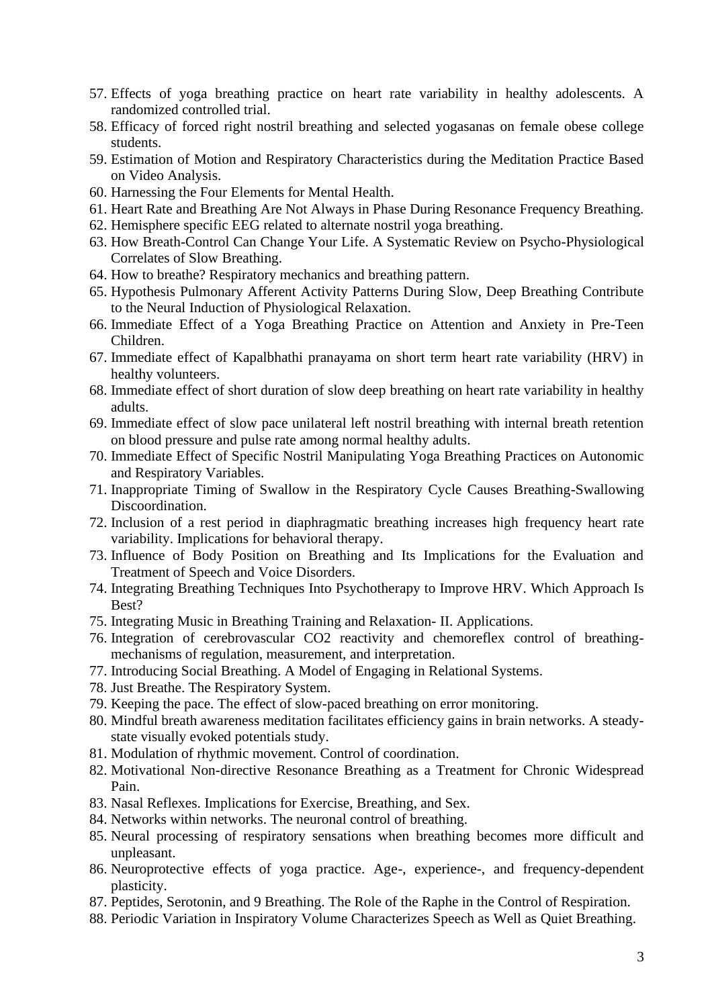- 57. Effects of yoga breathing practice on heart rate variability in healthy adolescents. A randomized controlled trial.
- 58. Efficacy of forced right nostril breathing and selected yogasanas on female obese college students.
- 59. Estimation of Motion and Respiratory Characteristics during the Meditation Practice Based on Video Analysis.
- 60. Harnessing the Four Elements for Mental Health.
- 61. Heart Rate and Breathing Are Not Always in Phase During Resonance Frequency Breathing.
- 62. Hemisphere specific EEG related to alternate nostril yoga breathing.
- 63. How Breath-Control Can Change Your Life. A Systematic Review on Psycho-Physiological Correlates of Slow Breathing.
- 64. How to breathe? Respiratory mechanics and breathing pattern.
- 65. Hypothesis Pulmonary Afferent Activity Patterns During Slow, Deep Breathing Contribute to the Neural Induction of Physiological Relaxation.
- 66. Immediate Effect of a Yoga Breathing Practice on Attention and Anxiety in Pre-Teen Children.
- 67. Immediate effect of Kapalbhathi pranayama on short term heart rate variability (HRV) in healthy volunteers.
- 68. Immediate effect of short duration of slow deep breathing on heart rate variability in healthy adults.
- 69. Immediate effect of slow pace unilateral left nostril breathing with internal breath retention on blood pressure and pulse rate among normal healthy adults.
- 70. Immediate Effect of Specific Nostril Manipulating Yoga Breathing Practices on Autonomic and Respiratory Variables.
- 71. Inappropriate Timing of Swallow in the Respiratory Cycle Causes Breathing-Swallowing Discoordination.
- 72. Inclusion of a rest period in diaphragmatic breathing increases high frequency heart rate variability. Implications for behavioral therapy.
- 73. Influence of Body Position on Breathing and Its Implications for the Evaluation and Treatment of Speech and Voice Disorders.
- 74. Integrating Breathing Techniques Into Psychotherapy to Improve HRV. Which Approach Is Best?
- 75. Integrating Music in Breathing Training and Relaxation- II. Applications.
- 76. Integration of cerebrovascular CO2 reactivity and chemoreflex control of breathingmechanisms of regulation, measurement, and interpretation.
- 77. Introducing Social Breathing. A Model of Engaging in Relational Systems.
- 78. Just Breathe. The Respiratory System.
- 79. Keeping the pace. The effect of slow-paced breathing on error monitoring.
- 80. Mindful breath awareness meditation facilitates efficiency gains in brain networks. A steadystate visually evoked potentials study.
- 81. Modulation of rhythmic movement. Control of coordination.
- 82. Motivational Non-directive Resonance Breathing as a Treatment for Chronic Widespread Pain.
- 83. Nasal Reflexes. Implications for Exercise, Breathing, and Sex.
- 84. Networks within networks. The neuronal control of breathing.
- 85. Neural processing of respiratory sensations when breathing becomes more difficult and unpleasant.
- 86. Neuroprotective effects of yoga practice. Age-, experience-, and frequency-dependent plasticity.
- 87. Peptides, Serotonin, and 9 Breathing. The Role of the Raphe in the Control of Respiration.
- 88. Periodic Variation in Inspiratory Volume Characterizes Speech as Well as Quiet Breathing.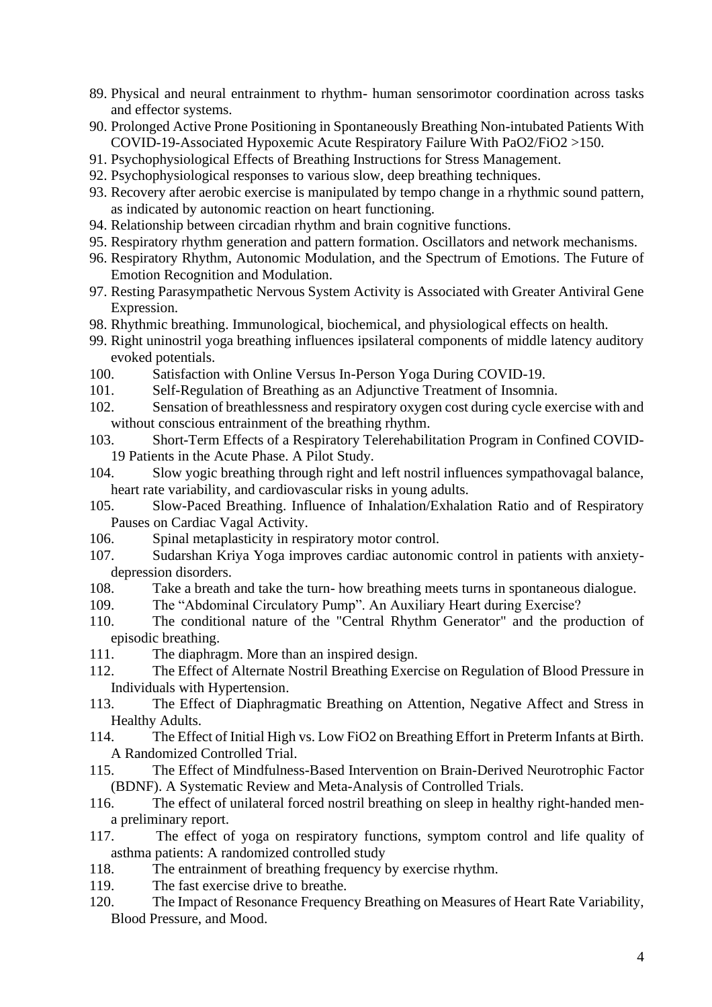- 89. Physical and neural entrainment to rhythm- human sensorimotor coordination across tasks and effector systems.
- 90. Prolonged Active Prone Positioning in Spontaneously Breathing Non-intubated Patients With COVID-19-Associated Hypoxemic Acute Respiratory Failure With PaO2/FiO2 >150.
- 91. Psychophysiological Effects of Breathing Instructions for Stress Management.
- 92. Psychophysiological responses to various slow, deep breathing techniques.
- 93. Recovery after aerobic exercise is manipulated by tempo change in a rhythmic sound pattern, as indicated by autonomic reaction on heart functioning.
- 94. Relationship between circadian rhythm and brain cognitive functions.
- 95. Respiratory rhythm generation and pattern formation. Oscillators and network mechanisms.
- 96. Respiratory Rhythm, Autonomic Modulation, and the Spectrum of Emotions. The Future of Emotion Recognition and Modulation.
- 97. Resting Parasympathetic Nervous System Activity is Associated with Greater Antiviral Gene Expression.
- 98. Rhythmic breathing. Immunological, biochemical, and physiological effects on health.
- 99. Right uninostril yoga breathing influences ipsilateral components of middle latency auditory evoked potentials.
- 100. Satisfaction with Online Versus In-Person Yoga During COVID-19.
- 101. Self-Regulation of Breathing as an Adjunctive Treatment of Insomnia.
- 102. Sensation of breathlessness and respiratory oxygen cost during cycle exercise with and without conscious entrainment of the breathing rhythm.
- 103. Short-Term Effects of a Respiratory Telerehabilitation Program in Confined COVID-19 Patients in the Acute Phase. A Pilot Study.
- 104. Slow yogic breathing through right and left nostril influences sympathovagal balance, heart rate variability, and cardiovascular risks in young adults.
- 105. Slow-Paced Breathing. Influence of Inhalation/Exhalation Ratio and of Respiratory Pauses on Cardiac Vagal Activity.
- 106. Spinal metaplasticity in respiratory motor control.
- 107. Sudarshan Kriya Yoga improves cardiac autonomic control in patients with anxietydepression disorders.
- 108. Take a breath and take the turn- how breathing meets turns in spontaneous dialogue.
- 109. The "Abdominal Circulatory Pump". An Auxiliary Heart during Exercise?
- 110. The conditional nature of the "Central Rhythm Generator" and the production of episodic breathing.
- 111. The diaphragm. More than an inspired design.
- 112. The Effect of Alternate Nostril Breathing Exercise on Regulation of Blood Pressure in Individuals with Hypertension.
- 113. The Effect of Diaphragmatic Breathing on Attention, Negative Affect and Stress in Healthy Adults.
- 114. The Effect of Initial High vs. Low FiO2 on Breathing Effort in Preterm Infants at Birth. A Randomized Controlled Trial.
- 115. The Effect of Mindfulness-Based Intervention on Brain-Derived Neurotrophic Factor (BDNF). A Systematic Review and Meta-Analysis of Controlled Trials.
- 116. The effect of unilateral forced nostril breathing on sleep in healthy right-handed mena preliminary report.
- 117. The effect of yoga on respiratory functions, symptom control and life quality of asthma patients: A randomized controlled study
- 118. The entrainment of breathing frequency by exercise rhythm.
- 119. The fast exercise drive to breathe.
- 120. The Impact of Resonance Frequency Breathing on Measures of Heart Rate Variability, Blood Pressure, and Mood.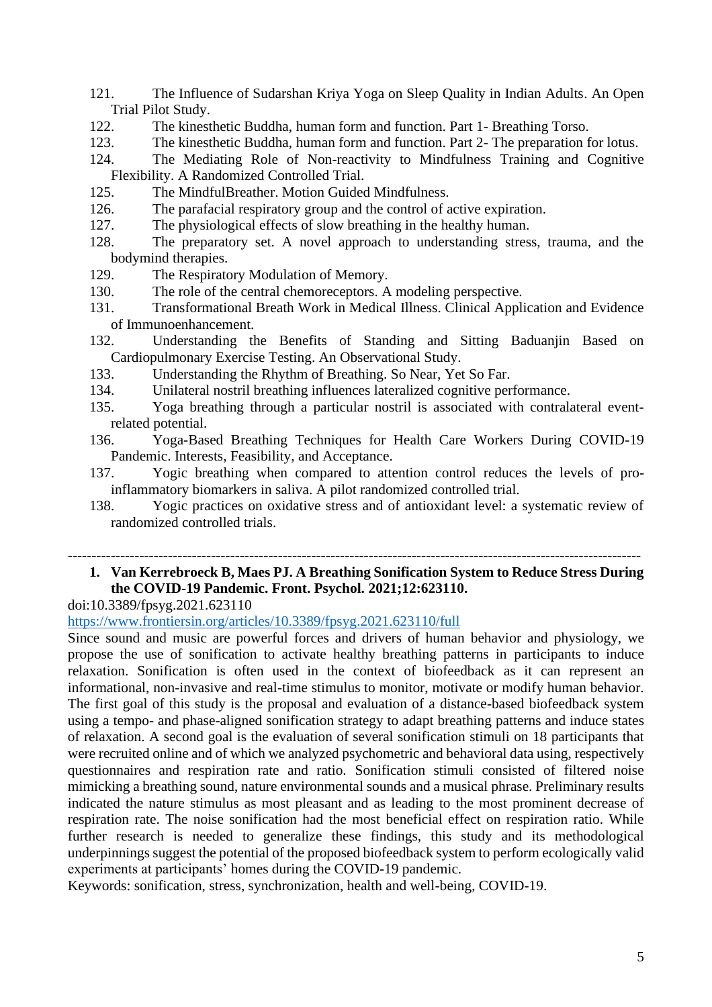- 121. The Influence of Sudarshan Kriya Yoga on Sleep Quality in Indian Adults. An Open Trial Pilot Study.
- 122. The kinesthetic Buddha, human form and function. Part 1- Breathing Torso.
- 123. The kinesthetic Buddha, human form and function. Part 2- The preparation for lotus.
- 124. The Mediating Role of Non-reactivity to Mindfulness Training and Cognitive Flexibility. A Randomized Controlled Trial.
- 125. The MindfulBreather. Motion Guided Mindfulness.
- 126. The parafacial respiratory group and the control of active expiration.
- 127. The physiological effects of slow breathing in the healthy human.
- 128. The preparatory set. A novel approach to understanding stress, trauma, and the bodymind therapies.
- 129. The Respiratory Modulation of Memory.
- 130. The role of the central chemoreceptors. A modeling perspective.
- 131. Transformational Breath Work in Medical Illness. Clinical Application and Evidence of Immunoenhancement.
- 132. Understanding the Benefits of Standing and Sitting Baduanjin Based on Cardiopulmonary Exercise Testing. An Observational Study.
- 133. Understanding the Rhythm of Breathing. So Near, Yet So Far.
- 134. Unilateral nostril breathing influences lateralized cognitive performance.
- 135. Yoga breathing through a particular nostril is associated with contralateral eventrelated potential.
- 136. Yoga-Based Breathing Techniques for Health Care Workers During COVID-19 Pandemic. Interests, Feasibility, and Acceptance.
- 137. Yogic breathing when compared to attention control reduces the levels of proinflammatory biomarkers in saliva. A pilot randomized controlled trial.
- 138. Yogic practices on oxidative stress and of antioxidant level: a systematic review of randomized controlled trials.

------------------------------------------------------------------------------------------------------------------------

## **1. Van Kerrebroeck B, Maes PJ. A Breathing Sonification System to Reduce Stress During the COVID-19 Pandemic. Front. Psychol. 2021;12:623110.**

doi:10.3389/fpsyg.2021.623110

<https://www.frontiersin.org/articles/10.3389/fpsyg.2021.623110/full>

Since sound and music are powerful forces and drivers of human behavior and physiology, we propose the use of sonification to activate healthy breathing patterns in participants to induce relaxation. Sonification is often used in the context of biofeedback as it can represent an informational, non-invasive and real-time stimulus to monitor, motivate or modify human behavior. The first goal of this study is the proposal and evaluation of a distance-based biofeedback system using a tempo- and phase-aligned sonification strategy to adapt breathing patterns and induce states of relaxation. A second goal is the evaluation of several sonification stimuli on 18 participants that were recruited online and of which we analyzed psychometric and behavioral data using, respectively questionnaires and respiration rate and ratio. Sonification stimuli consisted of filtered noise mimicking a breathing sound, nature environmental sounds and a musical phrase. Preliminary results indicated the nature stimulus as most pleasant and as leading to the most prominent decrease of respiration rate. The noise sonification had the most beneficial effect on respiration ratio. While further research is needed to generalize these findings, this study and its methodological underpinnings suggest the potential of the proposed biofeedback system to perform ecologically valid experiments at participants' homes during the COVID-19 pandemic.

Keywords: sonification, stress, synchronization, health and well-being, COVID-19.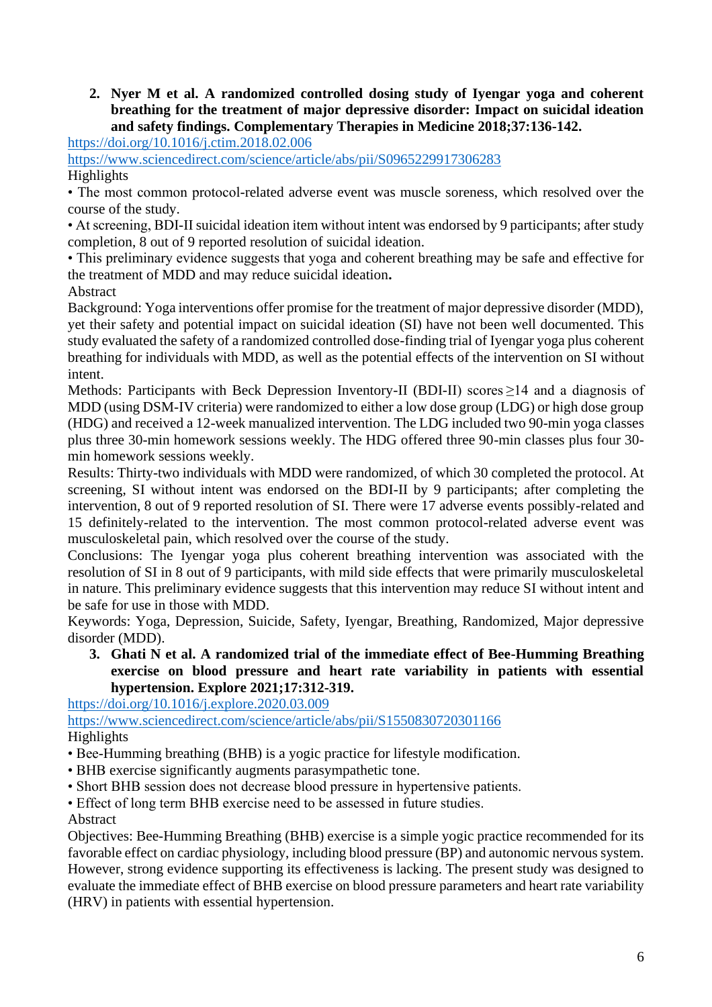**2. Nyer M et al. A randomized controlled dosing study of Iyengar yoga and coherent breathing for the treatment of major depressive disorder: Impact on suicidal ideation and safety findings. Complementary Therapies in Medicine 2018;37:136-142.**

<https://doi.org/10.1016/j.ctim.2018.02.006>

<https://www.sciencedirect.com/science/article/abs/pii/S0965229917306283>

Highlights

• The most common protocol-related adverse event was muscle soreness, which resolved over the course of the study.

• At screening, BDI-II suicidal ideation item without intent was endorsed by 9 participants; after study completion, 8 out of 9 reported resolution of suicidal ideation.

• This preliminary evidence suggests that yoga and coherent breathing may be safe and effective for the treatment of MDD and may reduce suicidal ideation**.**

Abstract

Background: Yoga interventions offer promise for the treatment of major depressive disorder (MDD), yet their safety and potential impact on suicidal ideation (SI) have not been well documented. This study evaluated the safety of a randomized controlled dose-finding trial of Iyengar yoga plus coherent breathing for individuals with MDD, as well as the potential effects of the intervention on SI without intent.

Methods: Participants with Beck Depression Inventory-II (BDI-II) scores ≥14 and a diagnosis of MDD (using DSM-IV criteria) were randomized to either a low dose group (LDG) or high dose group (HDG) and received a 12-week manualized intervention. The LDG included two 90-min yoga classes plus three 30-min homework sessions weekly. The HDG offered three 90-min classes plus four 30 min homework sessions weekly.

Results: Thirty-two individuals with MDD were randomized, of which 30 completed the protocol. At screening, SI without intent was endorsed on the BDI-II by 9 participants; after completing the intervention, 8 out of 9 reported resolution of SI. There were 17 adverse events possibly-related and 15 definitely-related to the intervention. The most common protocol-related adverse event was musculoskeletal pain, which resolved over the course of the study.

Conclusions: The Iyengar yoga plus coherent breathing intervention was associated with the resolution of SI in 8 out of 9 participants, with mild side effects that were primarily musculoskeletal in nature. This preliminary evidence suggests that this intervention may reduce SI without intent and be safe for use in those with MDD.

Keywords: Yoga, Depression, Suicide, Safety, Iyengar, Breathing, Randomized, Major depressive disorder (MDD).

**3. Ghati N et al. A randomized trial of the immediate effect of Bee-Humming Breathing exercise on blood pressure and heart rate variability in patients with essential hypertension. Explore 2021;17:312-319.**

<https://doi.org/10.1016/j.explore.2020.03.009>

<https://www.sciencedirect.com/science/article/abs/pii/S1550830720301166> Highlights

- Bee-Humming breathing (BHB) is a yogic practice for lifestyle modification.
- BHB exercise significantly augments parasympathetic tone.
- Short BHB session does not decrease blood pressure in hypertensive patients.

• Effect of long term BHB exercise need to be assessed in future studies.

## Abstract

Objectives: Bee-Humming Breathing (BHB) exercise is a simple yogic practice recommended for its favorable effect on cardiac physiology, including blood pressure (BP) and autonomic nervous system. However, strong evidence supporting its effectiveness is lacking. The present study was designed to evaluate the immediate effect of BHB exercise on blood pressure parameters and heart rate variability (HRV) in patients with essential hypertension.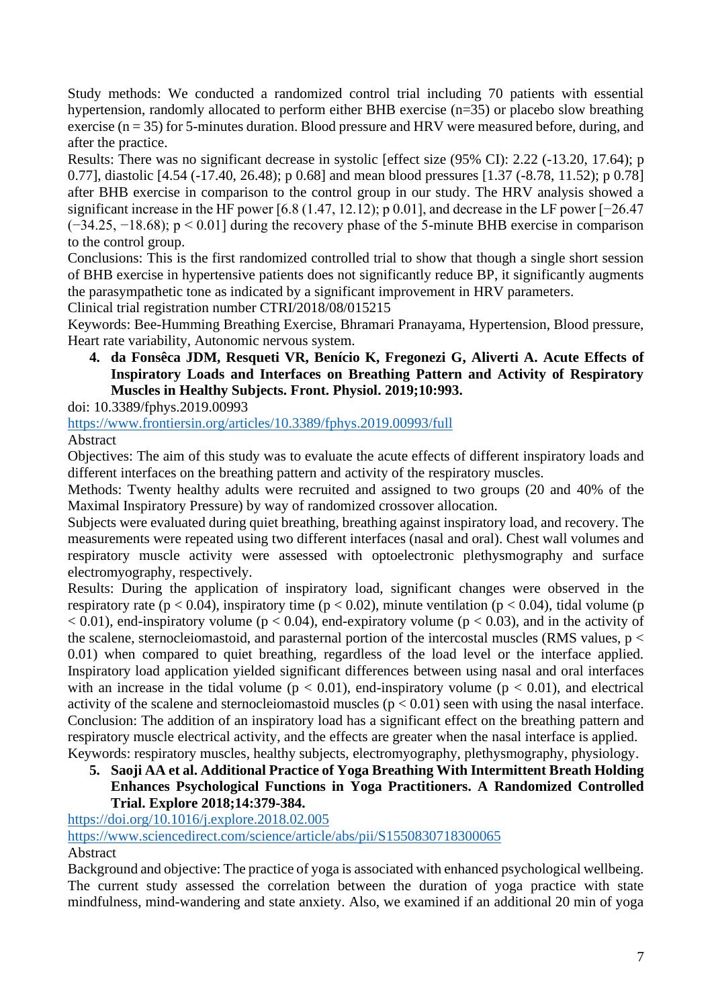Study methods: We conducted a randomized control trial including 70 patients with essential hypertension, randomly allocated to perform either BHB exercise (n=35) or placebo slow breathing exercise (n = 35) for 5-minutes duration. Blood pressure and HRV were measured before, during, and after the practice.

Results: There was no significant decrease in systolic [effect size (95% CI): 2.22 (-13.20, 17.64); p 0.77], diastolic [4.54 (-17.40, 26.48); p 0.68] and mean blood pressures [1.37 (-8.78, 11.52); p 0.78] after BHB exercise in comparison to the control group in our study. The HRV analysis showed a significant increase in the HF power [6.8 (1.47, 12.12); p 0.01], and decrease in the LF power [−26.47 (−34.25, −18.68); p < 0.01] during the recovery phase of the 5-minute BHB exercise in comparison to the control group.

Conclusions: This is the first randomized controlled trial to show that though a single short session of BHB exercise in hypertensive patients does not significantly reduce BP, it significantly augments the parasympathetic tone as indicated by a significant improvement in HRV parameters.

Clinical trial registration number CTRI/2018/08/015215

Keywords: Bee-Humming Breathing Exercise, Bhramari Pranayama, Hypertension, Blood pressure, Heart rate variability, Autonomic nervous system.

**4. da Fonsêca JDM, Resqueti VR, Benício K, Fregonezi G, Aliverti A. Acute Effects of Inspiratory Loads and Interfaces on Breathing Pattern and Activity of Respiratory Muscles in Healthy Subjects. Front. Physiol. 2019;10:993.** 

doi: 10.3389/fphys.2019.00993

<https://www.frontiersin.org/articles/10.3389/fphys.2019.00993/full>

Abstract

Objectives: The aim of this study was to evaluate the acute effects of different inspiratory loads and different interfaces on the breathing pattern and activity of the respiratory muscles.

Methods: Twenty healthy adults were recruited and assigned to two groups (20 and 40% of the Maximal Inspiratory Pressure) by way of randomized crossover allocation.

Subjects were evaluated during quiet breathing, breathing against inspiratory load, and recovery. The measurements were repeated using two different interfaces (nasal and oral). Chest wall volumes and respiratory muscle activity were assessed with optoelectronic plethysmography and surface electromyography, respectively.

Results: During the application of inspiratory load, significant changes were observed in the respiratory rate ( $p < 0.04$ ), inspiratory time ( $p < 0.02$ ), minute ventilation ( $p < 0.04$ ), tidal volume (p  $< 0.01$ ), end-inspiratory volume ( $p < 0.04$ ), end-expiratory volume ( $p < 0.03$ ), and in the activity of the scalene, sternocleiomastoid, and parasternal portion of the intercostal muscles (RMS values,  $p <$ 0.01) when compared to quiet breathing, regardless of the load level or the interface applied. Inspiratory load application yielded significant differences between using nasal and oral interfaces with an increase in the tidal volume ( $p < 0.01$ ), end-inspiratory volume ( $p < 0.01$ ), and electrical activity of the scalene and sternocleiomastoid muscles ( $p < 0.01$ ) seen with using the nasal interface. Conclusion: The addition of an inspiratory load has a significant effect on the breathing pattern and respiratory muscle electrical activity, and the effects are greater when the nasal interface is applied. Keywords: respiratory muscles, healthy subjects, electromyography, plethysmography, physiology.

**5. Saoji AA et al. Additional Practice of Yoga Breathing With Intermittent Breath Holding Enhances Psychological Functions in Yoga Practitioners. A Randomized Controlled Trial. Explore 2018;14:379-384.**

<https://doi.org/10.1016/j.explore.2018.02.005>

<https://www.sciencedirect.com/science/article/abs/pii/S1550830718300065>

## Abstract

Background and objective: The practice of yoga is associated with enhanced psychological wellbeing. The current study assessed the correlation between the duration of yoga practice with state mindfulness, mind-wandering and state anxiety. Also, we examined if an additional 20 min of yoga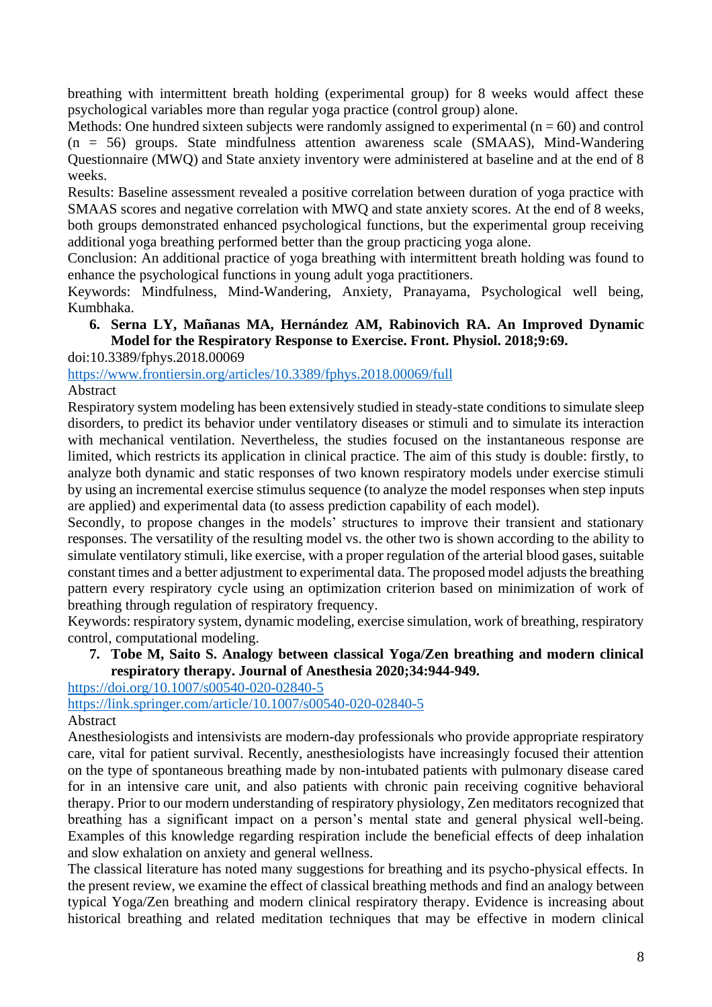breathing with intermittent breath holding (experimental group) for 8 weeks would affect these psychological variables more than regular yoga practice (control group) alone.

Methods: One hundred sixteen subjects were randomly assigned to experimental ( $n = 60$ ) and control (n = 56) groups. State mindfulness attention awareness scale (SMAAS), Mind-Wandering Questionnaire (MWQ) and State anxiety inventory were administered at baseline and at the end of 8 weeks.

Results: Baseline assessment revealed a positive correlation between duration of yoga practice with SMAAS scores and negative correlation with MWQ and state anxiety scores. At the end of 8 weeks, both groups demonstrated enhanced psychological functions, but the experimental group receiving additional yoga breathing performed better than the group practicing yoga alone.

Conclusion: An additional practice of yoga breathing with intermittent breath holding was found to enhance the psychological functions in young adult yoga practitioners.

Keywords: Mindfulness, Mind-Wandering, Anxiety, Pranayama, Psychological well being, Kumbhaka.

#### **6. Serna LY, Mañanas MA, Hernández AM, Rabinovich RA. An Improved Dynamic Model for the Respiratory Response to Exercise. Front. Physiol. 2018;9:69.**

doi:10.3389/fphys.2018.00069

<https://www.frontiersin.org/articles/10.3389/fphys.2018.00069/full>

#### Abstract

Respiratory system modeling has been extensively studied in steady-state conditions to simulate sleep disorders, to predict its behavior under ventilatory diseases or stimuli and to simulate its interaction with mechanical ventilation. Nevertheless, the studies focused on the instantaneous response are limited, which restricts its application in clinical practice. The aim of this study is double: firstly, to analyze both dynamic and static responses of two known respiratory models under exercise stimuli by using an incremental exercise stimulus sequence (to analyze the model responses when step inputs are applied) and experimental data (to assess prediction capability of each model).

Secondly, to propose changes in the models' structures to improve their transient and stationary responses. The versatility of the resulting model vs. the other two is shown according to the ability to simulate ventilatory stimuli, like exercise, with a proper regulation of the arterial blood gases, suitable constant times and a better adjustment to experimental data. The proposed model adjusts the breathing pattern every respiratory cycle using an optimization criterion based on minimization of work of breathing through regulation of respiratory frequency.

Keywords: respiratory system, dynamic modeling, exercise simulation, work of breathing, respiratory control, computational modeling.

## **7. Tobe M, Saito S. Analogy between classical Yoga/Zen breathing and modern clinical respiratory therapy. Journal of Anesthesia 2020;34:944-949.**

#### <https://doi.org/10.1007/s00540-020-02840-5>

<https://link.springer.com/article/10.1007/s00540-020-02840-5>

## Abstract

Anesthesiologists and intensivists are modern-day professionals who provide appropriate respiratory care, vital for patient survival. Recently, anesthesiologists have increasingly focused their attention on the type of spontaneous breathing made by non-intubated patients with pulmonary disease cared for in an intensive care unit, and also patients with chronic pain receiving cognitive behavioral therapy. Prior to our modern understanding of respiratory physiology, Zen meditators recognized that breathing has a significant impact on a person's mental state and general physical well-being. Examples of this knowledge regarding respiration include the beneficial effects of deep inhalation and slow exhalation on anxiety and general wellness.

The classical literature has noted many suggestions for breathing and its psycho-physical effects. In the present review, we examine the effect of classical breathing methods and find an analogy between typical Yoga/Zen breathing and modern clinical respiratory therapy. Evidence is increasing about historical breathing and related meditation techniques that may be effective in modern clinical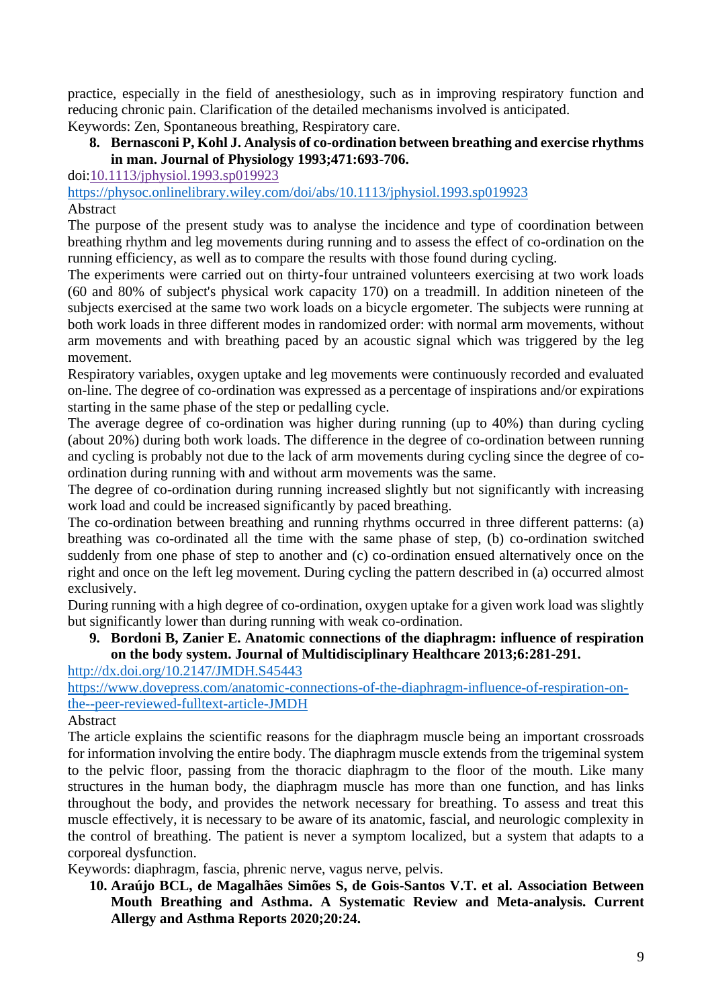practice, especially in the field of anesthesiology, such as in improving respiratory function and reducing chronic pain. Clarification of the detailed mechanisms involved is anticipated. Keywords: Zen, Spontaneous breathing, Respiratory care.

## **8. Bernasconi P, Kohl J. Analysis of co-ordination between breathing and exercise rhythms in man. Journal of Physiology 1993;471:693-706.**

doi[:10.1113/jphysiol.1993.sp019923](https://dx.doi.org/10.1113%2Fjphysiol.1993.sp019923)

<https://physoc.onlinelibrary.wiley.com/doi/abs/10.1113/jphysiol.1993.sp019923> Abstract

The purpose of the present study was to analyse the incidence and type of coordination between breathing rhythm and leg movements during running and to assess the effect of co-ordination on the running efficiency, as well as to compare the results with those found during cycling.

The experiments were carried out on thirty-four untrained volunteers exercising at two work loads (60 and 80% of subject's physical work capacity 170) on a treadmill. In addition nineteen of the subjects exercised at the same two work loads on a bicycle ergometer. The subjects were running at both work loads in three different modes in randomized order: with normal arm movements, without arm movements and with breathing paced by an acoustic signal which was triggered by the leg movement.

Respiratory variables, oxygen uptake and leg movements were continuously recorded and evaluated on-line. The degree of co-ordination was expressed as a percentage of inspirations and/or expirations starting in the same phase of the step or pedalling cycle.

The average degree of co-ordination was higher during running (up to 40%) than during cycling (about 20%) during both work loads. The difference in the degree of co-ordination between running and cycling is probably not due to the lack of arm movements during cycling since the degree of coordination during running with and without arm movements was the same.

The degree of co-ordination during running increased slightly but not significantly with increasing work load and could be increased significantly by paced breathing.

The co-ordination between breathing and running rhythms occurred in three different patterns: (a) breathing was co-ordinated all the time with the same phase of step, (b) co-ordination switched suddenly from one phase of step to another and (c) co-ordination ensued alternatively once on the right and once on the left leg movement. During cycling the pattern described in (a) occurred almost exclusively.

During running with a high degree of co-ordination, oxygen uptake for a given work load was slightly but significantly lower than during running with weak co-ordination.

## **9. Bordoni B, Zanier E. Anatomic connections of the diaphragm: influence of respiration on the body system. Journal of Multidisciplinary Healthcare 2013;6:281-291.**

<http://dx.doi.org/10.2147/JMDH.S45443>

[https://www.dovepress.com/anatomic-connections-of-the-diaphragm-influence-of-respiration-on](https://www.dovepress.com/anatomic-connections-of-the-diaphragm-influence-of-respiration-on-the--peer-reviewed-fulltext-article-JMDH)[the--peer-reviewed-fulltext-article-JMDH](https://www.dovepress.com/anatomic-connections-of-the-diaphragm-influence-of-respiration-on-the--peer-reviewed-fulltext-article-JMDH)

## Abstract

The article explains the scientific reasons for the diaphragm muscle being an important crossroads for information involving the entire body. The diaphragm muscle extends from the trigeminal system to the pelvic floor, passing from the thoracic diaphragm to the floor of the mouth. Like many structures in the human body, the diaphragm muscle has more than one function, and has links throughout the body, and provides the network necessary for breathing. To assess and treat this muscle effectively, it is necessary to be aware of its anatomic, fascial, and neurologic complexity in the control of breathing. The patient is never a symptom localized, but a system that adapts to a corporeal dysfunction.

Keywords: diaphragm, fascia, phrenic nerve, vagus nerve, pelvis.

**10. Araújo BCL, de Magalhães Simões S, de Gois-Santos V.T. et al. Association Between Mouth Breathing and Asthma. A Systematic Review and Meta-analysis. Current Allergy and Asthma Reports 2020;20:24.**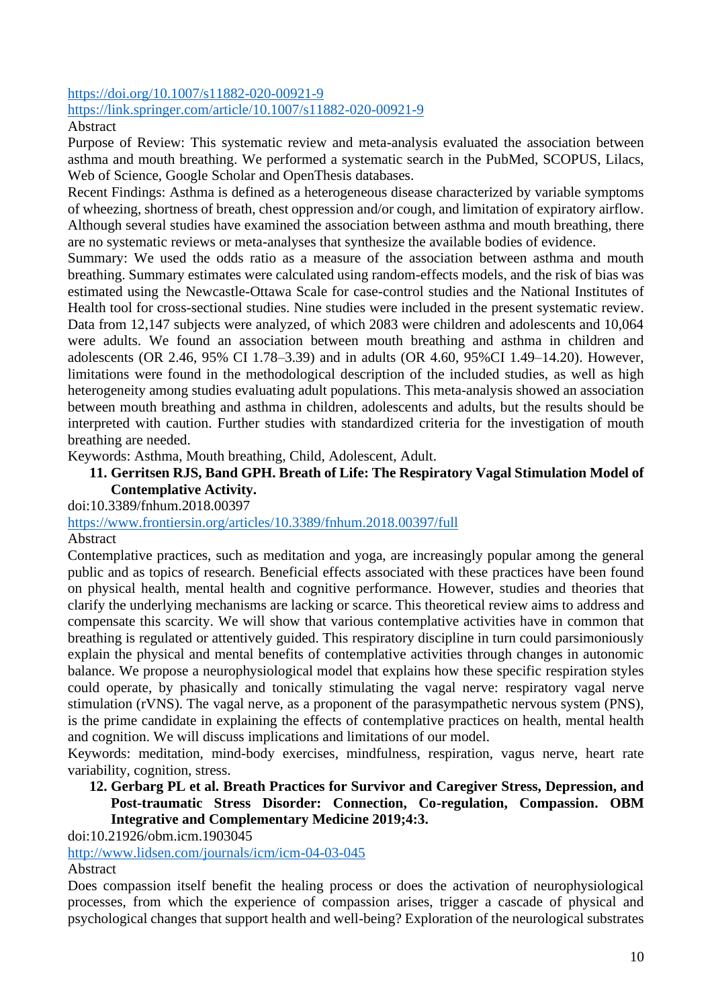#### <https://doi.org/10.1007/s11882-020-00921-9>

## <https://link.springer.com/article/10.1007/s11882-020-00921-9>

#### Abstract

Purpose of Review: This systematic review and meta-analysis evaluated the association between asthma and mouth breathing. We performed a systematic search in the PubMed, SCOPUS, Lilacs, Web of Science, Google Scholar and OpenThesis databases.

Recent Findings: Asthma is defined as a heterogeneous disease characterized by variable symptoms of wheezing, shortness of breath, chest oppression and/or cough, and limitation of expiratory airflow. Although several studies have examined the association between asthma and mouth breathing, there are no systematic reviews or meta-analyses that synthesize the available bodies of evidence.

Summary: We used the odds ratio as a measure of the association between asthma and mouth breathing. Summary estimates were calculated using random-effects models, and the risk of bias was estimated using the Newcastle-Ottawa Scale for case-control studies and the National Institutes of Health tool for cross-sectional studies. Nine studies were included in the present systematic review. Data from 12,147 subjects were analyzed, of which 2083 were children and adolescents and 10,064 were adults. We found an association between mouth breathing and asthma in children and adolescents (OR 2.46, 95% CI 1.78–3.39) and in adults (OR 4.60, 95%CI 1.49–14.20). However, limitations were found in the methodological description of the included studies, as well as high heterogeneity among studies evaluating adult populations. This meta-analysis showed an association between mouth breathing and asthma in children, adolescents and adults, but the results should be interpreted with caution. Further studies with standardized criteria for the investigation of mouth breathing are needed.

Keywords: Asthma, Mouth breathing, Child, Adolescent, Adult.

## **11. Gerritsen RJS, Band GPH. Breath of Life: The Respiratory Vagal Stimulation Model of Contemplative Activity.**

doi:10.3389/fnhum.2018.00397

<https://www.frontiersin.org/articles/10.3389/fnhum.2018.00397/full> Abstract

Contemplative practices, such as meditation and yoga, are increasingly popular among the general public and as topics of research. Beneficial effects associated with these practices have been found on physical health, mental health and cognitive performance. However, studies and theories that clarify the underlying mechanisms are lacking or scarce. This theoretical review aims to address and compensate this scarcity. We will show that various contemplative activities have in common that breathing is regulated or attentively guided. This respiratory discipline in turn could parsimoniously explain the physical and mental benefits of contemplative activities through changes in autonomic balance. We propose a neurophysiological model that explains how these specific respiration styles could operate, by phasically and tonically stimulating the vagal nerve: respiratory vagal nerve stimulation (rVNS). The vagal nerve, as a proponent of the parasympathetic nervous system (PNS), is the prime candidate in explaining the effects of contemplative practices on health, mental health and cognition. We will discuss implications and limitations of our model.

Keywords: meditation, mind-body exercises, mindfulness, respiration, vagus nerve, heart rate variability, cognition, stress.

## **12. Gerbarg PL et al. Breath Practices for Survivor and Caregiver Stress, Depression, and Post-traumatic Stress Disorder: Connection, Co-regulation, Compassion. OBM Integrative and Complementary Medicine 2019;4:3.**

doi:10.21926/obm.icm.1903045

<http://www.lidsen.com/journals/icm/icm-04-03-045>

#### Abstract

Does compassion itself benefit the healing process or does the activation of neurophysiological processes, from which the experience of compassion arises, trigger a cascade of physical and psychological changes that support health and well-being? Exploration of the neurological substrates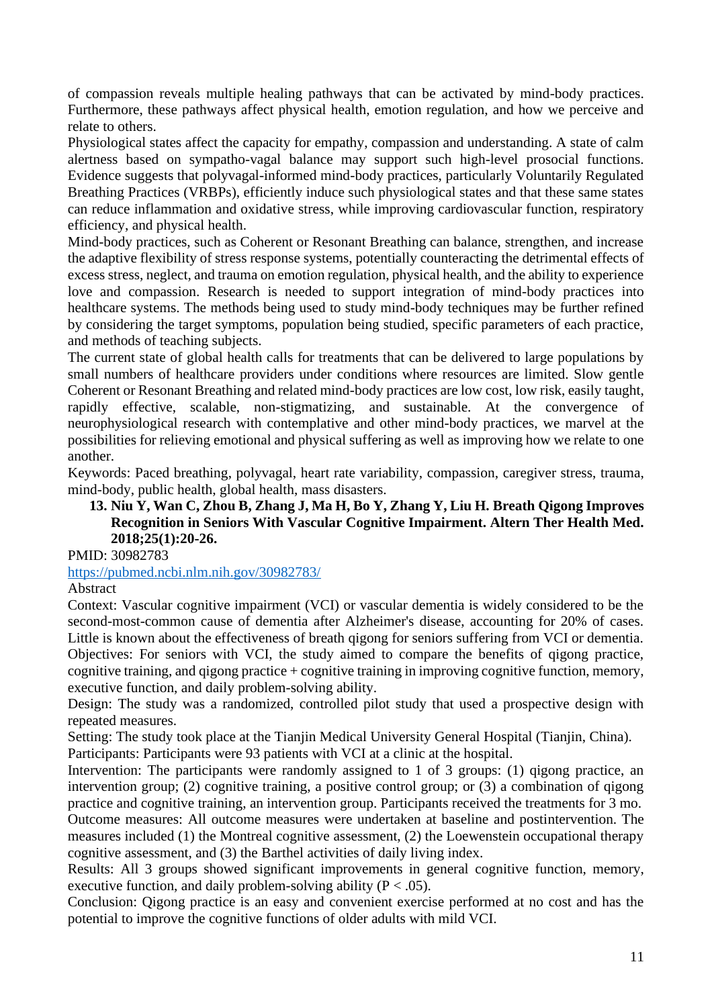of compassion reveals multiple healing pathways that can be activated by mind-body practices. Furthermore, these pathways affect physical health, emotion regulation, and how we perceive and relate to others.

Physiological states affect the capacity for empathy, compassion and understanding. A state of calm alertness based on sympatho-vagal balance may support such high-level prosocial functions. Evidence suggests that polyvagal-informed mind-body practices, particularly Voluntarily Regulated Breathing Practices (VRBPs), efficiently induce such physiological states and that these same states can reduce inflammation and oxidative stress, while improving cardiovascular function, respiratory efficiency, and physical health.

Mind-body practices, such as Coherent or Resonant Breathing can balance, strengthen, and increase the adaptive flexibility of stress response systems, potentially counteracting the detrimental effects of excess stress, neglect, and trauma on emotion regulation, physical health, and the ability to experience love and compassion. Research is needed to support integration of mind-body practices into healthcare systems. The methods being used to study mind-body techniques may be further refined by considering the target symptoms, population being studied, specific parameters of each practice, and methods of teaching subjects.

The current state of global health calls for treatments that can be delivered to large populations by small numbers of healthcare providers under conditions where resources are limited. Slow gentle Coherent or Resonant Breathing and related mind-body practices are low cost, low risk, easily taught, rapidly effective, scalable, non-stigmatizing, and sustainable. At the convergence of neurophysiological research with contemplative and other mind-body practices, we marvel at the possibilities for relieving emotional and physical suffering as well as improving how we relate to one another.

Keywords: Paced breathing, polyvagal, heart rate variability, compassion, caregiver stress, trauma, mind-body, public health, global health, mass disasters.

## **13. Niu Y, Wan C, Zhou B, Zhang J, Ma H, Bo Y, Zhang Y, Liu H. Breath Qigong Improves Recognition in Seniors With Vascular Cognitive Impairment. Altern Ther Health Med. 2018;25(1):20-26.**

PMID: 30982783

<https://pubmed.ncbi.nlm.nih.gov/30982783/>

Abstract

Context: Vascular cognitive impairment (VCI) or vascular dementia is widely considered to be the second-most-common cause of dementia after Alzheimer's disease, accounting for 20% of cases. Little is known about the effectiveness of breath qigong for seniors suffering from VCI or dementia. Objectives: For seniors with VCI, the study aimed to compare the benefits of qigong practice, cognitive training, and qigong practice + cognitive training in improving cognitive function, memory, executive function, and daily problem-solving ability.

Design: The study was a randomized, controlled pilot study that used a prospective design with repeated measures.

Setting: The study took place at the Tianjin Medical University General Hospital (Tianjin, China). Participants: Participants were 93 patients with VCI at a clinic at the hospital.

Intervention: The participants were randomly assigned to 1 of 3 groups: (1) qigong practice, an intervention group; (2) cognitive training, a positive control group; or (3) a combination of qigong practice and cognitive training, an intervention group. Participants received the treatments for 3 mo.

Outcome measures: All outcome measures were undertaken at baseline and postintervention. The measures included (1) the Montreal cognitive assessment, (2) the Loewenstein occupational therapy cognitive assessment, and (3) the Barthel activities of daily living index.

Results: All 3 groups showed significant improvements in general cognitive function, memory, executive function, and daily problem-solving ability ( $P < .05$ ).

Conclusion: Qigong practice is an easy and convenient exercise performed at no cost and has the potential to improve the cognitive functions of older adults with mild VCI.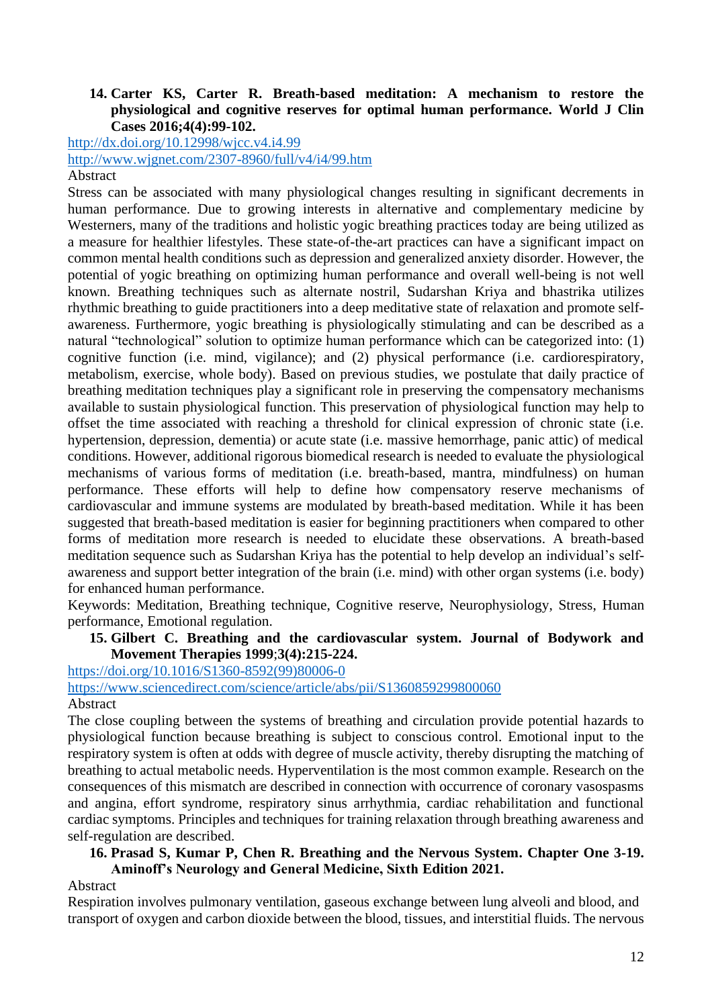#### **14. Carter KS, Carter R. Breath-based meditation: A mechanism to restore the physiological and cognitive reserves for optimal human performance. World J Clin Cases 2016;4(4):99-102.**

<http://dx.doi.org/10.12998/wjcc.v4.i4.99> <http://www.wjgnet.com/2307-8960/full/v4/i4/99.htm> Abstract

Stress can be associated with many physiological changes resulting in significant decrements in human performance. Due to growing interests in alternative and complementary medicine by Westerners, many of the traditions and holistic yogic breathing practices today are being utilized as a measure for healthier lifestyles. These state-of-the-art practices can have a significant impact on common mental health conditions such as depression and generalized anxiety disorder. However, the potential of yogic breathing on optimizing human performance and overall well-being is not well known. Breathing techniques such as alternate nostril, Sudarshan Kriya and bhastrika utilizes rhythmic breathing to guide practitioners into a deep meditative state of relaxation and promote selfawareness. Furthermore, yogic breathing is physiologically stimulating and can be described as a natural "technological" solution to optimize human performance which can be categorized into: (1) cognitive function (i.e. mind, vigilance); and (2) physical performance (i.e. cardiorespiratory, metabolism, exercise, whole body). Based on previous studies, we postulate that daily practice of breathing meditation techniques play a significant role in preserving the compensatory mechanisms available to sustain physiological function. This preservation of physiological function may help to offset the time associated with reaching a threshold for clinical expression of chronic state (i.e. hypertension, depression, dementia) or acute state (i.e. massive hemorrhage, panic attic) of medical conditions. However, additional rigorous biomedical research is needed to evaluate the physiological mechanisms of various forms of meditation (i.e. breath-based, mantra, mindfulness) on human performance. These efforts will help to define how compensatory reserve mechanisms of cardiovascular and immune systems are modulated by breath-based meditation. While it has been suggested that breath-based meditation is easier for beginning practitioners when compared to other forms of meditation more research is needed to elucidate these observations. A breath-based meditation sequence such as Sudarshan Kriya has the potential to help develop an individual's selfawareness and support better integration of the brain (i.e. mind) with other organ systems (i.e. body) for enhanced human performance.

Keywords: Meditation, Breathing technique, Cognitive reserve, Neurophysiology, Stress, Human performance, Emotional regulation.

#### **15. Gilbert C. Breathing and the cardiovascular system. Journal of Bodywork and Movement Therapies 1999**;**3(4):215-224.**

[https://doi.org/10.1016/S1360-8592\(99\)80006-0](https://doi.org/10.1016/S1360-8592(99)80006-0)

<https://www.sciencedirect.com/science/article/abs/pii/S1360859299800060> Abstract

The close coupling between the systems of breathing and circulation provide potential hazards to physiological function because breathing is subject to conscious control. Emotional input to the respiratory system is often at odds with degree of muscle activity, thereby disrupting the matching of breathing to actual metabolic needs. Hyperventilation is the most common example. Research on the consequences of this mismatch are described in connection with occurrence of coronary vasospasms and angina, effort syndrome, respiratory sinus arrhythmia, cardiac rehabilitation and functional cardiac symptoms. Principles and techniques for training relaxation through breathing awareness and self-regulation are described.

#### **16. Prasad S, Kumar P, Chen R. Breathing and the Nervous System. Chapter One 3-19. Aminoff's Neurology and General Medicine, Sixth Edition 2021.**

Abstract

Respiration involves pulmonary ventilation, gaseous exchange between lung alveoli and blood, and transport of oxygen and carbon dioxide between the blood, tissues, and interstitial fluids. The nervous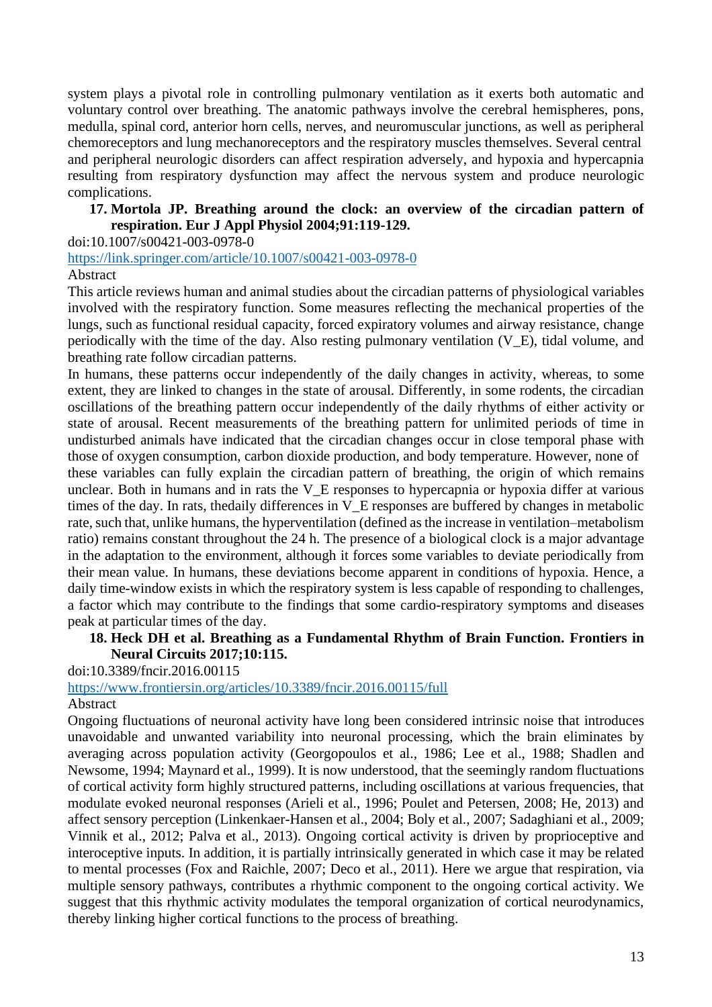system plays a pivotal role in controlling pulmonary ventilation as it exerts both automatic and voluntary control over breathing. The anatomic pathways involve the cerebral hemispheres, pons, medulla, spinal cord, anterior horn cells, nerves, and neuromuscular junctions, as well as peripheral chemoreceptors and lung mechanoreceptors and the respiratory muscles themselves. Several central and peripheral neurologic disorders can affect respiration adversely, and hypoxia and hypercapnia resulting from respiratory dysfunction may affect the nervous system and produce neurologic complications.

## **17. Mortola JP. Breathing around the clock: an overview of the circadian pattern of respiration. Eur J Appl Physiol 2004;91:119-129.**

doi:10.1007/s00421-003-0978-0

<https://link.springer.com/article/10.1007/s00421-003-0978-0>

#### Abstract

This article reviews human and animal studies about the circadian patterns of physiological variables involved with the respiratory function. Some measures reflecting the mechanical properties of the lungs, such as functional residual capacity, forced expiratory volumes and airway resistance, change periodically with the time of the day. Also resting pulmonary ventilation (V\_E), tidal volume, and breathing rate follow circadian patterns.

In humans, these patterns occur independently of the daily changes in activity, whereas, to some extent, they are linked to changes in the state of arousal. Differently, in some rodents, the circadian oscillations of the breathing pattern occur independently of the daily rhythms of either activity or state of arousal. Recent measurements of the breathing pattern for unlimited periods of time in undisturbed animals have indicated that the circadian changes occur in close temporal phase with those of oxygen consumption, carbon dioxide production, and body temperature. However, none of these variables can fully explain the circadian pattern of breathing, the origin of which remains unclear. Both in humans and in rats the V\_E responses to hypercapnia or hypoxia differ at various times of the day. In rats, thedaily differences in V\_E responses are buffered by changes in metabolic rate, such that, unlike humans, the hyperventilation (defined as the increase in ventilation–metabolism ratio) remains constant throughout the 24 h. The presence of a biological clock is a major advantage in the adaptation to the environment, although it forces some variables to deviate periodically from their mean value. In humans, these deviations become apparent in conditions of hypoxia. Hence, a daily time-window exists in which the respiratory system is less capable of responding to challenges, a factor which may contribute to the findings that some cardio-respiratory symptoms and diseases peak at particular times of the day.

#### **18. Heck DH et al. Breathing as a Fundamental Rhythm of Brain Function. Frontiers in Neural Circuits 2017;10:115.**

doi:10.3389/fncir.2016.00115

<https://www.frontiersin.org/articles/10.3389/fncir.2016.00115/full>

Abstract

Ongoing fluctuations of neuronal activity have long been considered intrinsic noise that introduces unavoidable and unwanted variability into neuronal processing, which the brain eliminates by averaging across population activity (Georgopoulos et al., 1986; Lee et al., 1988; Shadlen and Newsome, 1994; Maynard et al., 1999). It is now understood, that the seemingly random fluctuations of cortical activity form highly structured patterns, including oscillations at various frequencies, that modulate evoked neuronal responses (Arieli et al., 1996; Poulet and Petersen, 2008; He, 2013) and affect sensory perception (Linkenkaer-Hansen et al., 2004; Boly et al., 2007; Sadaghiani et al., 2009; Vinnik et al., 2012; Palva et al., 2013). Ongoing cortical activity is driven by proprioceptive and interoceptive inputs. In addition, it is partially intrinsically generated in which case it may be related to mental processes (Fox and Raichle, 2007; Deco et al., 2011). Here we argue that respiration, via multiple sensory pathways, contributes a rhythmic component to the ongoing cortical activity. We suggest that this rhythmic activity modulates the temporal organization of cortical neurodynamics, thereby linking higher cortical functions to the process of breathing.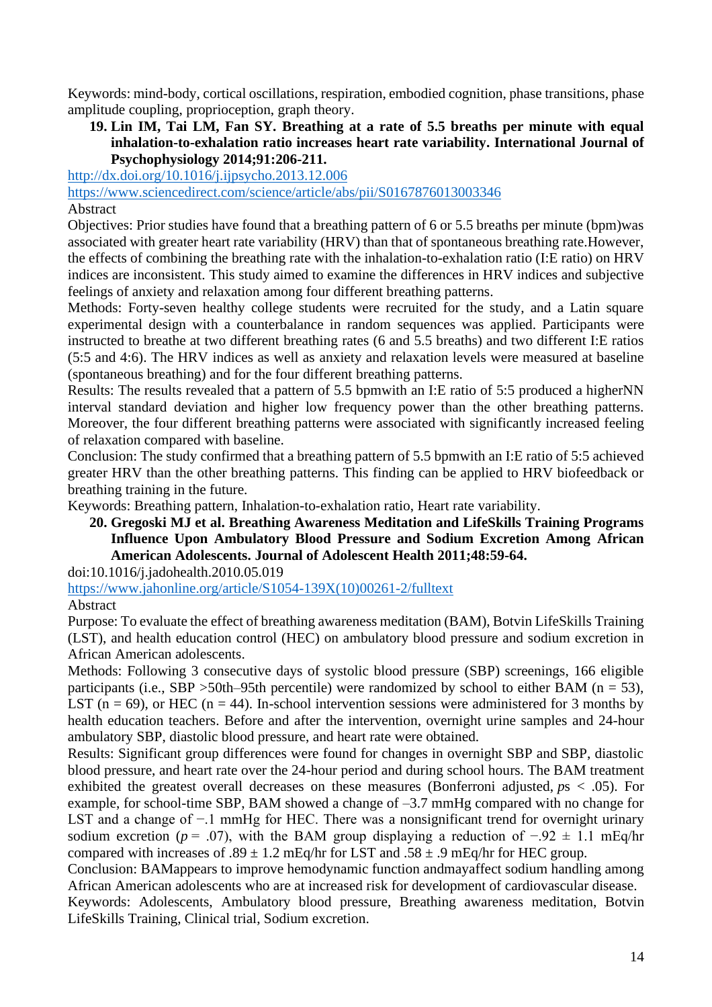Keywords: mind-body, cortical oscillations, respiration, embodied cognition, phase transitions, phase amplitude coupling, proprioception, graph theory.

#### **19. Lin IM, Tai LM, Fan SY. Breathing at a rate of 5.5 breaths per minute with equal inhalation-to-exhalation ratio increases heart rate variability. International Journal of Psychophysiology 2014;91:206-211.**

<http://dx.doi.org/10.1016/j.ijpsycho.2013.12.006>

<https://www.sciencedirect.com/science/article/abs/pii/S0167876013003346> Abstract

Objectives: Prior studies have found that a breathing pattern of 6 or 5.5 breaths per minute (bpm)was associated with greater heart rate variability (HRV) than that of spontaneous breathing rate.However, the effects of combining the breathing rate with the inhalation-to-exhalation ratio (I:E ratio) on HRV indices are inconsistent. This study aimed to examine the differences in HRV indices and subjective feelings of anxiety and relaxation among four different breathing patterns.

Methods: Forty-seven healthy college students were recruited for the study, and a Latin square experimental design with a counterbalance in random sequences was applied. Participants were instructed to breathe at two different breathing rates (6 and 5.5 breaths) and two different I:E ratios (5:5 and 4:6). The HRV indices as well as anxiety and relaxation levels were measured at baseline (spontaneous breathing) and for the four different breathing patterns.

Results: The results revealed that a pattern of 5.5 bpmwith an I:E ratio of 5:5 produced a higherNN interval standard deviation and higher low frequency power than the other breathing patterns. Moreover, the four different breathing patterns were associated with significantly increased feeling of relaxation compared with baseline.

Conclusion: The study confirmed that a breathing pattern of 5.5 bpmwith an I:E ratio of 5:5 achieved greater HRV than the other breathing patterns. This finding can be applied to HRV biofeedback or breathing training in the future.

Keywords: Breathing pattern, Inhalation-to-exhalation ratio, Heart rate variability.

**20. Gregoski MJ et al. Breathing Awareness Meditation and LifeSkills Training Programs Influence Upon Ambulatory Blood Pressure and Sodium Excretion Among African American Adolescents. Journal of Adolescent Health 2011;48:59-64.**

doi:10.1016/j.jadohealth.2010.05.019

[https://www.jahonline.org/article/S1054-139X\(10\)00261-2/fulltext](https://www.jahonline.org/article/S1054-139X(10)00261-2/fulltext)

Abstract

Purpose: To evaluate the effect of breathing awareness meditation (BAM), Botvin LifeSkills Training (LST), and health education control (HEC) on ambulatory blood pressure and sodium excretion in African American adolescents.

Methods: Following 3 consecutive days of systolic blood pressure (SBP) screenings, 166 eligible participants (i.e., SBP  $>50$ th–95th percentile) were randomized by school to either BAM (n = 53), LST ( $n = 69$ ), or HEC ( $n = 44$ ). In-school intervention sessions were administered for 3 months by health education teachers. Before and after the intervention, overnight urine samples and 24-hour ambulatory SBP, diastolic blood pressure, and heart rate were obtained.

Results: Significant group differences were found for changes in overnight SBP and SBP, diastolic blood pressure, and heart rate over the 24-hour period and during school hours. The BAM treatment exhibited the greatest overall decreases on these measures (Bonferroni adjusted, *p*s < .05). For example, for school-time SBP, BAM showed a change of –3.7 mmHg compared with no change for LST and a change of −.1 mmHg for HEC. There was a nonsignificant trend for overnight urinary sodium excretion ( $p = .07$ ), with the BAM group displaying a reduction of  $-.92 \pm 1.1$  mEq/hr compared with increases of .89  $\pm$  1.2 mEq/hr for LST and .58  $\pm$  .9 mEq/hr for HEC group.

Conclusion: BAMappears to improve hemodynamic function andmayaffect sodium handling among African American adolescents who are at increased risk for development of cardiovascular disease.

Keywords: Adolescents, Ambulatory blood pressure, Breathing awareness meditation, Botvin LifeSkills Training, Clinical trial, Sodium excretion.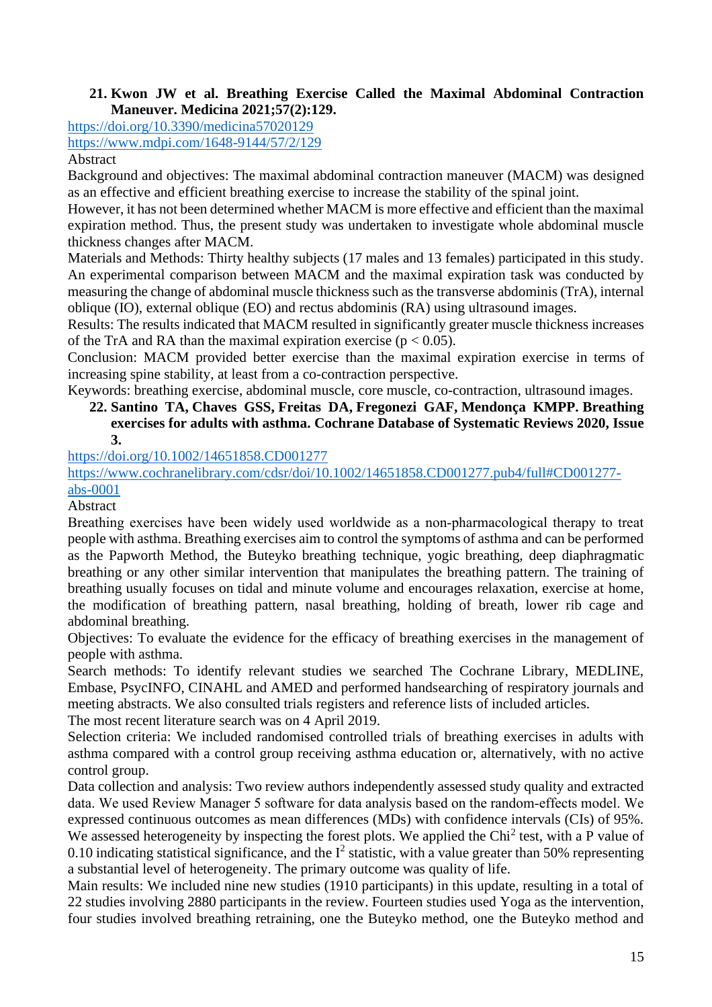## **21. Kwon JW et al. Breathing Exercise Called the Maximal Abdominal Contraction Maneuver. Medicina 2021;57(2):129.**

<https://doi.org/10.3390/medicina57020129>

<https://www.mdpi.com/1648-9144/57/2/129> Abstract

Background and objectives: The maximal abdominal contraction maneuver (MACM) was designed as an effective and efficient breathing exercise to increase the stability of the spinal joint.

However, it has not been determined whether MACM is more effective and efficient than the maximal expiration method. Thus, the present study was undertaken to investigate whole abdominal muscle thickness changes after MACM.

Materials and Methods: Thirty healthy subjects (17 males and 13 females) participated in this study. An experimental comparison between MACM and the maximal expiration task was conducted by measuring the change of abdominal muscle thickness such as the transverse abdominis (TrA), internal oblique (IO), external oblique (EO) and rectus abdominis (RA) using ultrasound images.

Results: The results indicated that MACM resulted in significantly greater muscle thickness increases of the TrA and RA than the maximal expiration exercise ( $p < 0.05$ ).

Conclusion: MACM provided better exercise than the maximal expiration exercise in terms of increasing spine stability, at least from a co-contraction perspective.

Keywords: breathing exercise, abdominal muscle, core muscle, co-contraction, ultrasound images.

#### **22. Santino TA, Chaves GSS, Freitas DA, Fregonezi GAF, Mendonça KMPP. Breathing exercises for adults with asthma. Cochrane Database of Systematic Reviews 2020, Issue 3.**

<https://doi.org/10.1002/14651858.CD001277>

[https://www.cochranelibrary.com/cdsr/doi/10.1002/14651858.CD001277.pub4/full#CD001277](https://www.cochranelibrary.com/cdsr/doi/10.1002/14651858.CD001277.pub4/full#CD001277-abs-0001) [abs-0001](https://www.cochranelibrary.com/cdsr/doi/10.1002/14651858.CD001277.pub4/full#CD001277-abs-0001)

Abstract

Breathing exercises have been widely used worldwide as a non-pharmacological therapy to treat people with asthma. Breathing exercises aim to control the symptoms of asthma and can be performed as the Papworth Method, the Buteyko breathing technique, yogic breathing, deep diaphragmatic breathing or any other similar intervention that manipulates the breathing pattern. The training of breathing usually focuses on tidal and minute volume and encourages relaxation, exercise at home, the modification of breathing pattern, nasal breathing, holding of breath, lower rib cage and abdominal breathing.

Objectives: To evaluate the evidence for the efficacy of breathing exercises in the management of people with asthma.

Search methods: To identify relevant studies we searched The Cochrane Library, MEDLINE, Embase, PsycINFO, CINAHL and AMED and performed handsearching of respiratory journals and meeting abstracts. We also consulted trials registers and reference lists of included articles.

The most recent literature search was on 4 April 2019.

Selection criteria: We included randomised controlled trials of breathing exercises in adults with asthma compared with a control group receiving asthma education or, alternatively, with no active control group.

Data collection and analysis: Two review authors independently assessed study quality and extracted data. We used Review Manager 5 software for data analysis based on the random‐effects model. We expressed continuous outcomes as mean differences (MDs) with confidence intervals (CIs) of 95%.

We assessed heterogeneity by inspecting the forest plots. We applied the Chi<sup>2</sup> test, with a P value of 0.10 indicating statistical significance, and the  $I^2$  statistic, with a value greater than 50% representing a substantial level of heterogeneity. The primary outcome was quality of life.

Main results: We included nine new studies (1910 participants) in this update, resulting in a total of 22 studies involving 2880 participants in the review. Fourteen studies used Yoga as the intervention, four studies involved breathing retraining, one the Buteyko method, one the Buteyko method and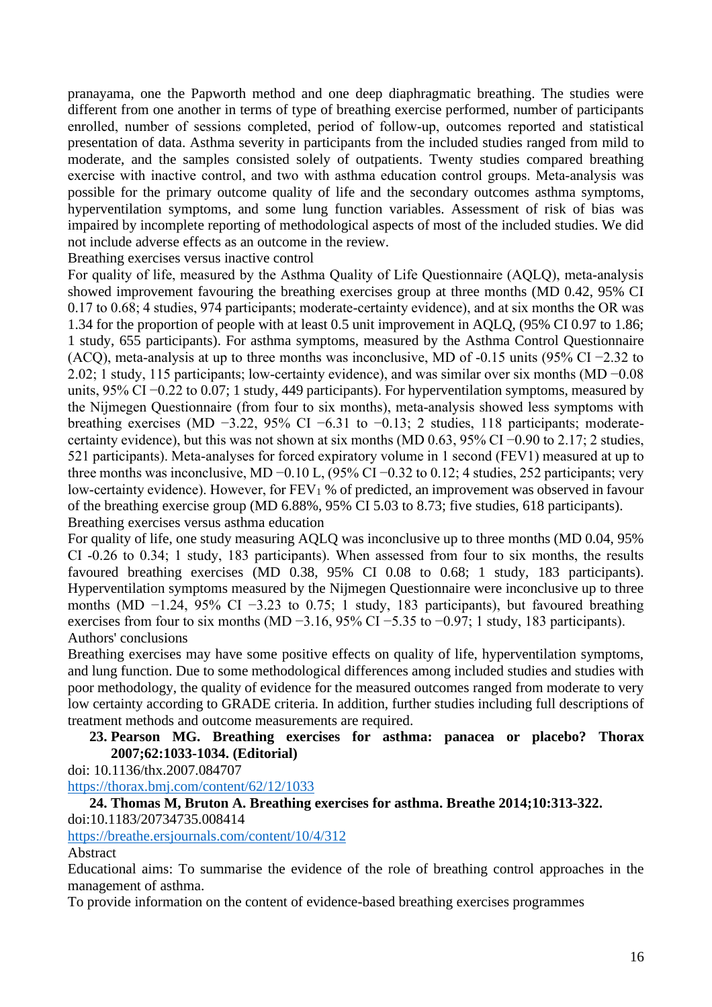pranayama, one the Papworth method and one deep diaphragmatic breathing. The studies were different from one another in terms of type of breathing exercise performed, number of participants enrolled, number of sessions completed, period of follow-up, outcomes reported and statistical presentation of data. Asthma severity in participants from the included studies ranged from mild to moderate, and the samples consisted solely of outpatients. Twenty studies compared breathing exercise with inactive control, and two with asthma education control groups. Meta-analysis was possible for the primary outcome quality of life and the secondary outcomes asthma symptoms, hyperventilation symptoms, and some lung function variables. Assessment of risk of bias was impaired by incomplete reporting of methodological aspects of most of the included studies. We did not include adverse effects as an outcome in the review.

Breathing exercises versus inactive control

For quality of life, measured by the Asthma Quality of Life Questionnaire (AQLQ), meta-analysis showed improvement favouring the breathing exercises group at three months (MD 0.42, 95% CI 0.17 to 0.68; 4 studies, 974 participants; moderate‐certainty evidence), and at six months the OR was 1.34 for the proportion of people with at least 0.5 unit improvement in AQLQ, (95% CI 0.97 to 1.86; 1 study, 655 participants). For asthma symptoms, measured by the Asthma Control Questionnaire (ACQ), meta‐analysis at up to three months was inconclusive, MD of ‐0.15 units (95% CI −2.32 to 2.02; 1 study, 115 participants; low‐certainty evidence), and was similar over six months (MD −0.08 units, 95% CI −0.22 to 0.07; 1 study, 449 participants). For hyperventilation symptoms, measured by the Nijmegen Questionnaire (from four to six months), meta‐analysis showed less symptoms with breathing exercises (MD −3.22, 95% CI −6.31 to −0.13; 2 studies, 118 participants; moderate‐ certainty evidence), but this was not shown at six months (MD 0.63, 95% CI −0.90 to 2.17; 2 studies, 521 participants). Meta-analyses for forced expiratory volume in 1 second (FEV1) measured at up to three months was inconclusive, MD −0.10 L, (95% CI −0.32 to 0.12; 4 studies, 252 participants; very low-certainty evidence). However, for FEV<sub>1</sub> % of predicted, an improvement was observed in favour of the breathing exercise group (MD 6.88%, 95% CI 5.03 to 8.73; five studies, 618 participants). Breathing exercises versus asthma education

For quality of life, one study measuring AQLQ was inconclusive up to three months (MD 0.04, 95% CI ‐0.26 to 0.34; 1 study, 183 participants). When assessed from four to six months, the results favoured breathing exercises (MD 0.38, 95% CI 0.08 to 0.68; 1 study, 183 participants). Hyperventilation symptoms measured by the Nijmegen Questionnaire were inconclusive up to three months (MD −1.24, 95% CI −3.23 to 0.75; 1 study, 183 participants), but favoured breathing exercises from four to six months (MD −3.16, 95% CI −5.35 to −0.97; 1 study, 183 participants). Authors' conclusions

Breathing exercises may have some positive effects on quality of life, hyperventilation symptoms, and lung function. Due to some methodological differences among included studies and studies with poor methodology, the quality of evidence for the measured outcomes ranged from moderate to very low certainty according to GRADE criteria. In addition, further studies including full descriptions of treatment methods and outcome measurements are required.

## **23. Pearson MG. Breathing exercises for asthma: panacea or placebo? Thorax 2007;62:1033-1034. (Editorial)**

doi: 10.1136/thx.2007.084707

<https://thorax.bmj.com/content/62/12/1033>

#### **24. Thomas M, Bruton A. Breathing exercises for asthma. Breathe 2014;10:313-322.** doi:10.1183/20734735.008414

<https://breathe.ersjournals.com/content/10/4/312>

Abstract

Educational aims: To summarise the evidence of the role of breathing control approaches in the management of asthma.

To provide information on the content of evidence-based breathing exercises programmes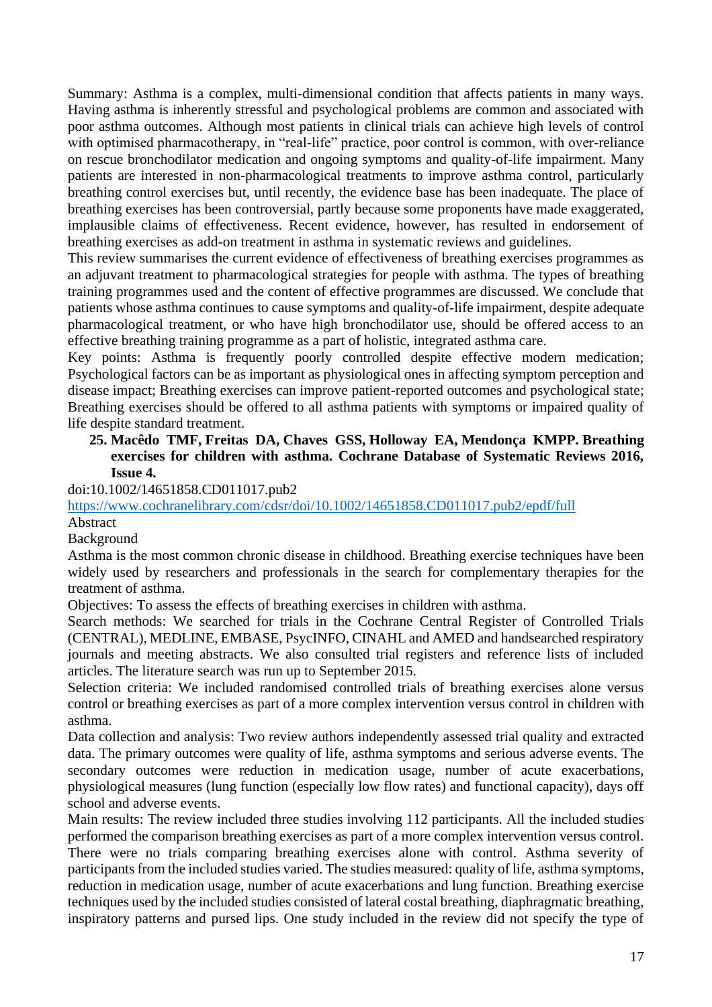Summary: Asthma is a complex, multi-dimensional condition that affects patients in many ways. Having asthma is inherently stressful and psychological problems are common and associated with poor asthma outcomes. Although most patients in clinical trials can achieve high levels of control with optimised pharmacotherapy, in "real-life" practice, poor control is common, with over-reliance on rescue bronchodilator medication and ongoing symptoms and quality-of-life impairment. Many patients are interested in non-pharmacological treatments to improve asthma control, particularly breathing control exercises but, until recently, the evidence base has been inadequate. The place of breathing exercises has been controversial, partly because some proponents have made exaggerated, implausible claims of effectiveness. Recent evidence, however, has resulted in endorsement of breathing exercises as add-on treatment in asthma in systematic reviews and guidelines.

This review summarises the current evidence of effectiveness of breathing exercises programmes as an adjuvant treatment to pharmacological strategies for people with asthma. The types of breathing training programmes used and the content of effective programmes are discussed. We conclude that patients whose asthma continues to cause symptoms and quality-of-life impairment, despite adequate pharmacological treatment, or who have high bronchodilator use, should be offered access to an effective breathing training programme as a part of holistic, integrated asthma care.

Key points: Asthma is frequently poorly controlled despite effective modern medication; Psychological factors can be as important as physiological ones in affecting symptom perception and disease impact; Breathing exercises can improve patient-reported outcomes and psychological state; Breathing exercises should be offered to all asthma patients with symptoms or impaired quality of life despite standard treatment.

#### **25. Macêdo TMF, Freitas DA, Chaves GSS, Holloway EA, Mendonça KMPP. Breathing exercises for children with asthma. Cochrane Database of Systematic Reviews 2016, Issue 4.**

doi:10.1002/14651858.CD011017.pub2

<https://www.cochranelibrary.com/cdsr/doi/10.1002/14651858.CD011017.pub2/epdf/full>

Abstract

Background

Asthma is the most common chronic disease in childhood. Breathing exercise techniques have been widely used by researchers and professionals in the search for complementary therapies for the treatment of asthma.

Objectives: To assess the effects of breathing exercises in children with asthma.

Search methods: We searched for trials in the Cochrane Central Register of Controlled Trials (CENTRAL), MEDLINE, EMBASE, PsycINFO, CINAHL and AMED and handsearched respiratory journals and meeting abstracts. We also consulted trial registers and reference lists of included articles. The literature search was run up to September 2015.

Selection criteria: We included randomised controlled trials of breathing exercises alone versus control or breathing exercises as part of a more complex intervention versus control in children with asthma.

Data collection and analysis: Two review authors independently assessed trial quality and extracted data. The primary outcomes were quality of life, asthma symptoms and serious adverse events. The secondary outcomes were reduction in medication usage, number of acute exacerbations, physiological measures (lung function (especially low flow rates) and functional capacity), days off school and adverse events.

Main results: The review included three studies involving 112 participants. All the included studies performed the comparison breathing exercises as part of a more complex intervention versus control. There were no trials comparing breathing exercises alone with control. Asthma severity of participants from the included studies varied. The studies measured: quality of life, asthma symptoms, reduction in medication usage, number of acute exacerbations and lung function. Breathing exercise techniques used by the included studies consisted of lateral costal breathing, diaphragmatic breathing, inspiratory patterns and pursed lips. One study included in the review did not specify the type of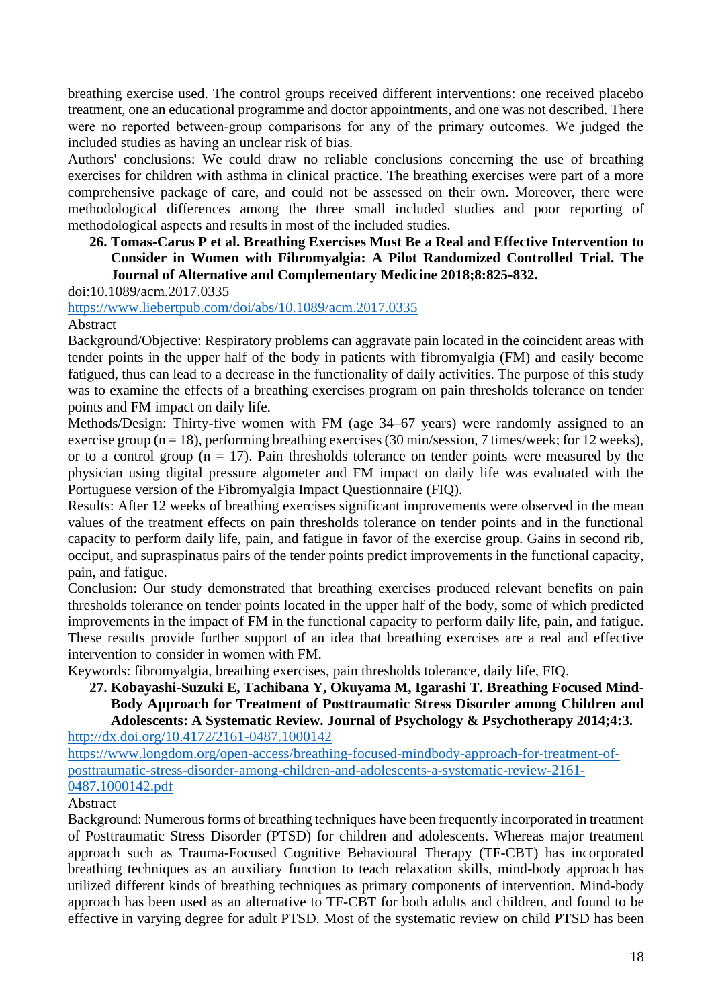breathing exercise used. The control groups received different interventions: one received placebo treatment, one an educational programme and doctor appointments, and one was not described. There were no reported between-group comparisons for any of the primary outcomes. We judged the included studies as having an unclear risk of bias.

Authors' conclusions: We could draw no reliable conclusions concerning the use of breathing exercises for children with asthma in clinical practice. The breathing exercises were part of a more comprehensive package of care, and could not be assessed on their own. Moreover, there were methodological differences among the three small included studies and poor reporting of methodological aspects and results in most of the included studies.

## **26. Tomas-Carus P et al. Breathing Exercises Must Be a Real and Effective Intervention to Consider in Women with Fibromyalgia: A Pilot Randomized Controlled Trial. The Journal of Alternative and Complementary Medicine 2018;8:825-832.**

doi:10.1089/acm.2017.0335

<https://www.liebertpub.com/doi/abs/10.1089/acm.2017.0335> Abstract

Background/Objective: Respiratory problems can aggravate pain located in the coincident areas with tender points in the upper half of the body in patients with fibromyalgia (FM) and easily become fatigued, thus can lead to a decrease in the functionality of daily activities. The purpose of this study was to examine the effects of a breathing exercises program on pain thresholds tolerance on tender points and FM impact on daily life.

Methods/Design: Thirty-five women with FM (age 34–67 years) were randomly assigned to an exercise group  $(n = 18)$ , performing breathing exercises (30 min/session, 7 times/week; for 12 weeks), or to a control group  $(n = 17)$ . Pain thresholds tolerance on tender points were measured by the physician using digital pressure algometer and FM impact on daily life was evaluated with the Portuguese version of the Fibromyalgia Impact Questionnaire (FIQ).

Results: After 12 weeks of breathing exercises significant improvements were observed in the mean values of the treatment effects on pain thresholds tolerance on tender points and in the functional capacity to perform daily life, pain, and fatigue in favor of the exercise group. Gains in second rib, occiput, and supraspinatus pairs of the tender points predict improvements in the functional capacity, pain, and fatigue.

Conclusion: Our study demonstrated that breathing exercises produced relevant benefits on pain thresholds tolerance on tender points located in the upper half of the body, some of which predicted improvements in the impact of FM in the functional capacity to perform daily life, pain, and fatigue. These results provide further support of an idea that breathing exercises are a real and effective intervention to consider in women with FM.

Keywords: fibromyalgia, breathing exercises, pain thresholds tolerance, daily life, FIQ.

#### **27. Kobayashi-Suzuki E, Tachibana Y, Okuyama M, Igarashi T. Breathing Focused Mind-Body Approach for Treatment of Posttraumatic Stress Disorder among Children and Adolescents: A Systematic Review. Journal of Psychology & Psychotherapy 2014;4:3.** <http://dx.doi.org/10.4172/2161-0487.1000142>

[https://www.longdom.org/open-access/breathing-focused-mindbody-approach-for-treatment-of](https://www.longdom.org/open-access/breathing-focused-mindbody-approach-for-treatment-of-posttraumatic-stress-disorder-among-children-and-adolescents-a-systematic-review-2161-0487.1000142.pdf)[posttraumatic-stress-disorder-among-children-and-adolescents-a-systematic-review-2161-](https://www.longdom.org/open-access/breathing-focused-mindbody-approach-for-treatment-of-posttraumatic-stress-disorder-among-children-and-adolescents-a-systematic-review-2161-0487.1000142.pdf) [0487.1000142.pdf](https://www.longdom.org/open-access/breathing-focused-mindbody-approach-for-treatment-of-posttraumatic-stress-disorder-among-children-and-adolescents-a-systematic-review-2161-0487.1000142.pdf)

## Abstract

Background: Numerous forms of breathing techniques have been frequently incorporated in treatment of Posttraumatic Stress Disorder (PTSD) for children and adolescents. Whereas major treatment approach such as Trauma-Focused Cognitive Behavioural Therapy (TF-CBT) has incorporated breathing techniques as an auxiliary function to teach relaxation skills, mind-body approach has utilized different kinds of breathing techniques as primary components of intervention. Mind-body approach has been used as an alternative to TF-CBT for both adults and children, and found to be effective in varying degree for adult PTSD. Most of the systematic review on child PTSD has been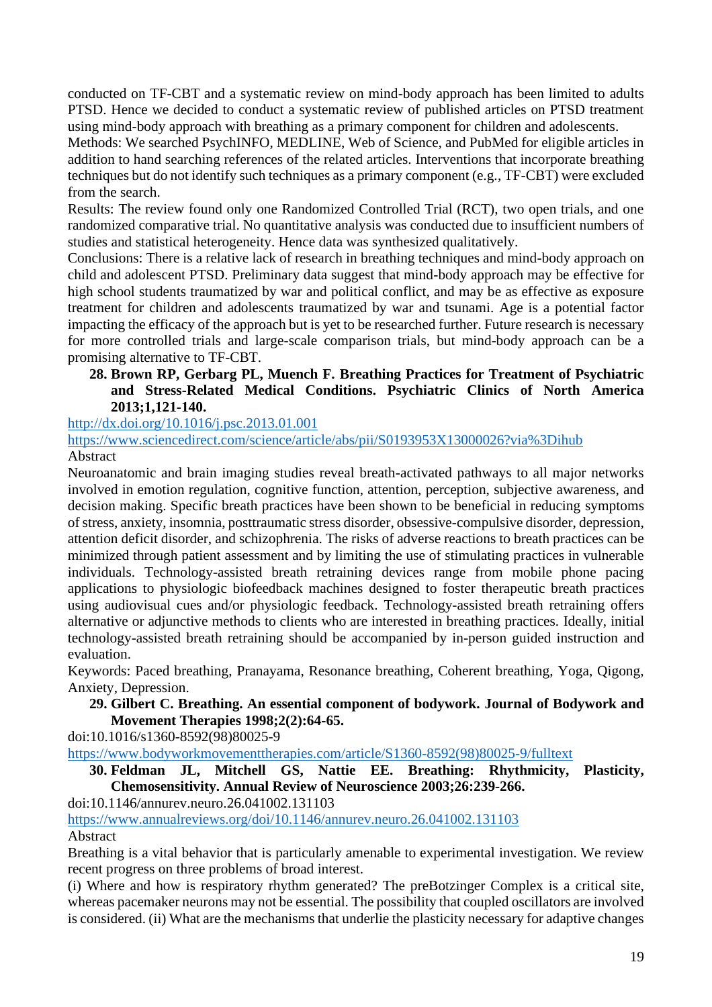conducted on TF-CBT and a systematic review on mind-body approach has been limited to adults PTSD. Hence we decided to conduct a systematic review of published articles on PTSD treatment using mind-body approach with breathing as a primary component for children and adolescents.

Methods: We searched PsychINFO, MEDLINE, Web of Science, and PubMed for eligible articles in addition to hand searching references of the related articles. Interventions that incorporate breathing techniques but do not identify such techniques as a primary component (e.g., TF-CBT) were excluded from the search.

Results: The review found only one Randomized Controlled Trial (RCT), two open trials, and one randomized comparative trial. No quantitative analysis was conducted due to insufficient numbers of studies and statistical heterogeneity. Hence data was synthesized qualitatively.

Conclusions: There is a relative lack of research in breathing techniques and mind-body approach on child and adolescent PTSD. Preliminary data suggest that mind-body approach may be effective for high school students traumatized by war and political conflict, and may be as effective as exposure treatment for children and adolescents traumatized by war and tsunami. Age is a potential factor impacting the efficacy of the approach but is yet to be researched further. Future research is necessary for more controlled trials and large-scale comparison trials, but mind-body approach can be a promising alternative to TF-CBT.

## **28. Brown RP, Gerbarg PL, Muench F. Breathing Practices for Treatment of Psychiatric and Stress-Related Medical Conditions. Psychiatric Clinics of North America 2013;1,121-140.**

<http://dx.doi.org/10.1016/j.psc.2013.01.001>

<https://www.sciencedirect.com/science/article/abs/pii/S0193953X13000026?via%3Dihub>

Abstract

Neuroanatomic and brain imaging studies reveal breath-activated pathways to all major networks involved in emotion regulation, cognitive function, attention, perception, subjective awareness, and decision making. Specific breath practices have been shown to be beneficial in reducing symptoms ofstress, anxiety, insomnia, posttraumatic stress disorder, obsessive-compulsive disorder, depression, attention deficit disorder, and schizophrenia. The risks of adverse reactions to breath practices can be minimized through patient assessment and by limiting the use of stimulating practices in vulnerable individuals. Technology-assisted breath retraining devices range from mobile phone pacing applications to physiologic biofeedback machines designed to foster therapeutic breath practices using audiovisual cues and/or physiologic feedback. Technology-assisted breath retraining offers alternative or adjunctive methods to clients who are interested in breathing practices. Ideally, initial technology-assisted breath retraining should be accompanied by in-person guided instruction and evaluation.

Keywords: Paced breathing, Pranayama, Resonance breathing, Coherent breathing, Yoga, Qigong, Anxiety, Depression.

## **29. Gilbert C. Breathing. An essential component of bodywork. Journal of Bodywork and Movement Therapies 1998;2(2):64-65.**

doi:10.1016/s1360-8592(98)80025-9

[https://www.bodyworkmovementtherapies.com/article/S1360-8592\(98\)80025-9/fulltext](https://www.bodyworkmovementtherapies.com/article/S1360-8592(98)80025-9/fulltext)

**30. Feldman JL, Mitchell GS, Nattie EE. Breathing: Rhythmicity, Plasticity, Chemosensitivity. Annual Review of Neuroscience 2003;26:239-266.**

doi:10.1146/annurev.neuro.26.041002.131103

<https://www.annualreviews.org/doi/10.1146/annurev.neuro.26.041002.131103>

Abstract

Breathing is a vital behavior that is particularly amenable to experimental investigation. We review recent progress on three problems of broad interest.

(i) Where and how is respiratory rhythm generated? The preBotzinger Complex is a critical site, whereas pacemaker neurons may not be essential. The possibility that coupled oscillators are involved is considered. (ii) What are the mechanisms that underlie the plasticity necessary for adaptive changes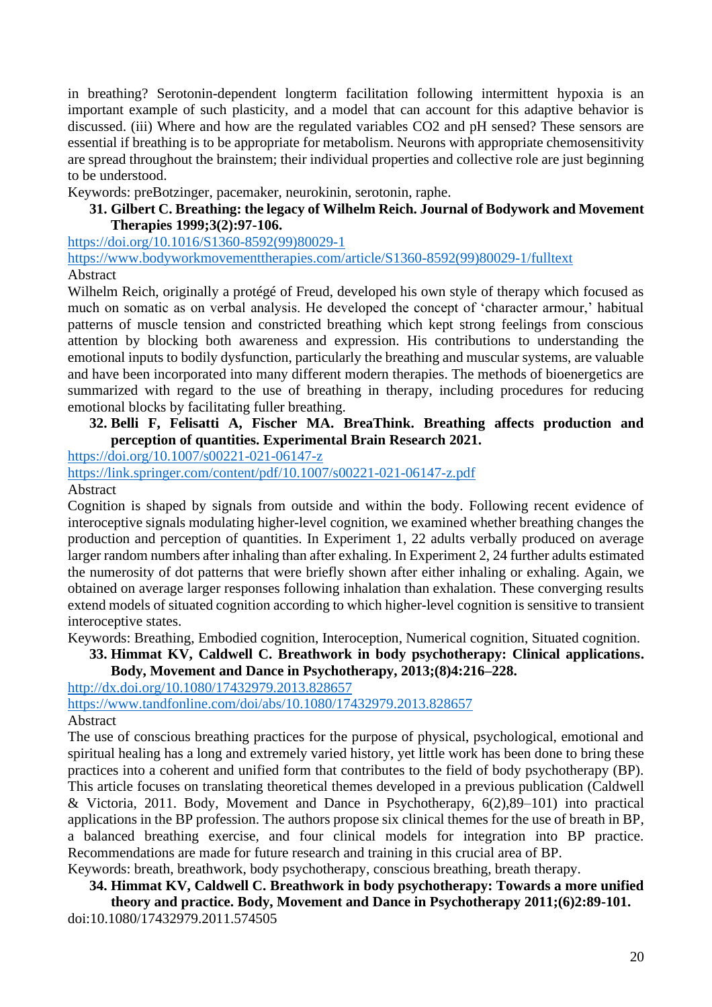in breathing? Serotonin-dependent longterm facilitation following intermittent hypoxia is an important example of such plasticity, and a model that can account for this adaptive behavior is discussed. (iii) Where and how are the regulated variables CO2 and pH sensed? These sensors are essential if breathing is to be appropriate for metabolism. Neurons with appropriate chemosensitivity are spread throughout the brainstem; their individual properties and collective role are just beginning to be understood.

Keywords: preBotzinger, pacemaker, neurokinin, serotonin, raphe.

## **31. Gilbert C. Breathing: the legacy of Wilhelm Reich. Journal of Bodywork and Movement Therapies 1999;3(2):97-106.**

[https://doi.org/10.1016/S1360-8592\(99\)80029-1](https://doi.org/10.1016/S1360-8592(99)80029-1)

[https://www.bodyworkmovementtherapies.com/article/S1360-8592\(99\)80029-1/fulltext](https://www.bodyworkmovementtherapies.com/article/S1360-8592(99)80029-1/fulltext)

Abstract

Wilhelm Reich, originally a protégé of Freud, developed his own style of therapy which focused as much on somatic as on verbal analysis. He developed the concept of 'character armour,' habitual patterns of muscle tension and constricted breathing which kept strong feelings from conscious attention by blocking both awareness and expression. His contributions to understanding the emotional inputs to bodily dysfunction, particularly the breathing and muscular systems, are valuable and have been incorporated into many different modern therapies. The methods of bioenergetics are summarized with regard to the use of breathing in therapy, including procedures for reducing emotional blocks by facilitating fuller breathing.

## **32. Belli F, Felisatti A, Fischer MA. BreaThink. Breathing affects production and perception of quantities. Experimental Brain Research 2021.**

<https://doi.org/10.1007/s00221-021-06147-z>

<https://link.springer.com/content/pdf/10.1007/s00221-021-06147-z.pdf> Abstract

Cognition is shaped by signals from outside and within the body. Following recent evidence of interoceptive signals modulating higher-level cognition, we examined whether breathing changes the production and perception of quantities. In Experiment 1, 22 adults verbally produced on average larger random numbers after inhaling than after exhaling. In Experiment 2, 24 further adults estimated the numerosity of dot patterns that were briefly shown after either inhaling or exhaling. Again, we obtained on average larger responses following inhalation than exhalation. These converging results extend models of situated cognition according to which higher-level cognition is sensitive to transient interoceptive states.

Keywords: Breathing, Embodied cognition, Interoception, Numerical cognition, Situated cognition.

**33. Himmat KV, Caldwell C. Breathwork in body psychotherapy: Clinical applications. Body, Movement and Dance in Psychotherapy, 2013;(8)4:216–228.**

<http://dx.doi.org/10.1080/17432979.2013.828657>

<https://www.tandfonline.com/doi/abs/10.1080/17432979.2013.828657>

## Abstract

The use of conscious breathing practices for the purpose of physical, psychological, emotional and spiritual healing has a long and extremely varied history, yet little work has been done to bring these practices into a coherent and unified form that contributes to the field of body psychotherapy (BP). This article focuses on translating theoretical themes developed in a previous publication (Caldwell & Victoria, 2011. Body, Movement and Dance in Psychotherapy, 6(2),89–101) into practical applications in the BP profession. The authors propose six clinical themes for the use of breath in BP, a balanced breathing exercise, and four clinical models for integration into BP practice. Recommendations are made for future research and training in this crucial area of BP.

Keywords: breath, breathwork, body psychotherapy, conscious breathing, breath therapy.

# **34. Himmat KV, Caldwell C. Breathwork in body psychotherapy: Towards a more unified theory and practice. Body, Movement and Dance in Psychotherapy 2011;(6)2:89-101.**

doi:10.1080/17432979.2011.574505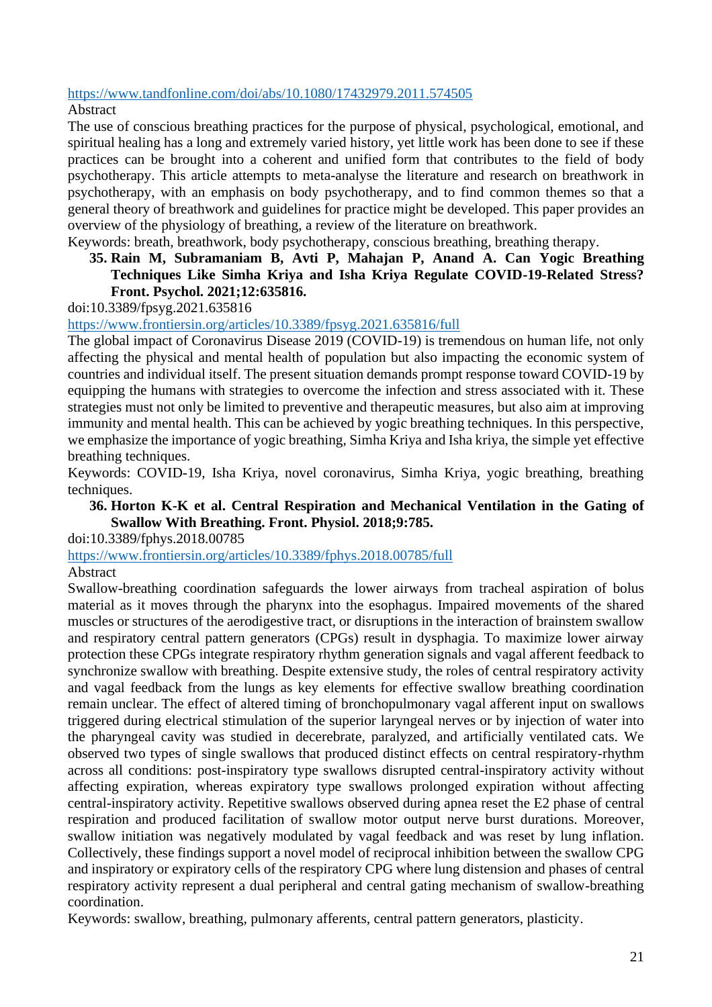## <https://www.tandfonline.com/doi/abs/10.1080/17432979.2011.574505>

Abstract

The use of conscious breathing practices for the purpose of physical, psychological, emotional, and spiritual healing has a long and extremely varied history, yet little work has been done to see if these practices can be brought into a coherent and unified form that contributes to the field of body psychotherapy. This article attempts to meta-analyse the literature and research on breathwork in psychotherapy, with an emphasis on body psychotherapy, and to find common themes so that a general theory of breathwork and guidelines for practice might be developed. This paper provides an overview of the physiology of breathing, a review of the literature on breathwork.

Keywords: breath, breathwork, body psychotherapy, conscious breathing, breathing therapy.

## **35. Rain M, Subramaniam B, Avti P, Mahajan P, Anand A. Can Yogic Breathing Techniques Like Simha Kriya and Isha Kriya Regulate COVID-19-Related Stress? Front. Psychol. 2021;12:635816.**

doi:10.3389/fpsyg.2021.635816

<https://www.frontiersin.org/articles/10.3389/fpsyg.2021.635816/full>

The global impact of Coronavirus Disease 2019 (COVID-19) is tremendous on human life, not only affecting the physical and mental health of population but also impacting the economic system of countries and individual itself. The present situation demands prompt response toward COVID-19 by equipping the humans with strategies to overcome the infection and stress associated with it. These strategies must not only be limited to preventive and therapeutic measures, but also aim at improving immunity and mental health. This can be achieved by yogic breathing techniques. In this perspective, we emphasize the importance of yogic breathing, Simha Kriya and Isha kriya, the simple yet effective breathing techniques.

Keywords: COVID-19, Isha Kriya, novel coronavirus, Simha Kriya, yogic breathing, breathing techniques.

## **36. Horton K-K et al. Central Respiration and Mechanical Ventilation in the Gating of Swallow With Breathing. Front. Physiol. 2018;9:785.**

doi:10.3389/fphys.2018.00785

<https://www.frontiersin.org/articles/10.3389/fphys.2018.00785/full>

## Abstract

Swallow-breathing coordination safeguards the lower airways from tracheal aspiration of bolus material as it moves through the pharynx into the esophagus. Impaired movements of the shared muscles or structures of the aerodigestive tract, or disruptions in the interaction of brainstem swallow and respiratory central pattern generators (CPGs) result in dysphagia. To maximize lower airway protection these CPGs integrate respiratory rhythm generation signals and vagal afferent feedback to synchronize swallow with breathing. Despite extensive study, the roles of central respiratory activity and vagal feedback from the lungs as key elements for effective swallow breathing coordination remain unclear. The effect of altered timing of bronchopulmonary vagal afferent input on swallows triggered during electrical stimulation of the superior laryngeal nerves or by injection of water into the pharyngeal cavity was studied in decerebrate, paralyzed, and artificially ventilated cats. We observed two types of single swallows that produced distinct effects on central respiratory-rhythm across all conditions: post-inspiratory type swallows disrupted central-inspiratory activity without affecting expiration, whereas expiratory type swallows prolonged expiration without affecting central-inspiratory activity. Repetitive swallows observed during apnea reset the E2 phase of central respiration and produced facilitation of swallow motor output nerve burst durations. Moreover, swallow initiation was negatively modulated by vagal feedback and was reset by lung inflation. Collectively, these findings support a novel model of reciprocal inhibition between the swallow CPG and inspiratory or expiratory cells of the respiratory CPG where lung distension and phases of central respiratory activity represent a dual peripheral and central gating mechanism of swallow-breathing coordination.

Keywords: swallow, breathing, pulmonary afferents, central pattern generators, plasticity.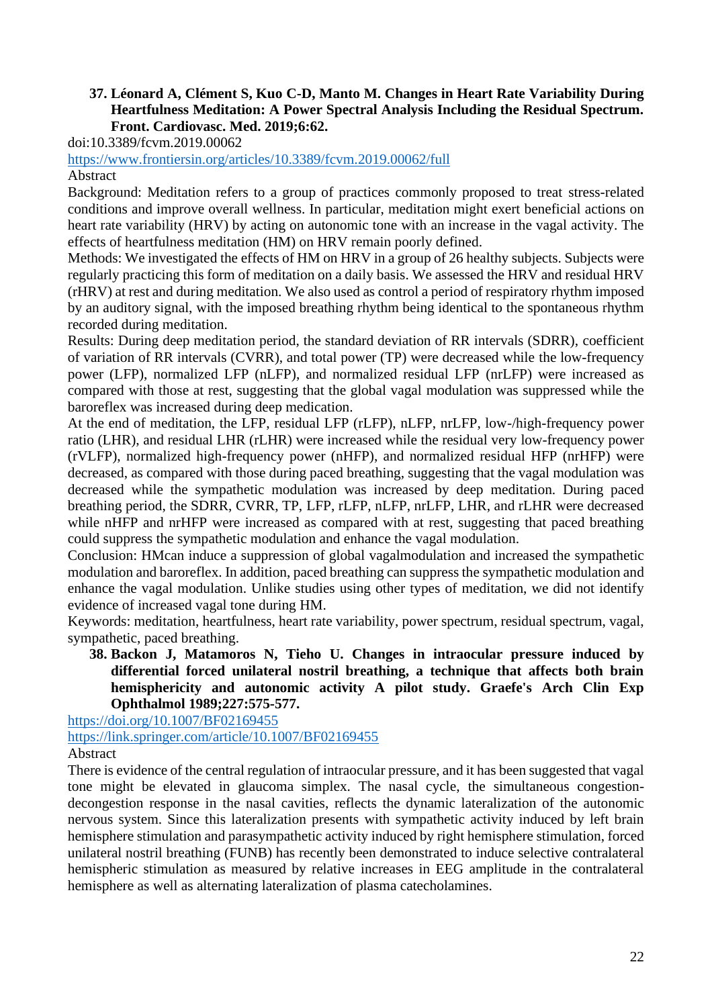## **37. Léonard A, Clément S, Kuo C-D, Manto M. Changes in Heart Rate Variability During Heartfulness Meditation: A Power Spectral Analysis Including the Residual Spectrum. Front. Cardiovasc. Med. 2019;6:62.**

doi:10.3389/fcvm.2019.00062

<https://www.frontiersin.org/articles/10.3389/fcvm.2019.00062/full>

Abstract

Background: Meditation refers to a group of practices commonly proposed to treat stress-related conditions and improve overall wellness. In particular, meditation might exert beneficial actions on heart rate variability (HRV) by acting on autonomic tone with an increase in the vagal activity. The effects of heartfulness meditation (HM) on HRV remain poorly defined.

Methods: We investigated the effects of HM on HRV in a group of 26 healthy subjects. Subjects were regularly practicing this form of meditation on a daily basis. We assessed the HRV and residual HRV (rHRV) at rest and during meditation. We also used as control a period of respiratory rhythm imposed by an auditory signal, with the imposed breathing rhythm being identical to the spontaneous rhythm recorded during meditation.

Results: During deep meditation period, the standard deviation of RR intervals (SDRR), coefficient of variation of RR intervals (CVRR), and total power (TP) were decreased while the low-frequency power (LFP), normalized LFP (nLFP), and normalized residual LFP (nrLFP) were increased as compared with those at rest, suggesting that the global vagal modulation was suppressed while the baroreflex was increased during deep medication.

At the end of meditation, the LFP, residual LFP (rLFP), nLFP, nrLFP, low-/high-frequency power ratio (LHR), and residual LHR (rLHR) were increased while the residual very low-frequency power (rVLFP), normalized high-frequency power (nHFP), and normalized residual HFP (nrHFP) were decreased, as compared with those during paced breathing, suggesting that the vagal modulation was decreased while the sympathetic modulation was increased by deep meditation. During paced breathing period, the SDRR, CVRR, TP, LFP, rLFP, nLFP, nrLFP, LHR, and rLHR were decreased while nHFP and nrHFP were increased as compared with at rest, suggesting that paced breathing could suppress the sympathetic modulation and enhance the vagal modulation.

Conclusion: HMcan induce a suppression of global vagalmodulation and increased the sympathetic modulation and baroreflex. In addition, paced breathing can suppress the sympathetic modulation and enhance the vagal modulation. Unlike studies using other types of meditation, we did not identify evidence of increased vagal tone during HM.

Keywords: meditation, heartfulness, heart rate variability, power spectrum, residual spectrum, vagal, sympathetic, paced breathing.

**38. Backon J, Matamoros N, Tieho U. Changes in intraocular pressure induced by differential forced unilateral nostril breathing, a technique that affects both brain hemisphericity and autonomic activity A pilot study. Graefe's Arch Clin Exp Ophthalmol 1989;227:575-577.**

<https://doi.org/10.1007/BF02169455> <https://link.springer.com/article/10.1007/BF02169455> Abstract

There is evidence of the central regulation of intraocular pressure, and it has been suggested that vagal tone might be elevated in glaucoma simplex. The nasal cycle, the simultaneous congestiondecongestion response in the nasal cavities, reflects the dynamic lateralization of the autonomic nervous system. Since this lateralization presents with sympathetic activity induced by left brain hemisphere stimulation and parasympathetic activity induced by right hemisphere stimulation, forced unilateral nostril breathing (FUNB) has recently been demonstrated to induce selective contralateral hemispheric stimulation as measured by relative increases in EEG amplitude in the contralateral hemisphere as well as alternating lateralization of plasma catecholamines.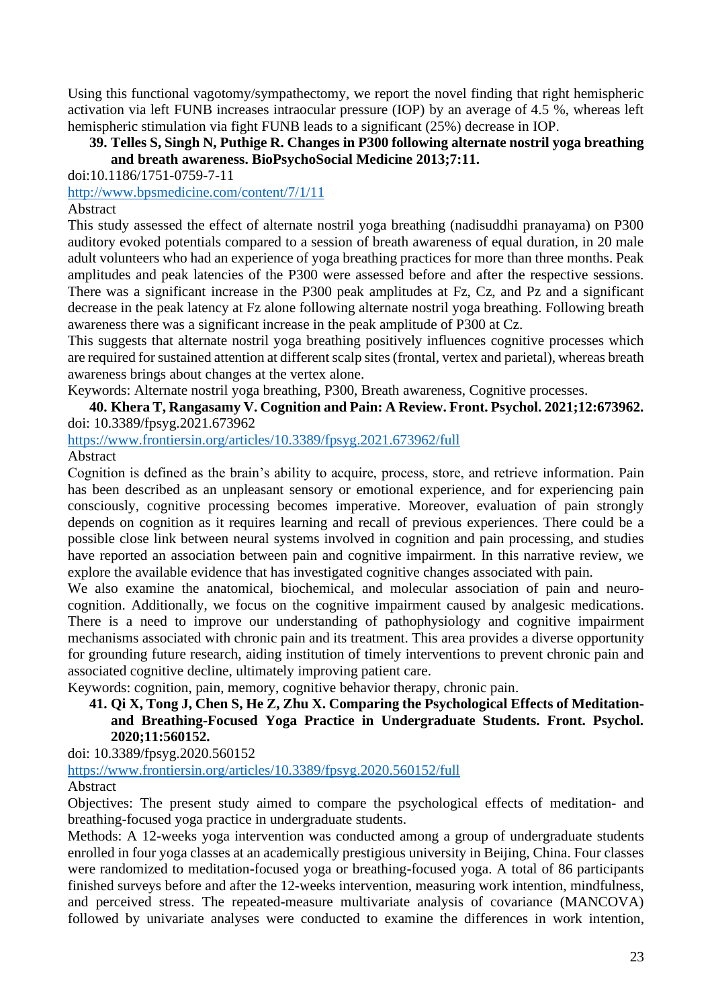Using this functional vagotomy/sympathectomy, we report the novel finding that right hemispheric activation via left FUNB increases intraocular pressure (IOP) by an average of 4.5 %, whereas left hemispheric stimulation via fight FUNB leads to a significant (25%) decrease in IOP.

#### **39. Telles S, Singh N, Puthige R. Changes in P300 following alternate nostril yoga breathing and breath awareness. BioPsychoSocial Medicine 2013;7:11.**

doi:10.1186/1751-0759-7-11

<http://www.bpsmedicine.com/content/7/1/11>

#### Abstract

This study assessed the effect of alternate nostril yoga breathing (nadisuddhi pranayama) on P300 auditory evoked potentials compared to a session of breath awareness of equal duration, in 20 male adult volunteers who had an experience of yoga breathing practices for more than three months. Peak amplitudes and peak latencies of the P300 were assessed before and after the respective sessions. There was a significant increase in the P300 peak amplitudes at Fz, Cz, and Pz and a significant decrease in the peak latency at Fz alone following alternate nostril yoga breathing. Following breath awareness there was a significant increase in the peak amplitude of P300 at Cz.

This suggests that alternate nostril yoga breathing positively influences cognitive processes which are required for sustained attention at different scalp sites (frontal, vertex and parietal), whereas breath awareness brings about changes at the vertex alone.

Keywords: Alternate nostril yoga breathing, P300, Breath awareness, Cognitive processes.

**40. Khera T, Rangasamy V. Cognition and Pain: A Review. Front. Psychol. 2021;12:673962.** doi: 10.3389/fpsyg.2021.673962

#### <https://www.frontiersin.org/articles/10.3389/fpsyg.2021.673962/full>

#### Abstract

Cognition is defined as the brain's ability to acquire, process, store, and retrieve information. Pain has been described as an unpleasant sensory or emotional experience, and for experiencing pain consciously, cognitive processing becomes imperative. Moreover, evaluation of pain strongly depends on cognition as it requires learning and recall of previous experiences. There could be a possible close link between neural systems involved in cognition and pain processing, and studies have reported an association between pain and cognitive impairment. In this narrative review, we explore the available evidence that has investigated cognitive changes associated with pain.

We also examine the anatomical, biochemical, and molecular association of pain and neurocognition. Additionally, we focus on the cognitive impairment caused by analgesic medications. There is a need to improve our understanding of pathophysiology and cognitive impairment mechanisms associated with chronic pain and its treatment. This area provides a diverse opportunity for grounding future research, aiding institution of timely interventions to prevent chronic pain and associated cognitive decline, ultimately improving patient care.

Keywords: cognition, pain, memory, cognitive behavior therapy, chronic pain.

## **41. Qi X, Tong J, Chen S, He Z, Zhu X. Comparing the Psychological Effects of Meditationand Breathing-Focused Yoga Practice in Undergraduate Students. Front. Psychol. 2020;11:560152.**

doi: 10.3389/fpsyg.2020.560152

<https://www.frontiersin.org/articles/10.3389/fpsyg.2020.560152/full>

#### Abstract

Objectives: The present study aimed to compare the psychological effects of meditation- and breathing-focused yoga practice in undergraduate students.

Methods: A 12-weeks yoga intervention was conducted among a group of undergraduate students enrolled in four yoga classes at an academically prestigious university in Beijing, China. Four classes were randomized to meditation-focused yoga or breathing-focused yoga. A total of 86 participants finished surveys before and after the 12-weeks intervention, measuring work intention, mindfulness, and perceived stress. The repeated-measure multivariate analysis of covariance (MANCOVA) followed by univariate analyses were conducted to examine the differences in work intention,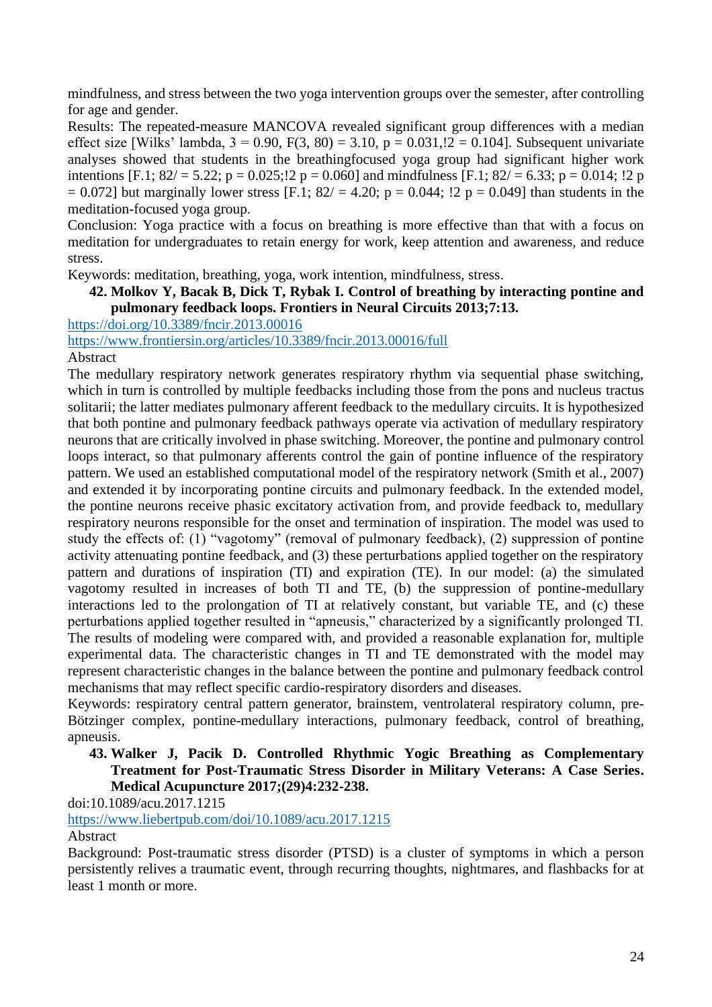mindfulness, and stress between the two yoga intervention groups over the semester, after controlling for age and gender.

Results: The repeated-measure MANCOVA revealed significant group differences with a median effect size [Wilks' lambda,  $3 = 0.90$ , F(3, 80) = 3.10, p = 0.031,!2 = 0.104]. Subsequent univariate analyses showed that students in the breathingfocused yoga group had significant higher work intentions [F.1; 82/ = 5.22; p = 0.025;!2 p = 0.060] and mindfulness [F.1; 82/ = 6.33; p = 0.014; !2 p  $= 0.072$ ] but marginally lower stress [F.1; 82/ = 4.20; p = 0.044; !2 p = 0.049] than students in the meditation-focused yoga group.

Conclusion: Yoga practice with a focus on breathing is more effective than that with a focus on meditation for undergraduates to retain energy for work, keep attention and awareness, and reduce stress.

Keywords: meditation, breathing, yoga, work intention, mindfulness, stress.

## **42. Molkov Y, Bacak B, Dick T, Rybak I. Control of breathing by interacting pontine and pulmonary feedback loops. Frontiers in Neural Circuits 2013;7:13.**

<https://doi.org/10.3389/fncir.2013.00016>

<https://www.frontiersin.org/articles/10.3389/fncir.2013.00016/full>

#### Abstract

The medullary respiratory network generates respiratory rhythm via sequential phase switching, which in turn is controlled by multiple feedbacks including those from the pons and nucleus tractus solitarii; the latter mediates pulmonary afferent feedback to the medullary circuits. It is hypothesized that both pontine and pulmonary feedback pathways operate via activation of medullary respiratory neurons that are critically involved in phase switching. Moreover, the pontine and pulmonary control loops interact, so that pulmonary afferents control the gain of pontine influence of the respiratory pattern. We used an established computational model of the respiratory network (Smith et al., 2007) and extended it by incorporating pontine circuits and pulmonary feedback. In the extended model, the pontine neurons receive phasic excitatory activation from, and provide feedback to, medullary respiratory neurons responsible for the onset and termination of inspiration. The model was used to study the effects of: (1) "vagotomy" (removal of pulmonary feedback), (2) suppression of pontine activity attenuating pontine feedback, and (3) these perturbations applied together on the respiratory pattern and durations of inspiration (TI) and expiration (TE). In our model: (a) the simulated vagotomy resulted in increases of both TI and TE, (b) the suppression of pontine-medullary interactions led to the prolongation of TI at relatively constant, but variable TE, and (c) these perturbations applied together resulted in "apneusis," characterized by a significantly prolonged TI. The results of modeling were compared with, and provided a reasonable explanation for, multiple experimental data. The characteristic changes in TI and TE demonstrated with the model may represent characteristic changes in the balance between the pontine and pulmonary feedback control mechanisms that may reflect specific cardio-respiratory disorders and diseases.

Keywords: respiratory central pattern generator, brainstem, ventrolateral respiratory column, pre-Bötzinger complex, pontine-medullary interactions, pulmonary feedback, control of breathing, apneusis.

#### **43. Walker J, Pacik D. Controlled Rhythmic Yogic Breathing as Complementary Treatment for Post-Traumatic Stress Disorder in Military Veterans: A Case Series. Medical Acupuncture 2017;(29)4:232-238.**

doi:10.1089/acu.2017.1215

<https://www.liebertpub.com/doi/10.1089/acu.2017.1215>

## Abstract

Background: Post-traumatic stress disorder (PTSD) is a cluster of symptoms in which a person persistently relives a traumatic event, through recurring thoughts, nightmares, and flashbacks for at least 1 month or more.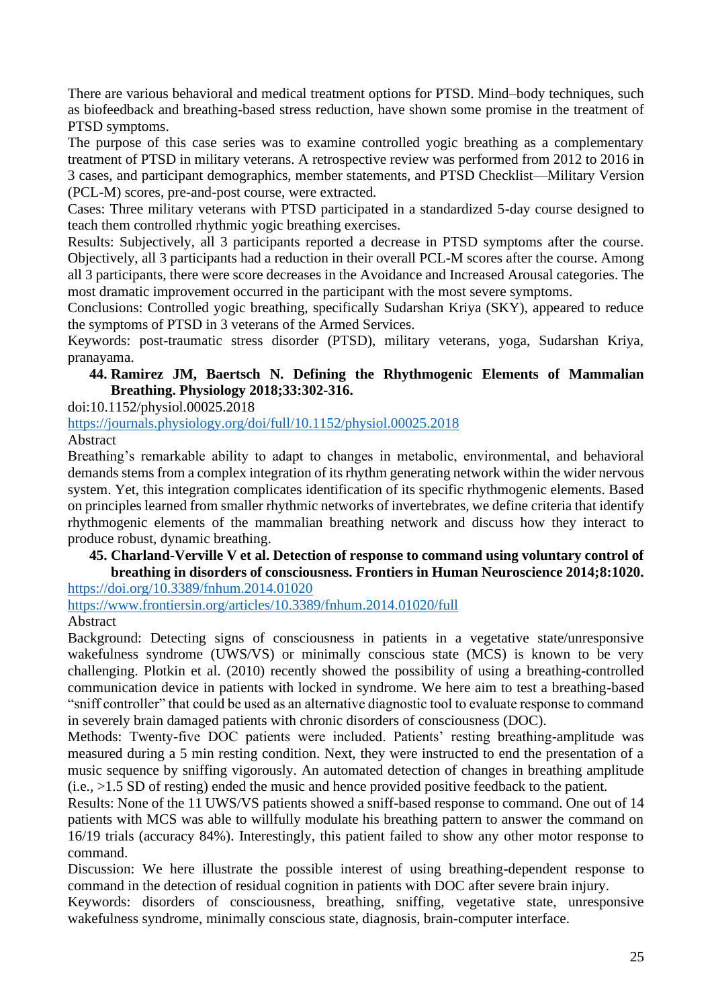There are various behavioral and medical treatment options for PTSD. Mind–body techniques, such as biofeedback and breathing-based stress reduction, have shown some promise in the treatment of PTSD symptoms.

The purpose of this case series was to examine controlled yogic breathing as a complementary treatment of PTSD in military veterans. A retrospective review was performed from 2012 to 2016 in 3 cases, and participant demographics, member statements, and PTSD Checklist—Military Version (PCL-M) scores, pre-and-post course, were extracted.

Cases: Three military veterans with PTSD participated in a standardized 5-day course designed to teach them controlled rhythmic yogic breathing exercises.

Results: Subjectively, all 3 participants reported a decrease in PTSD symptoms after the course. Objectively, all 3 participants had a reduction in their overall PCL-M scores after the course. Among all 3 participants, there were score decreases in the Avoidance and Increased Arousal categories. The most dramatic improvement occurred in the participant with the most severe symptoms.

Conclusions: Controlled yogic breathing, specifically Sudarshan Kriya (SKY), appeared to reduce the symptoms of PTSD in 3 veterans of the Armed Services.

Keywords: post-traumatic stress disorder (PTSD), military veterans, yoga, Sudarshan Kriya, pranayama.

## **44. Ramirez JM, Baertsch N. Defining the Rhythmogenic Elements of Mammalian Breathing. Physiology 2018;33:302-316.**

doi:10.1152/physiol.00025.2018

<https://journals.physiology.org/doi/full/10.1152/physiol.00025.2018>

Abstract

Breathing's remarkable ability to adapt to changes in metabolic, environmental, and behavioral demands stems from a complex integration of its rhythm generating network within the wider nervous system. Yet, this integration complicates identification of its specific rhythmogenic elements. Based on principles learned from smaller rhythmic networks of invertebrates, we define criteria that identify rhythmogenic elements of the mammalian breathing network and discuss how they interact to produce robust, dynamic breathing.

## **45. Charland-Verville V et al. Detection of response to command using voluntary control of breathing in disorders of consciousness. Frontiers in Human Neuroscience 2014;8:1020.**

<https://doi.org/10.3389/fnhum.2014.01020>

<https://www.frontiersin.org/articles/10.3389/fnhum.2014.01020/full>

Abstract

Background: Detecting signs of consciousness in patients in a vegetative state/unresponsive wakefulness syndrome (UWS/VS) or minimally conscious state (MCS) is known to be very challenging. Plotkin et al. (2010) recently showed the possibility of using a breathing-controlled communication device in patients with locked in syndrome. We here aim to test a breathing-based "sniff controller" that could be used as an alternative diagnostic tool to evaluate response to command in severely brain damaged patients with chronic disorders of consciousness (DOC).

Methods: Twenty-five DOC patients were included. Patients' resting breathing-amplitude was measured during a 5 min resting condition. Next, they were instructed to end the presentation of a music sequence by sniffing vigorously. An automated detection of changes in breathing amplitude (i.e., >1.5 SD of resting) ended the music and hence provided positive feedback to the patient.

Results: None of the 11 UWS/VS patients showed a sniff-based response to command. One out of 14 patients with MCS was able to willfully modulate his breathing pattern to answer the command on 16/19 trials (accuracy 84%). Interestingly, this patient failed to show any other motor response to command.

Discussion: We here illustrate the possible interest of using breathing-dependent response to command in the detection of residual cognition in patients with DOC after severe brain injury.

Keywords: disorders of consciousness, breathing, sniffing, vegetative state, unresponsive wakefulness syndrome, minimally conscious state, diagnosis, brain-computer interface.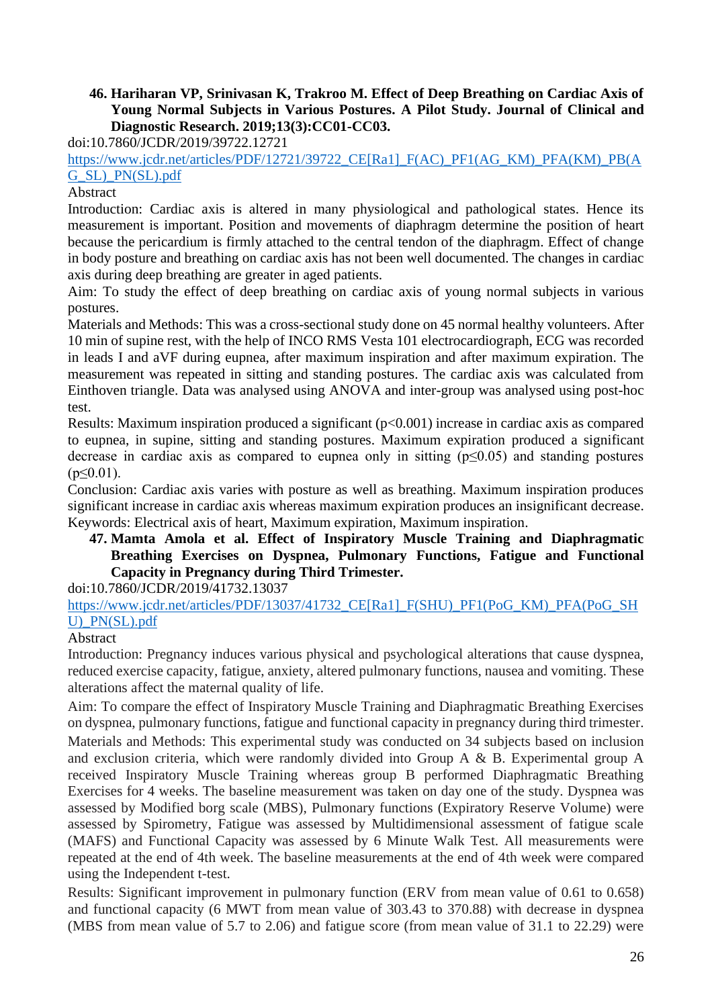## **46. Hariharan VP, Srinivasan K, Trakroo M. Effect of Deep Breathing on Cardiac Axis of Young Normal Subjects in Various Postures. A Pilot Study. Journal of Clinical and Diagnostic Research. 2019;13(3):CC01-CC03.**

doi:10.7860/JCDR/2019/39722.12721

[https://www.jcdr.net/articles/PDF/12721/39722\\_CE\[Ra1\]\\_F\(AC\)\\_PF1\(AG\\_KM\)\\_PFA\(KM\)\\_PB\(A](https://www.jcdr.net/articles/PDF/12721/39722_CE%5bRa1%5d_F(AC)_PF1(AG_KM)_PFA(KM)_PB(AG_SL)_PN(SL).pdf) [G\\_SL\)\\_PN\(SL\).pdf](https://www.jcdr.net/articles/PDF/12721/39722_CE%5bRa1%5d_F(AC)_PF1(AG_KM)_PFA(KM)_PB(AG_SL)_PN(SL).pdf)

#### Abstract

Introduction: Cardiac axis is altered in many physiological and pathological states. Hence its measurement is important. Position and movements of diaphragm determine the position of heart because the pericardium is firmly attached to the central tendon of the diaphragm. Effect of change in body posture and breathing on cardiac axis has not been well documented. The changes in cardiac axis during deep breathing are greater in aged patients.

Aim: To study the effect of deep breathing on cardiac axis of young normal subjects in various postures.

Materials and Methods: This was a cross-sectional study done on 45 normal healthy volunteers. After 10 min of supine rest, with the help of INCO RMS Vesta 101 electrocardiograph, ECG was recorded in leads I and aVF during eupnea, after maximum inspiration and after maximum expiration. The measurement was repeated in sitting and standing postures. The cardiac axis was calculated from Einthoven triangle. Data was analysed using ANOVA and inter-group was analysed using post-hoc test.

Results: Maximum inspiration produced a significant (p<0.001) increase in cardiac axis as compared to eupnea, in supine, sitting and standing postures. Maximum expiration produced a significant decrease in cardiac axis as compared to eupnea only in sitting  $(p \le 0.05)$  and standing postures  $(p \le 0.01)$ .

Conclusion: Cardiac axis varies with posture as well as breathing. Maximum inspiration produces significant increase in cardiac axis whereas maximum expiration produces an insignificant decrease. Keywords: Electrical axis of heart, Maximum expiration, Maximum inspiration.

## **47. Mamta Amola et al. Effect of Inspiratory Muscle Training and Diaphragmatic Breathing Exercises on Dyspnea, Pulmonary Functions, Fatigue and Functional Capacity in Pregnancy during Third Trimester.**

doi:10.7860/JCDR/2019/41732.13037

[https://www.jcdr.net/articles/PDF/13037/41732\\_CE\[Ra1\]\\_F\(SHU\)\\_PF1\(PoG\\_KM\)\\_PFA\(PoG\\_SH](https://www.jcdr.net/articles/PDF/13037/41732_CE%5bRa1%5d_F(SHU)_PF1(PoG_KM)_PFA(PoG_SHU)_PN(SL).pdf) [U\)\\_PN\(SL\).pdf](https://www.jcdr.net/articles/PDF/13037/41732_CE%5bRa1%5d_F(SHU)_PF1(PoG_KM)_PFA(PoG_SHU)_PN(SL).pdf)

## Abstract

Introduction: Pregnancy induces various physical and psychological alterations that cause dyspnea, reduced exercise capacity, fatigue, anxiety, altered pulmonary functions, nausea and vomiting. These alterations affect the maternal quality of life.

Aim: To compare the effect of Inspiratory Muscle Training and Diaphragmatic Breathing Exercises on dyspnea, pulmonary functions, fatigue and functional capacity in pregnancy during third trimester. Materials and Methods: This experimental study was conducted on 34 subjects based on inclusion and exclusion criteria, which were randomly divided into Group A & B. Experimental group A received Inspiratory Muscle Training whereas group B performed Diaphragmatic Breathing Exercises for 4 weeks. The baseline measurement was taken on day one of the study. Dyspnea was assessed by Modified borg scale (MBS), Pulmonary functions (Expiratory Reserve Volume) were assessed by Spirometry, Fatigue was assessed by Multidimensional assessment of fatigue scale (MAFS) and Functional Capacity was assessed by 6 Minute Walk Test. All measurements were repeated at the end of 4th week. The baseline measurements at the end of 4th week were compared using the Independent t-test.

Results: Significant improvement in pulmonary function (ERV from mean value of 0.61 to 0.658) and functional capacity (6 MWT from mean value of 303.43 to 370.88) with decrease in dyspnea (MBS from mean value of 5.7 to 2.06) and fatigue score (from mean value of 31.1 to 22.29) were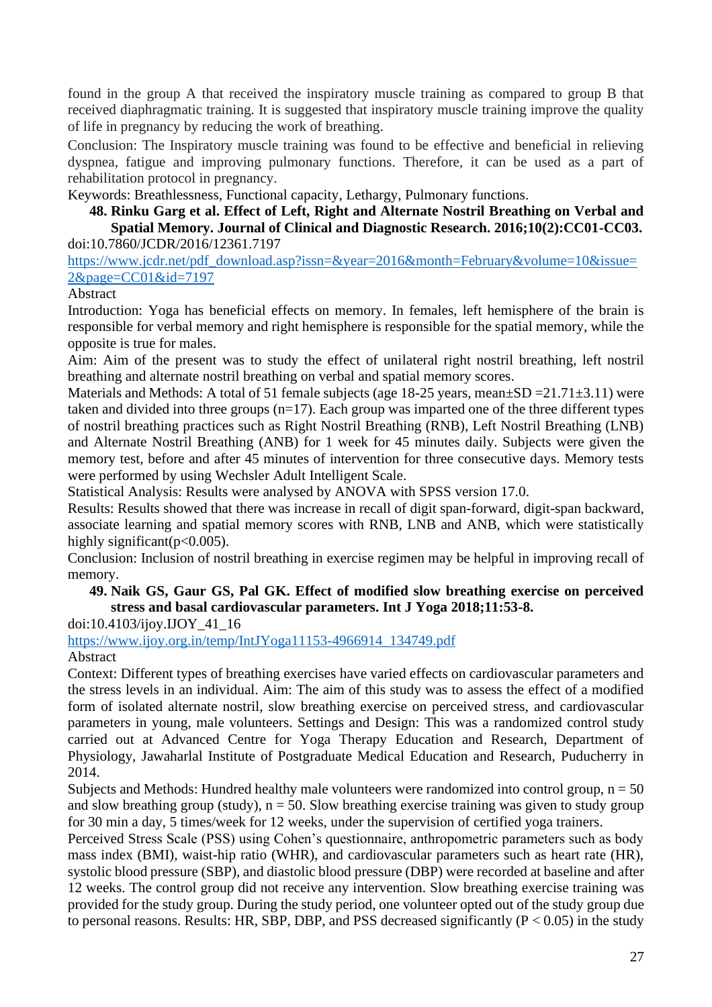found in the group A that received the inspiratory muscle training as compared to group B that received diaphragmatic training. It is suggested that inspiratory muscle training improve the quality of life in pregnancy by reducing the work of breathing.

Conclusion: The Inspiratory muscle training was found to be effective and beneficial in relieving dyspnea, fatigue and improving pulmonary functions. Therefore, it can be used as a part of rehabilitation protocol in pregnancy.

Keywords: Breathlessness, Functional capacity, Lethargy, Pulmonary functions.

## **48. Rinku Garg et al. Effect of Left, Right and Alternate Nostril Breathing on Verbal and Spatial Memory. Journal of Clinical and Diagnostic Research. 2016;10(2):CC01-CC03.**

doi:10.7860/JCDR/2016/12361.7197

[https://www.jcdr.net/pdf\\_download.asp?issn=&year=2016&month=February&volume=10&issue=](https://www.jcdr.net/pdf_download.asp?issn=&year=2016&month=February&volume=10&issue=2&page=CC01&id=7197) [2&page=CC01&id=7197](https://www.jcdr.net/pdf_download.asp?issn=&year=2016&month=February&volume=10&issue=2&page=CC01&id=7197)

## Abstract

Introduction: Yoga has beneficial effects on memory. In females, left hemisphere of the brain is responsible for verbal memory and right hemisphere is responsible for the spatial memory, while the opposite is true for males.

Aim: Aim of the present was to study the effect of unilateral right nostril breathing, left nostril breathing and alternate nostril breathing on verbal and spatial memory scores.

Materials and Methods: A total of 51 female subjects (age 18-25 years, mean $\pm$ SD =21.71 $\pm$ 3.11) were taken and divided into three groups  $(n=17)$ . Each group was imparted one of the three different types of nostril breathing practices such as Right Nostril Breathing (RNB), Left Nostril Breathing (LNB) and Alternate Nostril Breathing (ANB) for 1 week for 45 minutes daily. Subjects were given the memory test, before and after 45 minutes of intervention for three consecutive days. Memory tests were performed by using Wechsler Adult Intelligent Scale.

Statistical Analysis: Results were analysed by ANOVA with SPSS version 17.0.

Results: Results showed that there was increase in recall of digit span-forward, digit-span backward, associate learning and spatial memory scores with RNB, LNB and ANB, which were statistically highly significant( $p<0.005$ ).

Conclusion: Inclusion of nostril breathing in exercise regimen may be helpful in improving recall of memory.

## **49. Naik GS, Gaur GS, Pal GK. Effect of modified slow breathing exercise on perceived stress and basal cardiovascular parameters. Int J Yoga 2018;11:53-8.**

doi:10.4103/ijoy.IJOY\_41\_16

[https://www.ijoy.org.in/temp/IntJYoga11153-4966914\\_134749.pdf](https://www.ijoy.org.in/temp/IntJYoga11153-4966914_134749.pdf) Abstract

Context: Different types of breathing exercises have varied effects on cardiovascular parameters and the stress levels in an individual. Aim: The aim of this study was to assess the effect of a modified form of isolated alternate nostril, slow breathing exercise on perceived stress, and cardiovascular parameters in young, male volunteers. Settings and Design: This was a randomized control study carried out at Advanced Centre for Yoga Therapy Education and Research, Department of Physiology, Jawaharlal Institute of Postgraduate Medical Education and Research, Puducherry in 2014.

Subjects and Methods: Hundred healthy male volunteers were randomized into control group,  $n = 50$ and slow breathing group (study),  $n = 50$ . Slow breathing exercise training was given to study group for 30 min a day, 5 times/week for 12 weeks, under the supervision of certified yoga trainers.

Perceived Stress Scale (PSS) using Cohen's questionnaire, anthropometric parameters such as body mass index (BMI), waist-hip ratio (WHR), and cardiovascular parameters such as heart rate (HR), systolic blood pressure (SBP), and diastolic blood pressure (DBP) were recorded at baseline and after 12 weeks. The control group did not receive any intervention. Slow breathing exercise training was provided for the study group. During the study period, one volunteer opted out of the study group due to personal reasons. Results: HR, SBP, DBP, and PSS decreased significantly  $(P < 0.05)$  in the study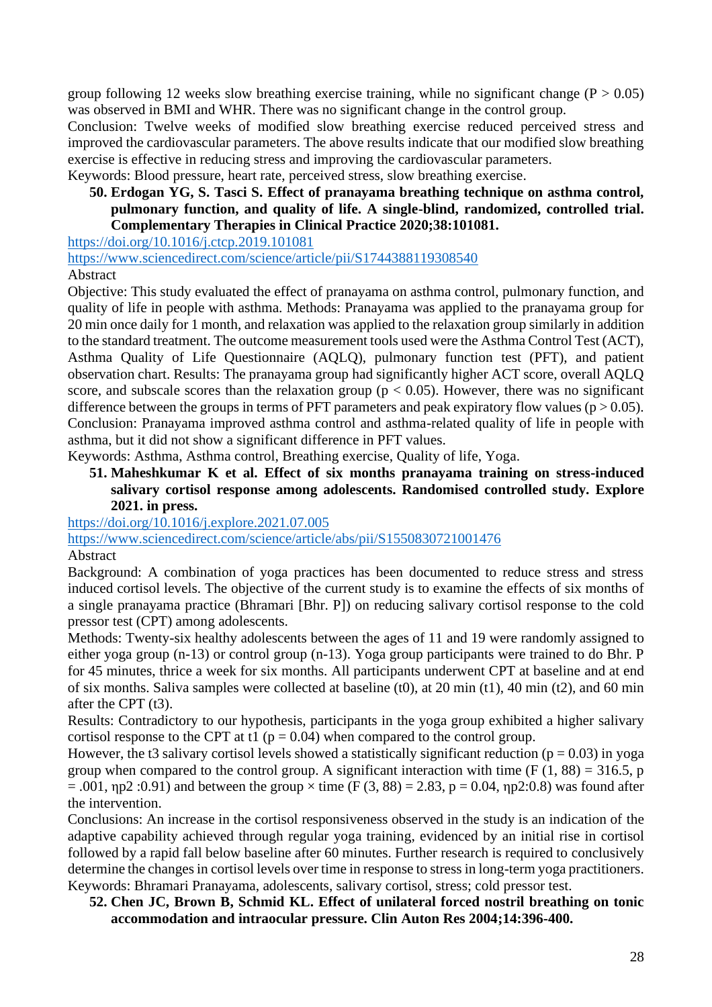group following 12 weeks slow breathing exercise training, while no significant change ( $P > 0.05$ ) was observed in BMI and WHR. There was no significant change in the control group.

Conclusion: Twelve weeks of modified slow breathing exercise reduced perceived stress and improved the cardiovascular parameters. The above results indicate that our modified slow breathing exercise is effective in reducing stress and improving the cardiovascular parameters.

Keywords: Blood pressure, heart rate, perceived stress, slow breathing exercise.

#### **50. Erdogan YG, S. Tasci S. Effect of pranayama breathing technique on asthma control, pulmonary function, and quality of life. A single-blind, randomized, controlled trial. Complementary Therapies in Clinical Practice 2020;38:101081.**

<https://doi.org/10.1016/j.ctcp.2019.101081>

<https://www.sciencedirect.com/science/article/pii/S1744388119308540>

Abstract

Objective: This study evaluated the effect of pranayama on asthma control, pulmonary function, and quality of life in people with asthma. Methods: Pranayama was applied to the pranayama group for 20 min once daily for 1 month, and relaxation was applied to the relaxation group similarly in addition to the standard treatment. The outcome measurement tools used were the Asthma Control Test (ACT), Asthma Quality of Life Questionnaire (AQLQ), pulmonary function test (PFT), and patient observation chart. Results: The pranayama group had significantly higher ACT score, overall AQLQ score, and subscale scores than the relaxation group ( $p < 0.05$ ). However, there was no significant difference between the groups in terms of PFT parameters and peak expiratory flow values ( $p > 0.05$ ). Conclusion: Pranayama improved asthma control and asthma-related quality of life in people with asthma, but it did not show a significant difference in PFT values.

Keywords: Asthma, Asthma control, Breathing exercise, Quality of life, Yoga.

#### **51. Maheshkumar K et al. Effect of six months pranayama training on stress-induced salivary cortisol response among adolescents. Randomised controlled study. Explore 2021. in press.**

<https://doi.org/10.1016/j.explore.2021.07.005>

<https://www.sciencedirect.com/science/article/abs/pii/S1550830721001476>

## Abstract

Background: A combination of yoga practices has been documented to reduce stress and stress induced cortisol levels. The objective of the current study is to examine the effects of six months of a single pranayama practice (Bhramari [Bhr. P]) on reducing salivary cortisol response to the cold pressor test (CPT) among adolescents.

Methods: Twenty-six healthy adolescents between the ages of 11 and 19 were randomly assigned to either yoga group (n-13) or control group (n-13). Yoga group participants were trained to do Bhr. P for 45 minutes, thrice a week for six months. All participants underwent CPT at baseline and at end of six months. Saliva samples were collected at baseline (t0), at 20 min (t1), 40 min (t2), and 60 min after the CPT (t3).

Results: Contradictory to our hypothesis, participants in the yoga group exhibited a higher salivary cortisol response to the CPT at t1 ( $p = 0.04$ ) when compared to the control group.

However, the t3 salivary cortisol levels showed a statistically significant reduction ( $p = 0.03$ ) in yoga group when compared to the control group. A significant interaction with time (F  $(1, 88) = 316.5$ , p  $= .001$ , np2 :0.91) and between the group  $\times$  time (F (3, 88) = 2.83, p = 0.04, np2:0.8) was found after the intervention.

Conclusions: An increase in the cortisol responsiveness observed in the study is an indication of the adaptive capability achieved through regular yoga training, evidenced by an initial rise in cortisol followed by a rapid fall below baseline after 60 minutes. Further research is required to conclusively determine the changes in cortisol levels over time in response to stress in long-term yoga practitioners. Keywords: Bhramari Pranayama, adolescents, salivary cortisol, stress; cold pressor test.

**52. Chen JC, Brown B, Schmid KL. Effect of unilateral forced nostril breathing on tonic accommodation and intraocular pressure. Clin Auton Res 2004;14:396-400.**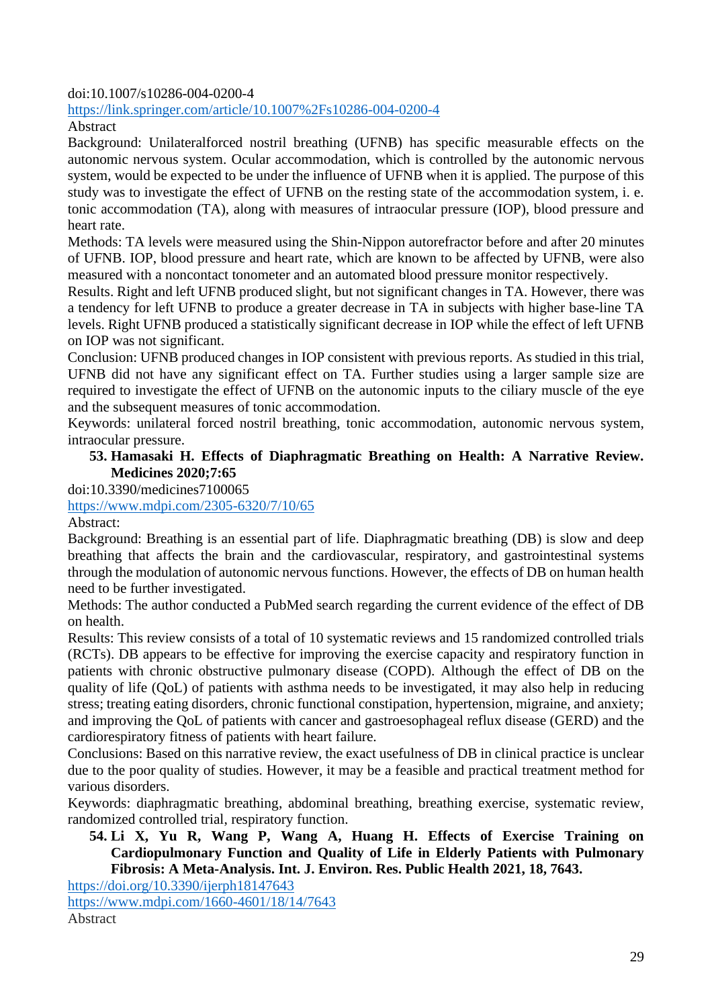doi:10.1007/s10286-004-0200-4

<https://link.springer.com/article/10.1007%2Fs10286-004-0200-4>

Abstract

Background: Unilateralforced nostril breathing (UFNB) has specific measurable effects on the autonomic nervous system. Ocular accommodation, which is controlled by the autonomic nervous system, would be expected to be under the influence of UFNB when it is applied. The purpose of this study was to investigate the effect of UFNB on the resting state of the accommodation system, i. e. tonic accommodation (TA), along with measures of intraocular pressure (IOP), blood pressure and heart rate.

Methods: TA levels were measured using the Shin-Nippon autorefractor before and after 20 minutes of UFNB. IOP, blood pressure and heart rate, which are known to be affected by UFNB, were also measured with a noncontact tonometer and an automated blood pressure monitor respectively.

Results. Right and left UFNB produced slight, but not significant changes in TA. However, there was a tendency for left UFNB to produce a greater decrease in TA in subjects with higher base-line TA levels. Right UFNB produced a statistically significant decrease in IOP while the effect of left UFNB on IOP was not significant.

Conclusion: UFNB produced changes in IOP consistent with previous reports. As studied in this trial, UFNB did not have any significant effect on TA. Further studies using a larger sample size are required to investigate the effect of UFNB on the autonomic inputs to the ciliary muscle of the eye and the subsequent measures of tonic accommodation.

Keywords: unilateral forced nostril breathing, tonic accommodation, autonomic nervous system, intraocular pressure.

## **53. Hamasaki H. Effects of Diaphragmatic Breathing on Health: A Narrative Review. Medicines 2020;7:65**

doi:10.3390/medicines7100065

<https://www.mdpi.com/2305-6320/7/10/65>

Abstract:

Background: Breathing is an essential part of life. Diaphragmatic breathing (DB) is slow and deep breathing that affects the brain and the cardiovascular, respiratory, and gastrointestinal systems through the modulation of autonomic nervous functions. However, the effects of DB on human health need to be further investigated.

Methods: The author conducted a PubMed search regarding the current evidence of the effect of DB on health.

Results: This review consists of a total of 10 systematic reviews and 15 randomized controlled trials (RCTs). DB appears to be effective for improving the exercise capacity and respiratory function in patients with chronic obstructive pulmonary disease (COPD). Although the effect of DB on the quality of life (QoL) of patients with asthma needs to be investigated, it may also help in reducing stress; treating eating disorders, chronic functional constipation, hypertension, migraine, and anxiety; and improving the QoL of patients with cancer and gastroesophageal reflux disease (GERD) and the cardiorespiratory fitness of patients with heart failure.

Conclusions: Based on this narrative review, the exact usefulness of DB in clinical practice is unclear due to the poor quality of studies. However, it may be a feasible and practical treatment method for various disorders.

Keywords: diaphragmatic breathing, abdominal breathing, breathing exercise, systematic review, randomized controlled trial, respiratory function.

**54. Li X, Yu R, Wang P, Wang A, Huang H. Effects of Exercise Training on Cardiopulmonary Function and Quality of Life in Elderly Patients with Pulmonary Fibrosis: A Meta-Analysis. Int. J. Environ. Res. Public Health 2021, 18, 7643.** 

<https://doi.org/10.3390/ijerph18147643> <https://www.mdpi.com/1660-4601/18/14/7643> Abstract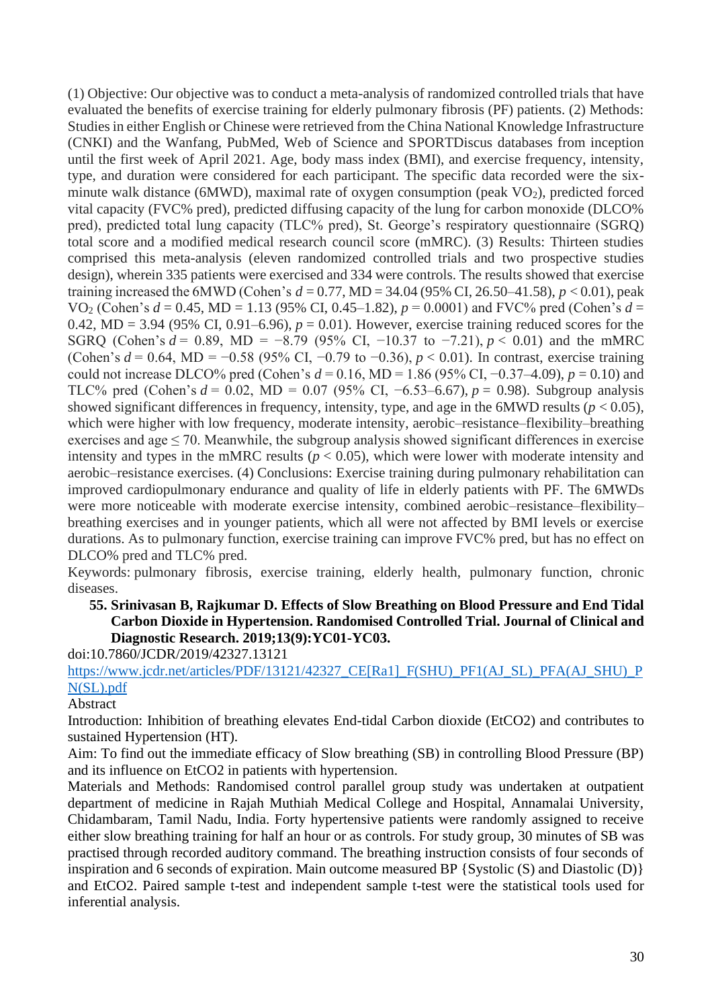(1) Objective: Our objective was to conduct a meta-analysis of randomized controlled trials that have evaluated the benefits of exercise training for elderly pulmonary fibrosis (PF) patients. (2) Methods: Studies in either English or Chinese were retrieved from the China National Knowledge Infrastructure (CNKI) and the Wanfang, PubMed, Web of Science and SPORTDiscus databases from inception until the first week of April 2021. Age, body mass index (BMI), and exercise frequency, intensity, type, and duration were considered for each participant. The specific data recorded were the sixminute walk distance (6MWD), maximal rate of oxygen consumption (peak  $VO<sub>2</sub>$ ), predicted forced vital capacity (FVC% pred), predicted diffusing capacity of the lung for carbon monoxide (DLCO% pred), predicted total lung capacity (TLC% pred), St. George's respiratory questionnaire (SGRQ) total score and a modified medical research council score (mMRC). (3) Results: Thirteen studies comprised this meta-analysis (eleven randomized controlled trials and two prospective studies design), wherein 335 patients were exercised and 334 were controls. The results showed that exercise training increased the 6MWD (Cohen's *d* = 0.77, MD = 34.04 (95% CI, 26.50–41.58), *p* < 0.01), peak VO<sup>2</sup> (Cohen's *d* = 0.45, MD = 1.13 (95% CI, 0.45–1.82), *p* = 0.0001) and FVC% pred (Cohen's *d* = 0.42, MD = 3.94 (95% CI, 0.91–6.96),  $p = 0.01$ ). However, exercise training reduced scores for the SGRQ (Cohen's  $d = 0.89$ , MD = -8.79 (95% CI, -10.37 to -7.21),  $p < 0.01$ ) and the mMRC (Cohen's *d* = 0.64, MD = −0.58 (95% CI, −0.79 to −0.36), *p* < 0.01). In contrast, exercise training could not increase DLCO% pred (Cohen's *d* = 0.16, MD = 1.86 (95% CI, −0.37–4.09), *p* = 0.10) and TLC% pred (Cohen's *d* = 0.02, MD = 0.07 (95% CI, −6.53–6.67), *p* = 0.98). Subgroup analysis showed significant differences in frequency, intensity, type, and age in the 6MWD results ( $p < 0.05$ ), which were higher with low frequency, moderate intensity, aerobic–resistance–flexibility–breathing exercises and age  $\leq$  70. Meanwhile, the subgroup analysis showed significant differences in exercise intensity and types in the mMRC results ( $p < 0.05$ ), which were lower with moderate intensity and aerobic–resistance exercises. (4) Conclusions: Exercise training during pulmonary rehabilitation can improved cardiopulmonary endurance and quality of life in elderly patients with PF. The 6MWDs were more noticeable with moderate exercise intensity, combined aerobic–resistance–flexibility– breathing exercises and in younger patients, which all were not affected by BMI levels or exercise durations. As to pulmonary function, exercise training can improve FVC% pred, but has no effect on DLCO% pred and TLC% pred.

Keywords: pulmonary fibrosis, exercise training, elderly health, pulmonary function, chronic diseases.

#### **55. Srinivasan B, Rajkumar D. Effects of Slow Breathing on Blood Pressure and End Tidal Carbon Dioxide in Hypertension. Randomised Controlled Trial. Journal of Clinical and Diagnostic Research. 2019;13(9):YC01-YC03.**

doi:10.7860/JCDR/2019/42327.13121

[https://www.jcdr.net/articles/PDF/13121/42327\\_CE\[Ra1\]\\_F\(SHU\)\\_PF1\(AJ\\_SL\)\\_PFA\(AJ\\_SHU\)\\_P](https://www.jcdr.net/articles/PDF/13121/42327_CE%5bRa1%5d_F(SHU)_PF1(AJ_SL)_PFA(AJ_SHU)_PN(SL).pdf) [N\(SL\).pdf](https://www.jcdr.net/articles/PDF/13121/42327_CE%5bRa1%5d_F(SHU)_PF1(AJ_SL)_PFA(AJ_SHU)_PN(SL).pdf)

#### Abstract

Introduction: Inhibition of breathing elevates End-tidal Carbon dioxide (EtCO2) and contributes to sustained Hypertension (HT).

Aim: To find out the immediate efficacy of Slow breathing (SB) in controlling Blood Pressure (BP) and its influence on EtCO2 in patients with hypertension.

Materials and Methods: Randomised control parallel group study was undertaken at outpatient department of medicine in Rajah Muthiah Medical College and Hospital, Annamalai University, Chidambaram, Tamil Nadu, India. Forty hypertensive patients were randomly assigned to receive either slow breathing training for half an hour or as controls. For study group, 30 minutes of SB was practised through recorded auditory command. The breathing instruction consists of four seconds of inspiration and 6 seconds of expiration. Main outcome measured BP {Systolic (S) and Diastolic (D)} and EtCO2. Paired sample t-test and independent sample t-test were the statistical tools used for inferential analysis.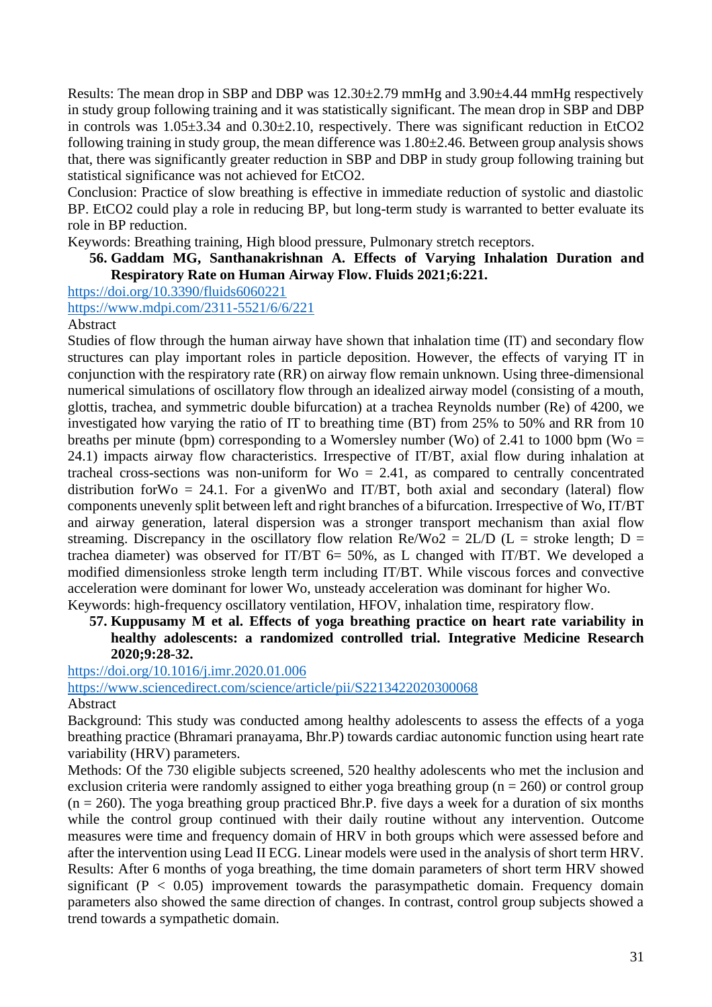Results: The mean drop in SBP and DBP was 12.30±2.79 mmHg and 3.90±4.44 mmHg respectively in study group following training and it was statistically significant. The mean drop in SBP and DBP in controls was  $1.05\pm3.34$  and  $0.30\pm2.10$ , respectively. There was significant reduction in EtCO2 following training in study group, the mean difference was  $1.80\pm2.46$ . Between group analysis shows that, there was significantly greater reduction in SBP and DBP in study group following training but statistical significance was not achieved for EtCO2.

Conclusion: Practice of slow breathing is effective in immediate reduction of systolic and diastolic BP. EtCO2 could play a role in reducing BP, but long-term study is warranted to better evaluate its role in BP reduction.

Keywords: Breathing training, High blood pressure, Pulmonary stretch receptors.

## **56. Gaddam MG, Santhanakrishnan A. Effects of Varying Inhalation Duration and Respiratory Rate on Human Airway Flow. Fluids 2021;6:221.**

<https://doi.org/10.3390/fluids6060221> <https://www.mdpi.com/2311-5521/6/6/221>

#### Abstract

Studies of flow through the human airway have shown that inhalation time (IT) and secondary flow structures can play important roles in particle deposition. However, the effects of varying IT in conjunction with the respiratory rate (RR) on airway flow remain unknown. Using three-dimensional numerical simulations of oscillatory flow through an idealized airway model (consisting of a mouth, glottis, trachea, and symmetric double bifurcation) at a trachea Reynolds number (Re) of 4200, we investigated how varying the ratio of IT to breathing time (BT) from 25% to 50% and RR from 10 breaths per minute (bpm) corresponding to a Womersley number (Wo) of 2.41 to 1000 bpm (Wo  $=$ 24.1) impacts airway flow characteristics. Irrespective of IT/BT, axial flow during inhalation at tracheal cross-sections was non-uniform for  $W_0 = 2.41$ , as compared to centrally concentrated distribution for Wo = 24.1. For a given Wo and IT/BT, both axial and secondary (lateral) flow components unevenly split between left and right branches of a bifurcation. Irrespective of Wo, IT/BT and airway generation, lateral dispersion was a stronger transport mechanism than axial flow streaming. Discrepancy in the oscillatory flow relation  $Re/Wo2 = 2L/D$  (L = stroke length; D = trachea diameter) was observed for IT/BT 6= 50%, as L changed with IT/BT. We developed a modified dimensionless stroke length term including IT/BT. While viscous forces and convective acceleration were dominant for lower Wo, unsteady acceleration was dominant for higher Wo. Keywords: high-frequency oscillatory ventilation, HFOV, inhalation time, respiratory flow.

#### **57. Kuppusamy M et al. Effects of yoga breathing practice on heart rate variability in healthy adolescents: a randomized controlled trial. Integrative Medicine Research 2020;9:28-32.**

<https://doi.org/10.1016/j.imr.2020.01.006>

<https://www.sciencedirect.com/science/article/pii/S2213422020300068> Abstract

Background: This study was conducted among healthy adolescents to assess the effects of a yoga breathing practice (Bhramari pranayama, Bhr.P) towards cardiac autonomic function using heart rate variability (HRV) parameters.

Methods: Of the 730 eligible subjects screened, 520 healthy adolescents who met the inclusion and exclusion criteria were randomly assigned to either yoga breathing group ( $n = 260$ ) or control group  $(n = 260)$ . The yoga breathing group practiced Bhr.P. five days a week for a duration of six months while the control group continued with their daily routine without any intervention. Outcome measures were time and frequency domain of HRV in both groups which were assessed before and after the intervention using Lead II ECG. Linear models were used in the analysis of short term HRV. Results: After 6 months of yoga breathing, the time domain parameters of short term HRV showed significant ( $P < 0.05$ ) improvement towards the parasympathetic domain. Frequency domain parameters also showed the same direction of changes. In contrast, control group subjects showed a trend towards a sympathetic domain.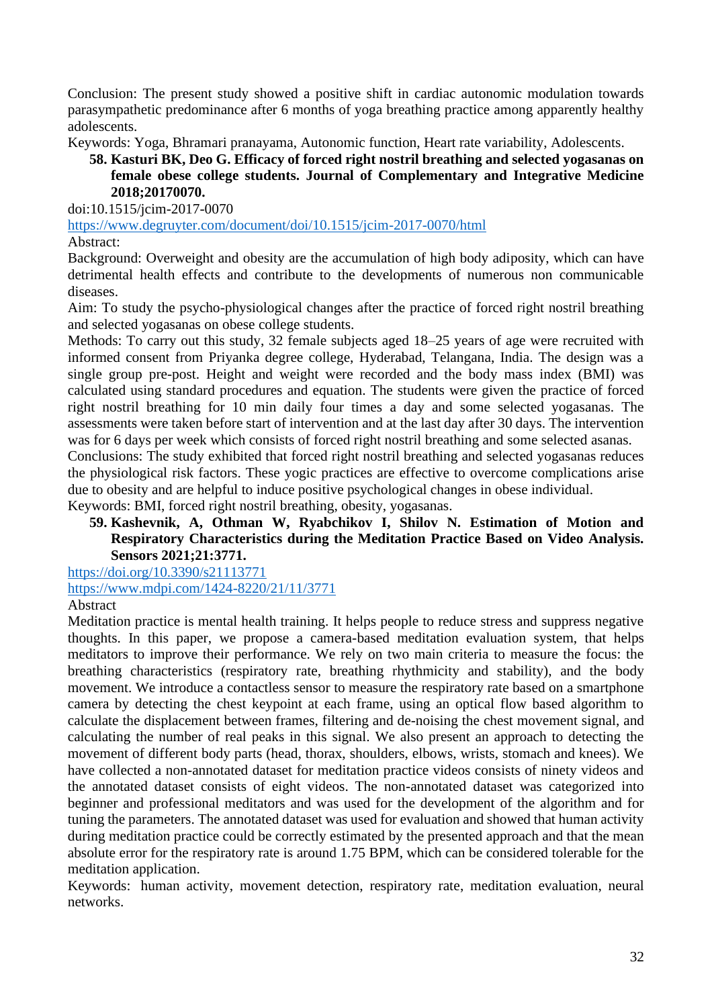Conclusion: The present study showed a positive shift in cardiac autonomic modulation towards parasympathetic predominance after 6 months of yoga breathing practice among apparently healthy adolescents.

Keywords: Yoga, Bhramari pranayama, Autonomic function, Heart rate variability, Adolescents.

**58. Kasturi BK, Deo G. Efficacy of forced right nostril breathing and selected yogasanas on female obese college students. Journal of Complementary and Integrative Medicine 2018;20170070.**

doi:10.1515/jcim-2017-0070

<https://www.degruyter.com/document/doi/10.1515/jcim-2017-0070/html> Abstract:

Background: Overweight and obesity are the accumulation of high body adiposity, which can have detrimental health effects and contribute to the developments of numerous non communicable diseases.

Aim: To study the psycho-physiological changes after the practice of forced right nostril breathing and selected yogasanas on obese college students.

Methods: To carry out this study, 32 female subjects aged 18–25 years of age were recruited with informed consent from Priyanka degree college, Hyderabad, Telangana, India. The design was a single group pre-post. Height and weight were recorded and the body mass index (BMI) was calculated using standard procedures and equation. The students were given the practice of forced right nostril breathing for 10 min daily four times a day and some selected yogasanas. The assessments were taken before start of intervention and at the last day after 30 days. The intervention was for 6 days per week which consists of forced right nostril breathing and some selected asanas.

Conclusions: The study exhibited that forced right nostril breathing and selected yogasanas reduces the physiological risk factors. These yogic practices are effective to overcome complications arise due to obesity and are helpful to induce positive psychological changes in obese individual.

Keywords: BMI, forced right nostril breathing, obesity, yogasanas.

**59. Kashevnik, A, Othman W, Ryabchikov I, Shilov N. Estimation of Motion and Respiratory Characteristics during the Meditation Practice Based on Video Analysis. Sensors 2021;21:3771.**

<https://doi.org/10.3390/s21113771> <https://www.mdpi.com/1424-8220/21/11/3771>

#### Abstract

Meditation practice is mental health training. It helps people to reduce stress and suppress negative thoughts. In this paper, we propose a camera-based meditation evaluation system, that helps meditators to improve their performance. We rely on two main criteria to measure the focus: the breathing characteristics (respiratory rate, breathing rhythmicity and stability), and the body movement. We introduce a contactless sensor to measure the respiratory rate based on a smartphone camera by detecting the chest keypoint at each frame, using an optical flow based algorithm to calculate the displacement between frames, filtering and de-noising the chest movement signal, and calculating the number of real peaks in this signal. We also present an approach to detecting the movement of different body parts (head, thorax, shoulders, elbows, wrists, stomach and knees). We have collected a non-annotated dataset for meditation practice videos consists of ninety videos and the annotated dataset consists of eight videos. The non-annotated dataset was categorized into beginner and professional meditators and was used for the development of the algorithm and for tuning the parameters. The annotated dataset was used for evaluation and showed that human activity during meditation practice could be correctly estimated by the presented approach and that the mean absolute error for the respiratory rate is around 1.75 BPM, which can be considered tolerable for the meditation application.

Keywords: human activity, movement detection, respiratory rate, meditation evaluation, neural networks.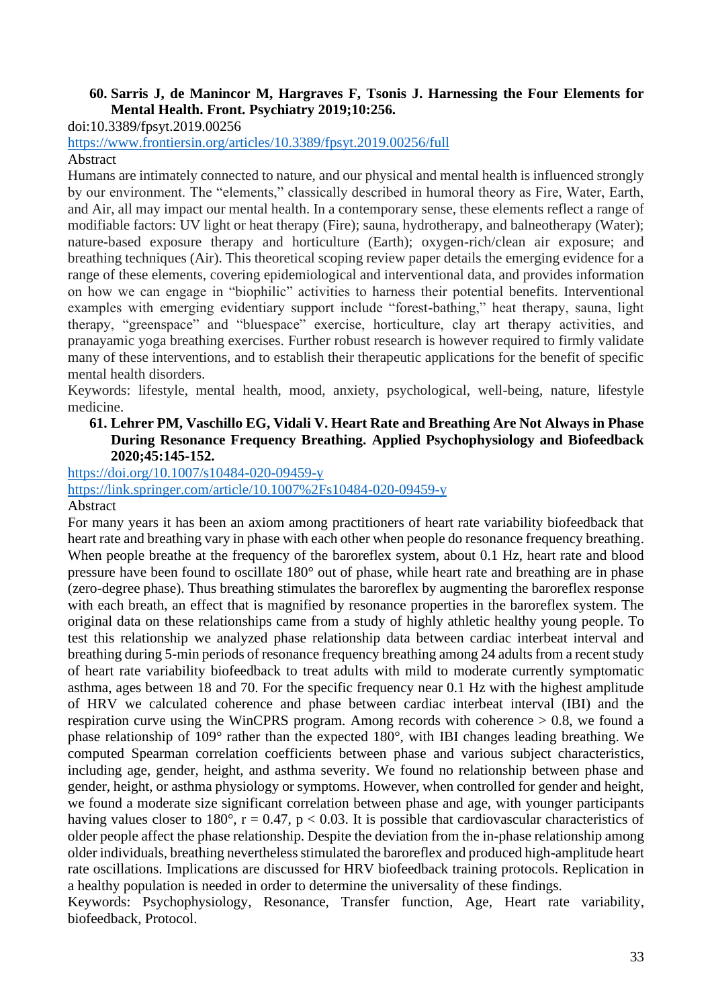## **60. Sarris J, de Manincor M, Hargraves F, Tsonis J. Harnessing the Four Elements for Mental Health. Front. Psychiatry 2019;10:256.**

doi:10.3389/fpsyt.2019.00256

<https://www.frontiersin.org/articles/10.3389/fpsyt.2019.00256/full>

## Abstract

Humans are intimately connected to nature, and our physical and mental health is influenced strongly by our environment. The "elements," classically described in humoral theory as Fire, Water, Earth, and Air, all may impact our mental health. In a contemporary sense, these elements reflect a range of modifiable factors: UV light or heat therapy (Fire); sauna, hydrotherapy, and balneotherapy (Water); nature-based exposure therapy and horticulture (Earth); oxygen-rich/clean air exposure; and breathing techniques (Air). This theoretical scoping review paper details the emerging evidence for a range of these elements, covering epidemiological and interventional data, and provides information on how we can engage in "biophilic" activities to harness their potential benefits. Interventional examples with emerging evidentiary support include "forest-bathing," heat therapy, sauna, light therapy, "greenspace" and "bluespace" exercise, horticulture, clay art therapy activities, and pranayamic yoga breathing exercises. Further robust research is however required to firmly validate many of these interventions, and to establish their therapeutic applications for the benefit of specific mental health disorders.

Keywords: lifestyle, mental health, mood, anxiety, psychological, well-being, nature, lifestyle medicine.

#### **61. Lehrer PM, Vaschillo EG, Vidali V. Heart Rate and Breathing Are Not Always in Phase During Resonance Frequency Breathing. Applied Psychophysiology and Biofeedback 2020;45:145-152.**

#### <https://doi.org/10.1007/s10484-020-09459-y>

<https://link.springer.com/article/10.1007%2Fs10484-020-09459-y>

#### Abstract

For many years it has been an axiom among practitioners of heart rate variability biofeedback that heart rate and breathing vary in phase with each other when people do resonance frequency breathing. When people breathe at the frequency of the baroreflex system, about 0.1 Hz, heart rate and blood pressure have been found to oscillate 180° out of phase, while heart rate and breathing are in phase (zero-degree phase). Thus breathing stimulates the baroreflex by augmenting the baroreflex response with each breath, an effect that is magnified by resonance properties in the baroreflex system. The original data on these relationships came from a study of highly athletic healthy young people. To test this relationship we analyzed phase relationship data between cardiac interbeat interval and breathing during 5-min periods of resonance frequency breathing among 24 adults from a recent study of heart rate variability biofeedback to treat adults with mild to moderate currently symptomatic asthma, ages between 18 and 70. For the specific frequency near 0.1 Hz with the highest amplitude of HRV we calculated coherence and phase between cardiac interbeat interval (IBI) and the respiration curve using the WinCPRS program. Among records with coherence > 0.8, we found a phase relationship of 109° rather than the expected 180°, with IBI changes leading breathing. We computed Spearman correlation coefficients between phase and various subject characteristics, including age, gender, height, and asthma severity. We found no relationship between phase and gender, height, or asthma physiology or symptoms. However, when controlled for gender and height, we found a moderate size significant correlation between phase and age, with younger participants having values closer to 180 $^{\circ}$ , r = 0.47, p < 0.03. It is possible that cardiovascular characteristics of older people affect the phase relationship. Despite the deviation from the in-phase relationship among older individuals, breathing nevertheless stimulated the baroreflex and produced high-amplitude heart rate oscillations. Implications are discussed for HRV biofeedback training protocols. Replication in a healthy population is needed in order to determine the universality of these findings.

Keywords: Psychophysiology, Resonance, Transfer function, Age, Heart rate variability, biofeedback, Protocol.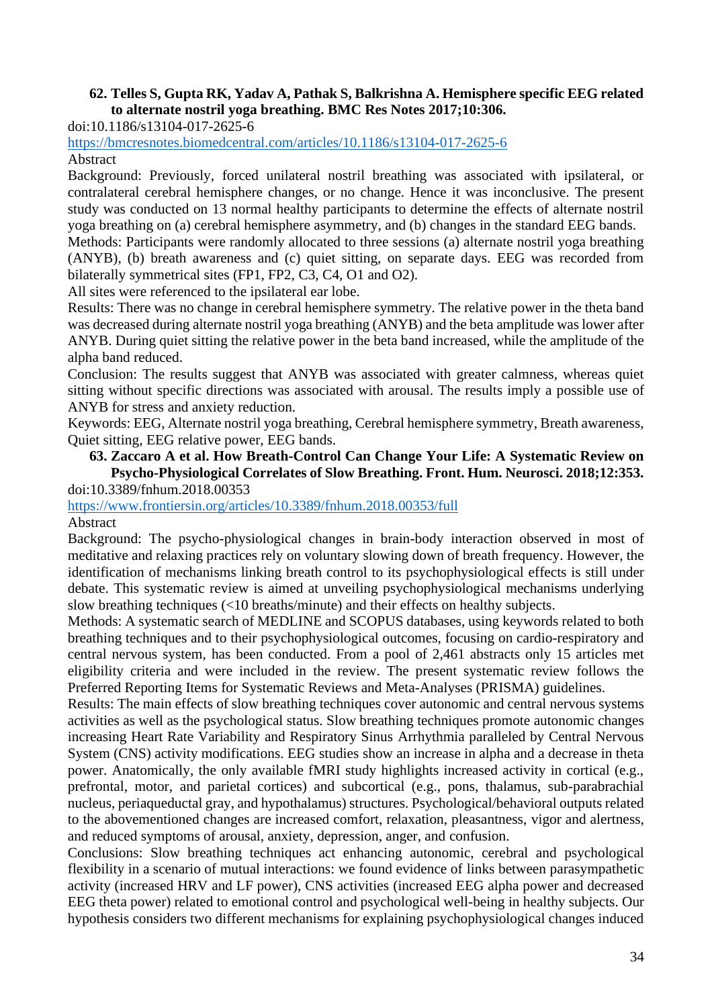## **62. Telles S, Gupta RK, Yadav A, Pathak S, Balkrishna A. Hemisphere specific EEG related to alternate nostril yoga breathing. BMC Res Notes 2017;10:306.**

doi:10.1186/s13104-017-2625-6

<https://bmcresnotes.biomedcentral.com/articles/10.1186/s13104-017-2625-6> Abstract

Background: Previously, forced unilateral nostril breathing was associated with ipsilateral, or contralateral cerebral hemisphere changes, or no change. Hence it was inconclusive. The present study was conducted on 13 normal healthy participants to determine the effects of alternate nostril yoga breathing on (a) cerebral hemisphere asymmetry, and (b) changes in the standard EEG bands.

Methods: Participants were randomly allocated to three sessions (a) alternate nostril yoga breathing (ANYB), (b) breath awareness and (c) quiet sitting, on separate days. EEG was recorded from bilaterally symmetrical sites (FP1, FP2, C3, C4, O1 and O2).

All sites were referenced to the ipsilateral ear lobe.

Results: There was no change in cerebral hemisphere symmetry. The relative power in the theta band was decreased during alternate nostril yoga breathing (ANYB) and the beta amplitude was lower after ANYB. During quiet sitting the relative power in the beta band increased, while the amplitude of the alpha band reduced.

Conclusion: The results suggest that ANYB was associated with greater calmness, whereas quiet sitting without specific directions was associated with arousal. The results imply a possible use of ANYB for stress and anxiety reduction.

Keywords: EEG, Alternate nostril yoga breathing, Cerebral hemisphere symmetry, Breath awareness, Quiet sitting, EEG relative power, EEG bands.

#### **63. Zaccaro A et al. How Breath-Control Can Change Your Life: A Systematic Review on Psycho-Physiological Correlates of Slow Breathing. Front. Hum. Neurosci. 2018;12:353.**

doi:10.3389/fnhum.2018.00353

<https://www.frontiersin.org/articles/10.3389/fnhum.2018.00353/full>

## Abstract

Background: The psycho-physiological changes in brain-body interaction observed in most of meditative and relaxing practices rely on voluntary slowing down of breath frequency. However, the identification of mechanisms linking breath control to its psychophysiological effects is still under debate. This systematic review is aimed at unveiling psychophysiological mechanisms underlying slow breathing techniques (<10 breaths/minute) and their effects on healthy subjects.

Methods: A systematic search of MEDLINE and SCOPUS databases, using keywords related to both breathing techniques and to their psychophysiological outcomes, focusing on cardio-respiratory and central nervous system, has been conducted. From a pool of 2,461 abstracts only 15 articles met eligibility criteria and were included in the review. The present systematic review follows the Preferred Reporting Items for Systematic Reviews and Meta-Analyses (PRISMA) guidelines.

Results: The main effects of slow breathing techniques cover autonomic and central nervous systems activities as well as the psychological status. Slow breathing techniques promote autonomic changes increasing Heart Rate Variability and Respiratory Sinus Arrhythmia paralleled by Central Nervous System (CNS) activity modifications. EEG studies show an increase in alpha and a decrease in theta power. Anatomically, the only available fMRI study highlights increased activity in cortical (e.g., prefrontal, motor, and parietal cortices) and subcortical (e.g., pons, thalamus, sub-parabrachial nucleus, periaqueductal gray, and hypothalamus) structures. Psychological/behavioral outputs related to the abovementioned changes are increased comfort, relaxation, pleasantness, vigor and alertness, and reduced symptoms of arousal, anxiety, depression, anger, and confusion.

Conclusions: Slow breathing techniques act enhancing autonomic, cerebral and psychological flexibility in a scenario of mutual interactions: we found evidence of links between parasympathetic activity (increased HRV and LF power), CNS activities (increased EEG alpha power and decreased EEG theta power) related to emotional control and psychological well-being in healthy subjects. Our hypothesis considers two different mechanisms for explaining psychophysiological changes induced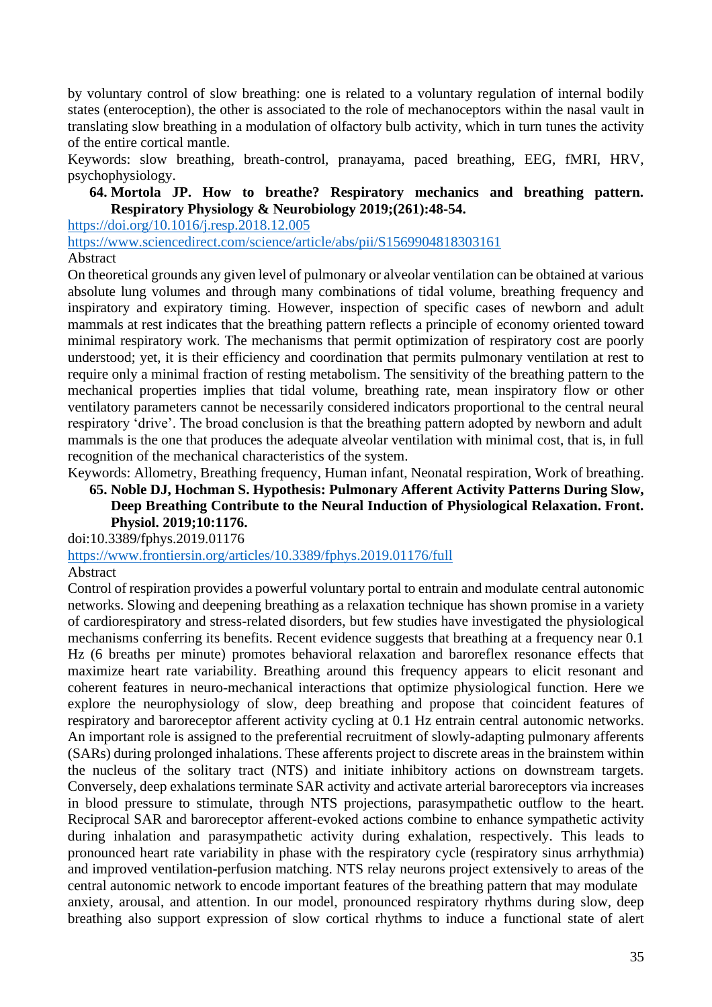by voluntary control of slow breathing: one is related to a voluntary regulation of internal bodily states (enteroception), the other is associated to the role of mechanoceptors within the nasal vault in translating slow breathing in a modulation of olfactory bulb activity, which in turn tunes the activity of the entire cortical mantle.

Keywords: slow breathing, breath-control, pranayama, paced breathing, EEG, fMRI, HRV, psychophysiology.

## **64. Mortola JP. How to breathe? Respiratory mechanics and breathing pattern. Respiratory Physiology & Neurobiology 2019;(261):48-54.**

<https://doi.org/10.1016/j.resp.2018.12.005> <https://www.sciencedirect.com/science/article/abs/pii/S1569904818303161> Abstract

On theoretical grounds any given level of pulmonary or alveolar ventilation can be obtained at various absolute lung volumes and through many combinations of tidal volume, breathing frequency and inspiratory and expiratory timing. However, inspection of specific cases of newborn and adult mammals at rest indicates that the breathing pattern reflects a principle of economy oriented toward minimal respiratory work. The mechanisms that permit optimization of respiratory cost are poorly understood; yet, it is their efficiency and coordination that permits pulmonary ventilation at rest to require only a minimal fraction of resting metabolism. The sensitivity of the breathing pattern to the mechanical properties implies that tidal volume, breathing rate, mean inspiratory flow or other ventilatory parameters cannot be necessarily considered indicators proportional to the central neural respiratory 'drive'. The broad conclusion is that the breathing pattern adopted by newborn and adult mammals is the one that produces the adequate alveolar ventilation with minimal cost, that is, in full recognition of the mechanical characteristics of the system.

Keywords: Allometry, Breathing frequency, Human infant, Neonatal respiration, Work of breathing.

### **65. Noble DJ, Hochman S. Hypothesis: Pulmonary Afferent Activity Patterns During Slow, Deep Breathing Contribute to the Neural Induction of Physiological Relaxation. Front. Physiol. 2019;10:1176.**

doi:10.3389/fphys.2019.01176

<https://www.frontiersin.org/articles/10.3389/fphys.2019.01176/full>

#### Abstract

Control of respiration provides a powerful voluntary portal to entrain and modulate central autonomic networks. Slowing and deepening breathing as a relaxation technique has shown promise in a variety of cardiorespiratory and stress-related disorders, but few studies have investigated the physiological mechanisms conferring its benefits. Recent evidence suggests that breathing at a frequency near 0.1 Hz (6 breaths per minute) promotes behavioral relaxation and baroreflex resonance effects that maximize heart rate variability. Breathing around this frequency appears to elicit resonant and coherent features in neuro-mechanical interactions that optimize physiological function. Here we explore the neurophysiology of slow, deep breathing and propose that coincident features of respiratory and baroreceptor afferent activity cycling at 0.1 Hz entrain central autonomic networks. An important role is assigned to the preferential recruitment of slowly-adapting pulmonary afferents (SARs) during prolonged inhalations. These afferents project to discrete areas in the brainstem within the nucleus of the solitary tract (NTS) and initiate inhibitory actions on downstream targets. Conversely, deep exhalations terminate SAR activity and activate arterial baroreceptors via increases in blood pressure to stimulate, through NTS projections, parasympathetic outflow to the heart. Reciprocal SAR and baroreceptor afferent-evoked actions combine to enhance sympathetic activity during inhalation and parasympathetic activity during exhalation, respectively. This leads to pronounced heart rate variability in phase with the respiratory cycle (respiratory sinus arrhythmia) and improved ventilation-perfusion matching. NTS relay neurons project extensively to areas of the central autonomic network to encode important features of the breathing pattern that may modulate anxiety, arousal, and attention. In our model, pronounced respiratory rhythms during slow, deep breathing also support expression of slow cortical rhythms to induce a functional state of alert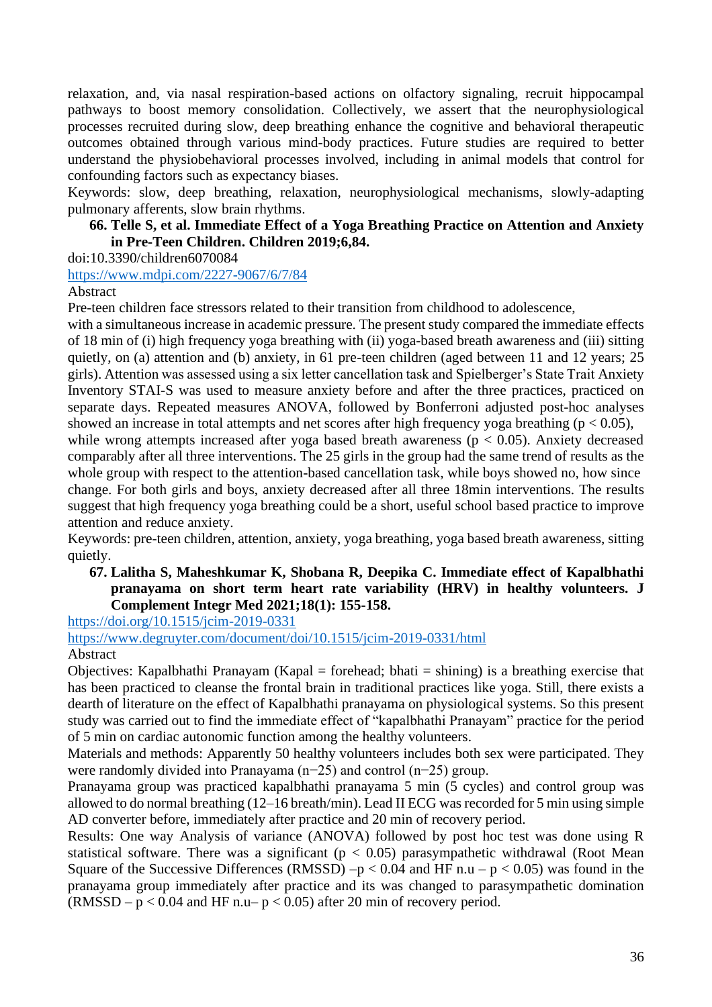relaxation, and, via nasal respiration-based actions on olfactory signaling, recruit hippocampal pathways to boost memory consolidation. Collectively, we assert that the neurophysiological processes recruited during slow, deep breathing enhance the cognitive and behavioral therapeutic outcomes obtained through various mind-body practices. Future studies are required to better understand the physiobehavioral processes involved, including in animal models that control for confounding factors such as expectancy biases.

Keywords: slow, deep breathing, relaxation, neurophysiological mechanisms, slowly-adapting pulmonary afferents, slow brain rhythms.

#### **66. Telle S, et al. Immediate Effect of a Yoga Breathing Practice on Attention and Anxiety in Pre-Teen Children. Children 2019;6,84.**

doi:10.3390/children6070084

<https://www.mdpi.com/2227-9067/6/7/84>

#### Abstract

Pre-teen children face stressors related to their transition from childhood to adolescence,

with a simultaneous increase in academic pressure. The present study compared the immediate effects of 18 min of (i) high frequency yoga breathing with (ii) yoga-based breath awareness and (iii) sitting quietly, on (a) attention and (b) anxiety, in 61 pre-teen children (aged between 11 and 12 years; 25 girls). Attention was assessed using a six letter cancellation task and Spielberger's State Trait Anxiety Inventory STAI-S was used to measure anxiety before and after the three practices, practiced on separate days. Repeated measures ANOVA, followed by Bonferroni adjusted post-hoc analyses showed an increase in total attempts and net scores after high frequency yoga breathing ( $p < 0.05$ ),

while wrong attempts increased after yoga based breath awareness ( $p < 0.05$ ). Anxiety decreased comparably after all three interventions. The 25 girls in the group had the same trend of results as the whole group with respect to the attention-based cancellation task, while boys showed no, how since change. For both girls and boys, anxiety decreased after all three 18min interventions. The results suggest that high frequency yoga breathing could be a short, useful school based practice to improve attention and reduce anxiety.

Keywords: pre-teen children, attention, anxiety, yoga breathing, yoga based breath awareness, sitting quietly.

#### **67. Lalitha S, Maheshkumar K, Shobana R, Deepika C. Immediate effect of Kapalbhathi pranayama on short term heart rate variability (HRV) in healthy volunteers. J Complement Integr Med 2021;18(1): 155-158.**

<https://doi.org/10.1515/jcim-2019-0331>

<https://www.degruyter.com/document/doi/10.1515/jcim-2019-0331/html>

## Abstract

Objectives: Kapalbhathi Pranayam (Kapal = forehead; bhati = shining) is a breathing exercise that has been practiced to cleanse the frontal brain in traditional practices like yoga. Still, there exists a dearth of literature on the effect of Kapalbhathi pranayama on physiological systems. So this present study was carried out to find the immediate effect of "kapalbhathi Pranayam" practice for the period of 5 min on cardiac autonomic function among the healthy volunteers.

Materials and methods: Apparently 50 healthy volunteers includes both sex were participated. They were randomly divided into Pranayama (n−25) and control (n−25) group.

Pranayama group was practiced kapalbhathi pranayama 5 min (5 cycles) and control group was allowed to do normal breathing (12–16 breath/min). Lead II ECG was recorded for 5 min using simple AD converter before, immediately after practice and 20 min of recovery period.

Results: One way Analysis of variance (ANOVA) followed by post hoc test was done using R statistical software. There was a significant ( $p < 0.05$ ) parasympathetic withdrawal (Root Mean Square of the Successive Differences (RMSSD) –p < 0.04 and HF n.u – p < 0.05) was found in the pranayama group immediately after practice and its was changed to parasympathetic domination  $(RMSSD - p < 0.04$  and HF n.u–  $p < 0.05$ ) after 20 min of recovery period.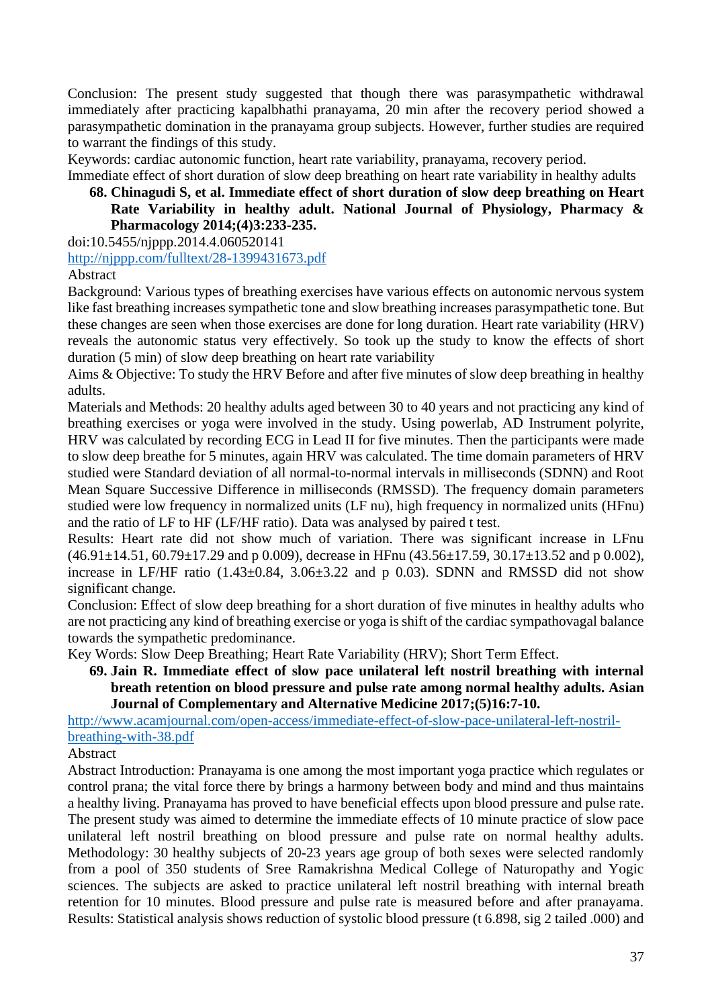Conclusion: The present study suggested that though there was parasympathetic withdrawal immediately after practicing kapalbhathi pranayama, 20 min after the recovery period showed a parasympathetic domination in the pranayama group subjects. However, further studies are required to warrant the findings of this study.

Keywords: cardiac autonomic function, heart rate variability, pranayama, recovery period.

Immediate effect of short duration of slow deep breathing on heart rate variability in healthy adults

**68. Chinagudi S, et al. Immediate effect of short duration of slow deep breathing on Heart Rate Variability in healthy adult. National Journal of Physiology, Pharmacy & Pharmacology 2014;(4)3:233-235.**

doi:10.5455/njppp.2014.4.060520141

<http://njppp.com/fulltext/28-1399431673.pdf>

Abstract

Background: Various types of breathing exercises have various effects on autonomic nervous system like fast breathing increases sympathetic tone and slow breathing increases parasympathetic tone. But these changes are seen when those exercises are done for long duration. Heart rate variability (HRV) reveals the autonomic status very effectively. So took up the study to know the effects of short duration (5 min) of slow deep breathing on heart rate variability

Aims & Objective: To study the HRV Before and after five minutes of slow deep breathing in healthy adults.

Materials and Methods: 20 healthy adults aged between 30 to 40 years and not practicing any kind of breathing exercises or yoga were involved in the study. Using powerlab, AD Instrument polyrite, HRV was calculated by recording ECG in Lead II for five minutes. Then the participants were made to slow deep breathe for 5 minutes, again HRV was calculated. The time domain parameters of HRV studied were Standard deviation of all normal-to-normal intervals in milliseconds (SDNN) and Root Mean Square Successive Difference in milliseconds (RMSSD). The frequency domain parameters studied were low frequency in normalized units (LF nu), high frequency in normalized units (HFnu) and the ratio of LF to HF (LF/HF ratio). Data was analysed by paired t test.

Results: Heart rate did not show much of variation. There was significant increase in LFnu  $(46.91 \pm 14.51, 60.79 \pm 17.29 \text{ and } p 0.009)$ , decrease in HFnu  $(43.56 \pm 17.59, 30.17 \pm 13.52 \text{ and } p 0.002)$ , increase in LF/HF ratio  $(1.43\pm0.84, 3.06\pm3.22, 0.03)$  SDNN and RMSSD did not show significant change.

Conclusion: Effect of slow deep breathing for a short duration of five minutes in healthy adults who are not practicing any kind of breathing exercise or yoga is shift of the cardiac sympathovagal balance towards the sympathetic predominance.

Key Words: Slow Deep Breathing; Heart Rate Variability (HRV); Short Term Effect.

**69. Jain R. Immediate effect of slow pace unilateral left nostril breathing with internal breath retention on blood pressure and pulse rate among normal healthy adults. Asian Journal of Complementary and Alternative Medicine 2017;(5)16:7-10.**

[http://www.acamjournal.com/open-access/immediate-effect-of-slow-pace-unilateral-left-nostril](http://www.acamjournal.com/open-access/immediate-effect-of-slow-pace-unilateral-left-nostril-breathing-with-38.pdf)[breathing-with-38.pdf](http://www.acamjournal.com/open-access/immediate-effect-of-slow-pace-unilateral-left-nostril-breathing-with-38.pdf)

Abstract

Abstract Introduction: Pranayama is one among the most important yoga practice which regulates or control prana; the vital force there by brings a harmony between body and mind and thus maintains a healthy living. Pranayama has proved to have beneficial effects upon blood pressure and pulse rate. The present study was aimed to determine the immediate effects of 10 minute practice of slow pace unilateral left nostril breathing on blood pressure and pulse rate on normal healthy adults. Methodology: 30 healthy subjects of 20-23 years age group of both sexes were selected randomly from a pool of 350 students of Sree Ramakrishna Medical College of Naturopathy and Yogic sciences. The subjects are asked to practice unilateral left nostril breathing with internal breath retention for 10 minutes. Blood pressure and pulse rate is measured before and after pranayama. Results: Statistical analysis shows reduction of systolic blood pressure (t 6.898, sig 2 tailed .000) and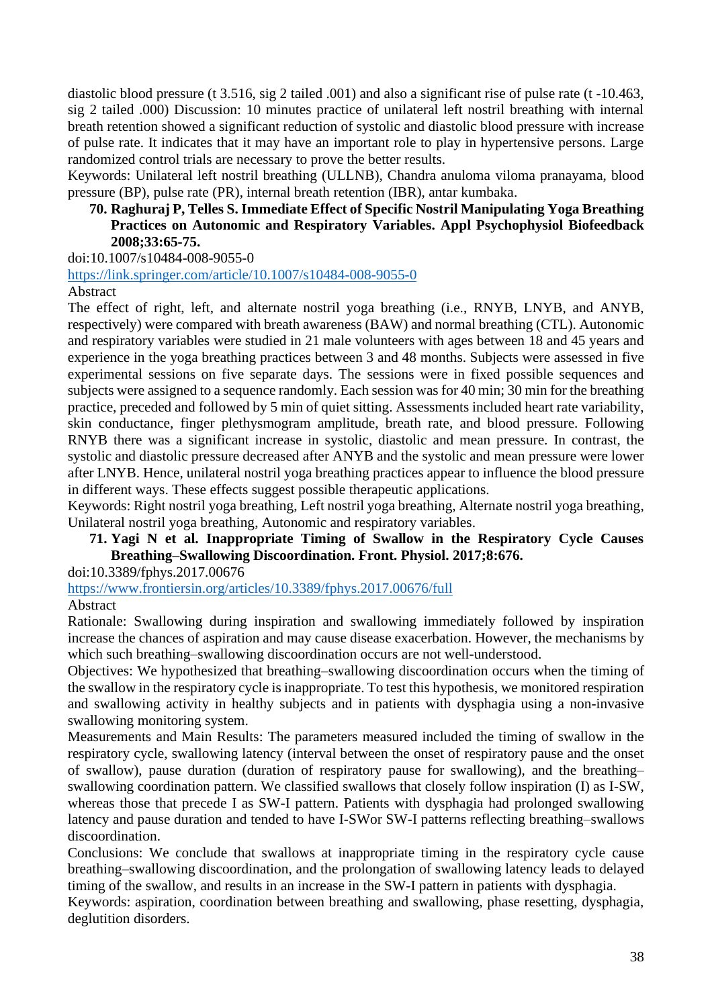diastolic blood pressure (t 3.516, sig 2 tailed .001) and also a significant rise of pulse rate (t -10.463, sig 2 tailed .000) Discussion: 10 minutes practice of unilateral left nostril breathing with internal breath retention showed a significant reduction of systolic and diastolic blood pressure with increase of pulse rate. It indicates that it may have an important role to play in hypertensive persons. Large randomized control trials are necessary to prove the better results.

Keywords: Unilateral left nostril breathing (ULLNB), Chandra anuloma viloma pranayama, blood pressure (BP), pulse rate (PR), internal breath retention (IBR), antar kumbaka.

**70. Raghuraj P, Telles S. Immediate Effect of Specific Nostril Manipulating Yoga Breathing Practices on Autonomic and Respiratory Variables. Appl Psychophysiol Biofeedback 2008;33:65-75.**

doi:10.1007/s10484-008-9055-0

<https://link.springer.com/article/10.1007/s10484-008-9055-0>

#### Abstract

The effect of right, left, and alternate nostril yoga breathing (i.e., RNYB, LNYB, and ANYB, respectively) were compared with breath awareness (BAW) and normal breathing (CTL). Autonomic and respiratory variables were studied in 21 male volunteers with ages between 18 and 45 years and experience in the yoga breathing practices between 3 and 48 months. Subjects were assessed in five experimental sessions on five separate days. The sessions were in fixed possible sequences and subjects were assigned to a sequence randomly. Each session was for 40 min; 30 min for the breathing practice, preceded and followed by 5 min of quiet sitting. Assessments included heart rate variability, skin conductance, finger plethysmogram amplitude, breath rate, and blood pressure. Following RNYB there was a significant increase in systolic, diastolic and mean pressure. In contrast, the systolic and diastolic pressure decreased after ANYB and the systolic and mean pressure were lower after LNYB. Hence, unilateral nostril yoga breathing practices appear to influence the blood pressure in different ways. These effects suggest possible therapeutic applications.

Keywords: Right nostril yoga breathing, Left nostril yoga breathing, Alternate nostril yoga breathing, Unilateral nostril yoga breathing, Autonomic and respiratory variables.

**71. Yagi N et al. Inappropriate Timing of Swallow in the Respiratory Cycle Causes Breathing–Swallowing Discoordination. Front. Physiol. 2017;8:676.**

doi:10.3389/fphys.2017.00676

<https://www.frontiersin.org/articles/10.3389/fphys.2017.00676/full>

## Abstract

Rationale: Swallowing during inspiration and swallowing immediately followed by inspiration increase the chances of aspiration and may cause disease exacerbation. However, the mechanisms by which such breathing–swallowing discoordination occurs are not well-understood.

Objectives: We hypothesized that breathing–swallowing discoordination occurs when the timing of the swallow in the respiratory cycle is inappropriate. To test this hypothesis, we monitored respiration and swallowing activity in healthy subjects and in patients with dysphagia using a non-invasive swallowing monitoring system.

Measurements and Main Results: The parameters measured included the timing of swallow in the respiratory cycle, swallowing latency (interval between the onset of respiratory pause and the onset of swallow), pause duration (duration of respiratory pause for swallowing), and the breathing– swallowing coordination pattern. We classified swallows that closely follow inspiration (I) as I-SW, whereas those that precede I as SW-I pattern. Patients with dysphagia had prolonged swallowing latency and pause duration and tended to have I-SWor SW-I patterns reflecting breathing–swallows discoordination.

Conclusions: We conclude that swallows at inappropriate timing in the respiratory cycle cause breathing–swallowing discoordination, and the prolongation of swallowing latency leads to delayed timing of the swallow, and results in an increase in the SW-I pattern in patients with dysphagia.

Keywords: aspiration, coordination between breathing and swallowing, phase resetting, dysphagia, deglutition disorders.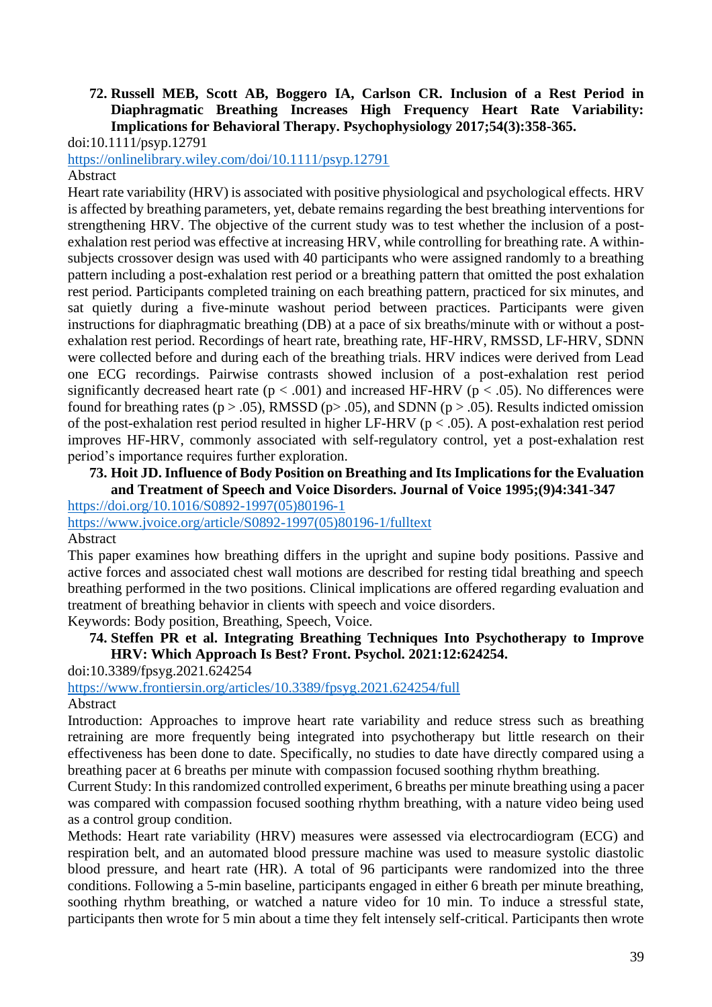## **72. Russell MEB, Scott AB, Boggero IA, Carlson CR. Inclusion of a Rest Period in Diaphragmatic Breathing Increases High Frequency Heart Rate Variability: Implications for Behavioral Therapy. Psychophysiology 2017;54(3):358-365.**

doi:10.1111/psyp.12791

<https://onlinelibrary.wiley.com/doi/10.1111/psyp.12791>

## Abstract

Heart rate variability (HRV) is associated with positive physiological and psychological effects. HRV is affected by breathing parameters, yet, debate remains regarding the best breathing interventions for strengthening HRV. The objective of the current study was to test whether the inclusion of a postexhalation rest period was effective at increasing HRV, while controlling for breathing rate. A withinsubjects crossover design was used with 40 participants who were assigned randomly to a breathing pattern including a post-exhalation rest period or a breathing pattern that omitted the post exhalation rest period. Participants completed training on each breathing pattern, practiced for six minutes, and sat quietly during a five-minute washout period between practices. Participants were given instructions for diaphragmatic breathing (DB) at a pace of six breaths/minute with or without a postexhalation rest period. Recordings of heart rate, breathing rate, HF-HRV, RMSSD, LF-HRV, SDNN were collected before and during each of the breathing trials. HRV indices were derived from Lead one ECG recordings. Pairwise contrasts showed inclusion of a post-exhalation rest period significantly decreased heart rate ( $p < .001$ ) and increased HF-HRV ( $p < .05$ ). No differences were found for breathing rates ( $p > .05$ ), RMSSD ( $p > .05$ ), and SDNN ( $p > .05$ ). Results indicted omission of the post-exhalation rest period resulted in higher LF-HRV ( $p < .05$ ). A post-exhalation rest period improves HF-HRV, commonly associated with self-regulatory control, yet a post-exhalation rest period's importance requires further exploration.

## **73. Hoit JD. Influence of Body Position on Breathing and Its Implications for the Evaluation and Treatment of Speech and Voice Disorders. Journal of Voice 1995;(9)4:341-347**

[https://doi.org/10.1016/S0892-1997\(05\)80196-1](https://doi.org/10.1016/S0892-1997(05)80196-1) [https://www.jvoice.org/article/S0892-1997\(05\)80196-1/fulltext](https://www.jvoice.org/article/S0892-1997(05)80196-1/fulltext) Abstract

This paper examines how breathing differs in the upright and supine body positions. Passive and active forces and associated chest wall motions are described for resting tidal breathing and speech breathing performed in the two positions. Clinical implications are offered regarding evaluation and

treatment of breathing behavior in clients with speech and voice disorders.

Keywords: Body position, Breathing, Speech, Voice.

## **74. Steffen PR et al. Integrating Breathing Techniques Into Psychotherapy to Improve HRV: Which Approach Is Best? Front. Psychol. 2021:12:624254.**

doi:10.3389/fpsyg.2021.624254

<https://www.frontiersin.org/articles/10.3389/fpsyg.2021.624254/full> Abstract

Introduction: Approaches to improve heart rate variability and reduce stress such as breathing retraining are more frequently being integrated into psychotherapy but little research on their effectiveness has been done to date. Specifically, no studies to date have directly compared using a breathing pacer at 6 breaths per minute with compassion focused soothing rhythm breathing.

Current Study: In this randomized controlled experiment, 6 breaths per minute breathing using a pacer was compared with compassion focused soothing rhythm breathing, with a nature video being used as a control group condition.

Methods: Heart rate variability (HRV) measures were assessed via electrocardiogram (ECG) and respiration belt, and an automated blood pressure machine was used to measure systolic diastolic blood pressure, and heart rate (HR). A total of 96 participants were randomized into the three conditions. Following a 5-min baseline, participants engaged in either 6 breath per minute breathing, soothing rhythm breathing, or watched a nature video for 10 min. To induce a stressful state, participants then wrote for 5 min about a time they felt intensely self-critical. Participants then wrote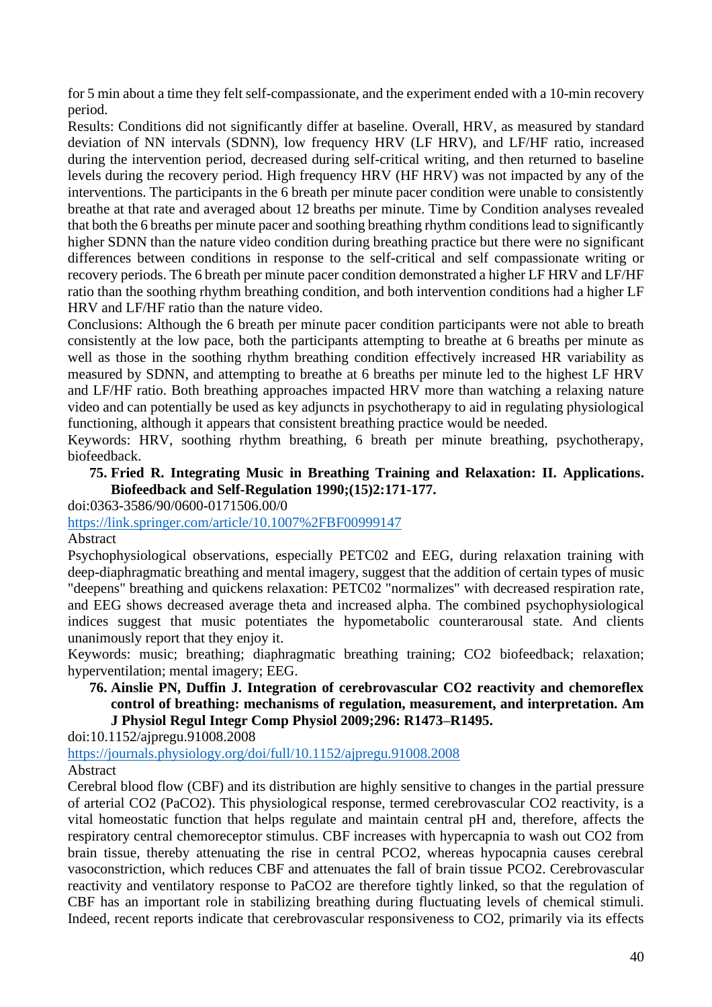for 5 min about a time they felt self-compassionate, and the experiment ended with a 10-min recovery period.

Results: Conditions did not significantly differ at baseline. Overall, HRV, as measured by standard deviation of NN intervals (SDNN), low frequency HRV (LF HRV), and LF/HF ratio, increased during the intervention period, decreased during self-critical writing, and then returned to baseline levels during the recovery period. High frequency HRV (HF HRV) was not impacted by any of the interventions. The participants in the 6 breath per minute pacer condition were unable to consistently breathe at that rate and averaged about 12 breaths per minute. Time by Condition analyses revealed that both the 6 breaths per minute pacer and soothing breathing rhythm conditions lead to significantly higher SDNN than the nature video condition during breathing practice but there were no significant differences between conditions in response to the self-critical and self compassionate writing or recovery periods. The 6 breath per minute pacer condition demonstrated a higher LF HRV and LF/HF ratio than the soothing rhythm breathing condition, and both intervention conditions had a higher LF HRV and LF/HF ratio than the nature video.

Conclusions: Although the 6 breath per minute pacer condition participants were not able to breath consistently at the low pace, both the participants attempting to breathe at 6 breaths per minute as well as those in the soothing rhythm breathing condition effectively increased HR variability as measured by SDNN, and attempting to breathe at 6 breaths per minute led to the highest LF HRV and LF/HF ratio. Both breathing approaches impacted HRV more than watching a relaxing nature video and can potentially be used as key adjuncts in psychotherapy to aid in regulating physiological functioning, although it appears that consistent breathing practice would be needed.

Keywords: HRV, soothing rhythm breathing, 6 breath per minute breathing, psychotherapy, biofeedback.

#### **75. Fried R. Integrating Music in Breathing Training and Relaxation: II. Applications. Biofeedback and Self-Regulation 1990;(15)2:171-177.**

doi:0363-3586/90/0600-0171506.00/0

<https://link.springer.com/article/10.1007%2FBF00999147> Abstract

Psychophysiological observations, especially PETC02 and EEG, during relaxation training with deep-diaphragmatic breathing and mental imagery, suggest that the addition of certain types of music "deepens" breathing and quickens relaxation: PETC02 "normalizes" with decreased respiration rate, and EEG shows decreased average theta and increased alpha. The combined psychophysiological indices suggest that music potentiates the hypometabolic counterarousal state. And clients unanimously report that they enjoy it.

Keywords: music; breathing; diaphragmatic breathing training; CO2 biofeedback; relaxation; hyperventilation; mental imagery; EEG.

#### **76. Ainslie PN, Duffin J. Integration of cerebrovascular CO2 reactivity and chemoreflex control of breathing: mechanisms of regulation, measurement, and interpretation. Am J Physiol Regul Integr Comp Physiol 2009;296: R1473–R1495.**

doi:10.1152/ajpregu.91008.2008

<https://journals.physiology.org/doi/full/10.1152/ajpregu.91008.2008> Abstract

Cerebral blood flow (CBF) and its distribution are highly sensitive to changes in the partial pressure of arterial CO2 (PaCO2). This physiological response, termed cerebrovascular CO2 reactivity, is a vital homeostatic function that helps regulate and maintain central pH and, therefore, affects the respiratory central chemoreceptor stimulus. CBF increases with hypercapnia to wash out CO2 from brain tissue, thereby attenuating the rise in central PCO2, whereas hypocapnia causes cerebral vasoconstriction, which reduces CBF and attenuates the fall of brain tissue PCO2. Cerebrovascular reactivity and ventilatory response to PaCO2 are therefore tightly linked, so that the regulation of CBF has an important role in stabilizing breathing during fluctuating levels of chemical stimuli. Indeed, recent reports indicate that cerebrovascular responsiveness to CO2, primarily via its effects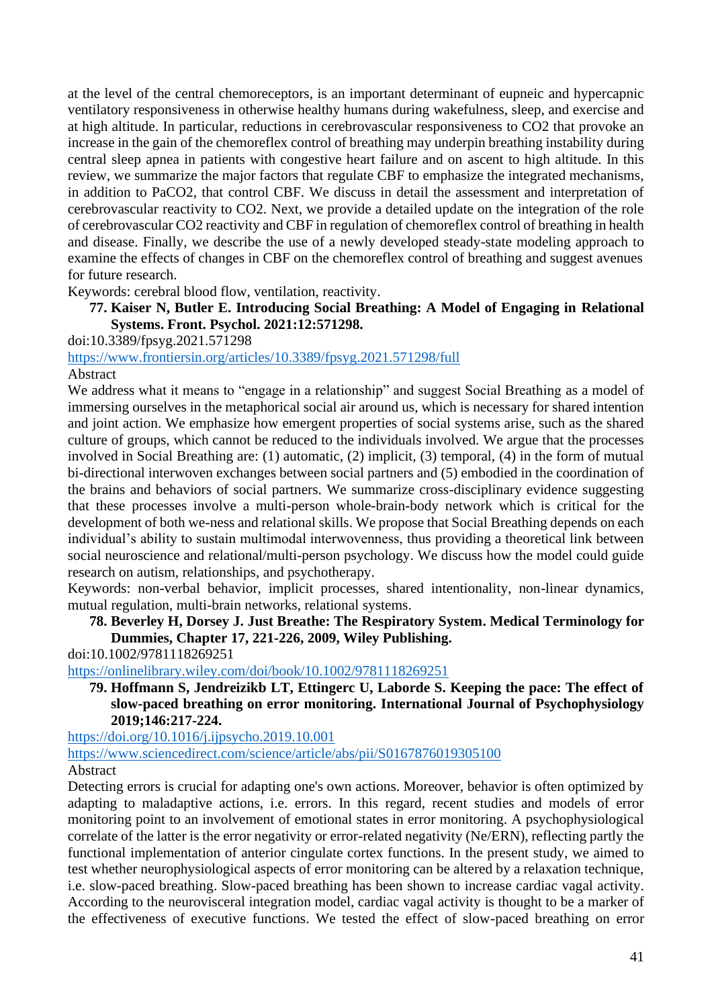at the level of the central chemoreceptors, is an important determinant of eupneic and hypercapnic ventilatory responsiveness in otherwise healthy humans during wakefulness, sleep, and exercise and at high altitude. In particular, reductions in cerebrovascular responsiveness to CO2 that provoke an increase in the gain of the chemoreflex control of breathing may underpin breathing instability during central sleep apnea in patients with congestive heart failure and on ascent to high altitude. In this review, we summarize the major factors that regulate CBF to emphasize the integrated mechanisms, in addition to PaCO2, that control CBF. We discuss in detail the assessment and interpretation of cerebrovascular reactivity to CO2. Next, we provide a detailed update on the integration of the role of cerebrovascular CO2 reactivity and CBF in regulation of chemoreflex control of breathing in health and disease. Finally, we describe the use of a newly developed steady-state modeling approach to examine the effects of changes in CBF on the chemoreflex control of breathing and suggest avenues for future research.

Keywords: cerebral blood flow, ventilation, reactivity.

#### **77. Kaiser N, Butler E. Introducing Social Breathing: A Model of Engaging in Relational Systems. Front. Psychol. 2021:12:571298.**

doi:10.3389/fpsyg.2021.571298

## <https://www.frontiersin.org/articles/10.3389/fpsyg.2021.571298/full>

#### Abstract

We address what it means to "engage in a relationship" and suggest Social Breathing as a model of immersing ourselves in the metaphorical social air around us, which is necessary for shared intention and joint action. We emphasize how emergent properties of social systems arise, such as the shared culture of groups, which cannot be reduced to the individuals involved. We argue that the processes involved in Social Breathing are: (1) automatic, (2) implicit, (3) temporal, (4) in the form of mutual bi-directional interwoven exchanges between social partners and (5) embodied in the coordination of the brains and behaviors of social partners. We summarize cross-disciplinary evidence suggesting that these processes involve a multi-person whole-brain-body network which is critical for the development of both we-ness and relational skills. We propose that Social Breathing depends on each individual's ability to sustain multimodal interwovenness, thus providing a theoretical link between social neuroscience and relational/multi-person psychology. We discuss how the model could guide research on autism, relationships, and psychotherapy.

Keywords: non-verbal behavior, implicit processes, shared intentionality, non-linear dynamics, mutual regulation, multi-brain networks, relational systems.

#### **78. Beverley H, Dorsey J. Just Breathe: The Respiratory System. Medical Terminology for Dummies, Chapter 17, 221-226, 2009, Wiley Publishing.**

doi:10.1002/9781118269251

<https://onlinelibrary.wiley.com/doi/book/10.1002/9781118269251>

**79. Hoffmann S, Jendreizikb LT, Ettingerc U, Laborde S. Keeping the pace: The effect of slow-paced breathing on error monitoring. International Journal of Psychophysiology 2019;146:217-224.**

<https://doi.org/10.1016/j.ijpsycho.2019.10.001>

<https://www.sciencedirect.com/science/article/abs/pii/S0167876019305100> Abstract

Detecting errors is crucial for adapting one's own actions. Moreover, behavior is often optimized by adapting to maladaptive actions, i.e. errors. In this regard, recent studies and models of error monitoring point to an involvement of emotional states in error monitoring. A psychophysiological correlate of the latter is the error negativity or error-related negativity (Ne/ERN), reflecting partly the functional implementation of anterior cingulate cortex functions. In the present study, we aimed to test whether neurophysiological aspects of error monitoring can be altered by a relaxation technique, i.e. slow-paced breathing. Slow-paced breathing has been shown to increase cardiac vagal activity. According to the neurovisceral integration model, cardiac vagal activity is thought to be a marker of the effectiveness of executive functions. We tested the effect of slow-paced breathing on error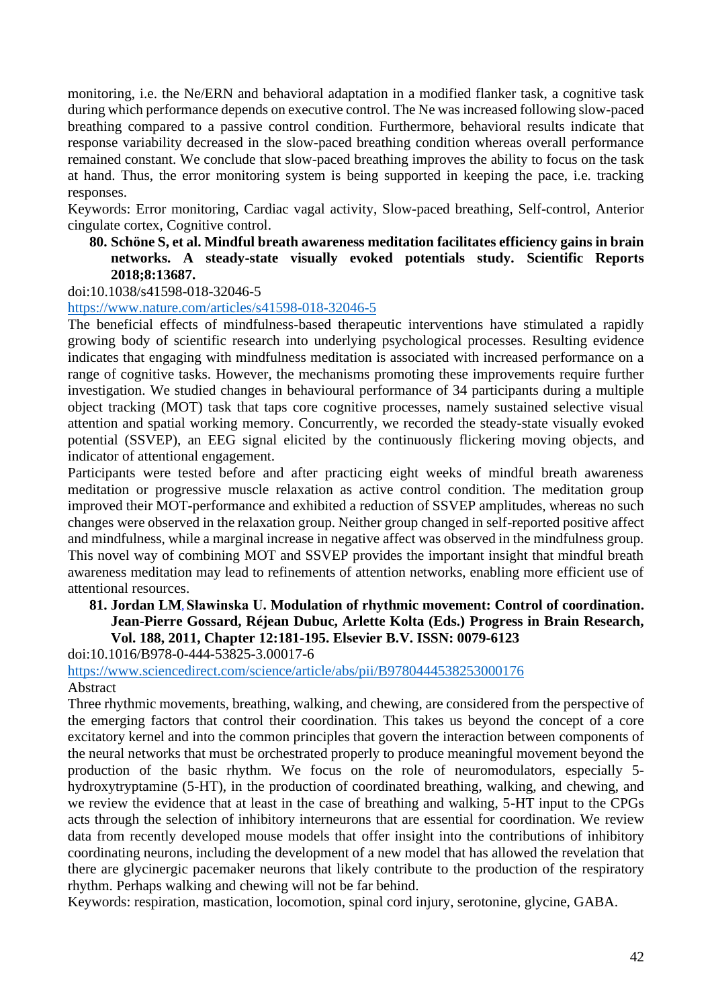monitoring, i.e. the Ne/ERN and behavioral adaptation in a modified flanker task, a cognitive task during which performance depends on executive control. The Ne was increased following slow-paced breathing compared to a passive control condition. Furthermore, behavioral results indicate that response variability decreased in the slow-paced breathing condition whereas overall performance remained constant. We conclude that slow-paced breathing improves the ability to focus on the task at hand. Thus, the error monitoring system is being supported in keeping the pace, i.e. tracking responses.

Keywords: Error monitoring, Cardiac vagal activity, Slow-paced breathing, Self-control, Anterior cingulate cortex, Cognitive control.

#### **80. Schöne S, et al. Mindful breath awareness meditation facilitates efficiency gains in brain networks. A steady-state visually evoked potentials study. Scientific Reports 2018;8:13687.**

doi:10.1038/s41598-018-32046-5

#### <https://www.nature.com/articles/s41598-018-32046-5>

The beneficial effects of mindfulness-based therapeutic interventions have stimulated a rapidly growing body of scientific research into underlying psychological processes. Resulting evidence indicates that engaging with mindfulness meditation is associated with increased performance on a range of cognitive tasks. However, the mechanisms promoting these improvements require further investigation. We studied changes in behavioural performance of 34 participants during a multiple object tracking (MOT) task that taps core cognitive processes, namely sustained selective visual attention and spatial working memory. Concurrently, we recorded the steady-state visually evoked potential (SSVEP), an EEG signal elicited by the continuously flickering moving objects, and indicator of attentional engagement.

Participants were tested before and after practicing eight weeks of mindful breath awareness meditation or progressive muscle relaxation as active control condition. The meditation group improved their MOT-performance and exhibited a reduction of SSVEP amplitudes, whereas no such changes were observed in the relaxation group. Neither group changed in self-reported positive affect and mindfulness, while a marginal increase in negative affect was observed in the mindfulness group. This novel way of combining MOT and SSVEP provides the important insight that mindful breath awareness meditation may lead to refinements of attention networks, enabling more efficient use of attentional resources.

#### **81. Jordan LM, Sławinska U. Modulation of rhythmic movement: Control of coordination. Jean-Pierre Gossard, Réjean Dubuc, Arlette Kolta (Eds.) Progress in Brain Research, Vol. 188, 2011, Chapter 12:181-195. Elsevier B.V. ISSN: 0079-6123**

doi:10.1016/B978-0-444-53825-3.00017-6

<https://www.sciencedirect.com/science/article/abs/pii/B9780444538253000176> Abstract

Three rhythmic movements, breathing, walking, and chewing, are considered from the perspective of the emerging factors that control their coordination. This takes us beyond the concept of a core excitatory kernel and into the common principles that govern the interaction between components of the neural networks that must be orchestrated properly to produce meaningful movement beyond the production of the basic rhythm. We focus on the role of neuromodulators, especially 5 hydroxytryptamine (5-HT), in the production of coordinated breathing, walking, and chewing, and we review the evidence that at least in the case of breathing and walking, 5-HT input to the CPGs acts through the selection of inhibitory interneurons that are essential for coordination. We review data from recently developed mouse models that offer insight into the contributions of inhibitory coordinating neurons, including the development of a new model that has allowed the revelation that there are glycinergic pacemaker neurons that likely contribute to the production of the respiratory rhythm. Perhaps walking and chewing will not be far behind.

Keywords: respiration, mastication, locomotion, spinal cord injury, serotonine, glycine, GABA.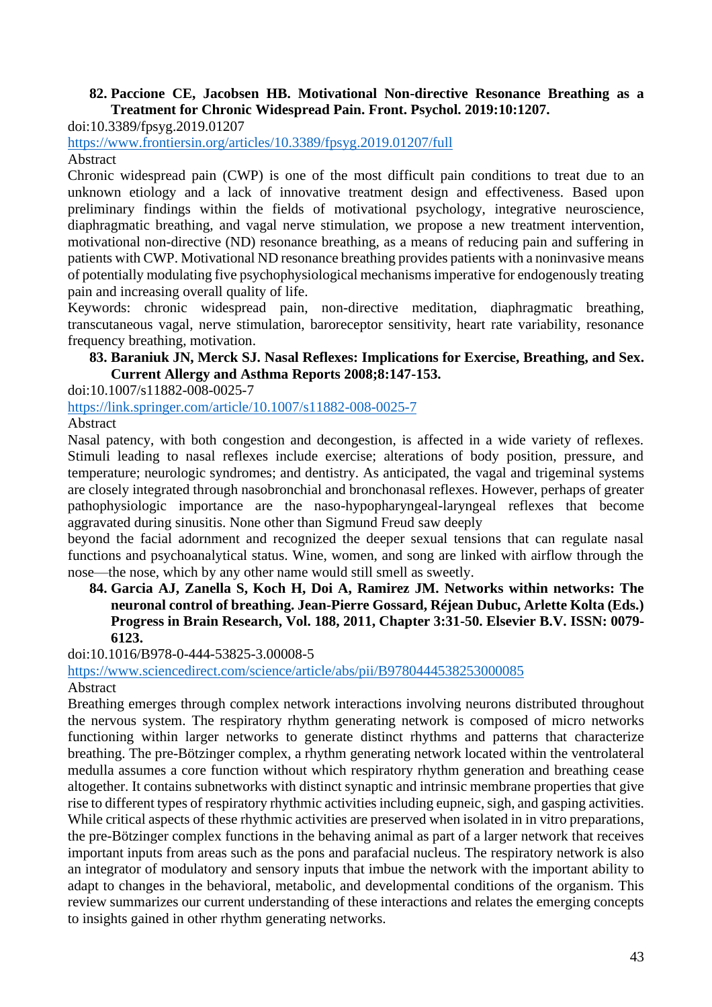## **82. Paccione CE, Jacobsen HB. Motivational Non-directive Resonance Breathing as a Treatment for Chronic Widespread Pain. Front. Psychol. 2019:10:1207.**

doi:10.3389/fpsyg.2019.01207

<https://www.frontiersin.org/articles/10.3389/fpsyg.2019.01207/full> Abstract

Chronic widespread pain (CWP) is one of the most difficult pain conditions to treat due to an unknown etiology and a lack of innovative treatment design and effectiveness. Based upon preliminary findings within the fields of motivational psychology, integrative neuroscience, diaphragmatic breathing, and vagal nerve stimulation, we propose a new treatment intervention, motivational non-directive (ND) resonance breathing, as a means of reducing pain and suffering in patients with CWP. Motivational ND resonance breathing provides patients with a noninvasive means of potentially modulating five psychophysiological mechanisms imperative for endogenously treating pain and increasing overall quality of life.

Keywords: chronic widespread pain, non-directive meditation, diaphragmatic breathing, transcutaneous vagal, nerve stimulation, baroreceptor sensitivity, heart rate variability, resonance frequency breathing, motivation.

## **83. Baraniuk JN, Merck SJ. Nasal Reflexes: Implications for Exercise, Breathing, and Sex. Current Allergy and Asthma Reports 2008;8:147-153.**

doi:10.1007/s11882-008-0025-7

<https://link.springer.com/article/10.1007/s11882-008-0025-7>

Abstract

Nasal patency, with both congestion and decongestion, is affected in a wide variety of reflexes. Stimuli leading to nasal reflexes include exercise; alterations of body position, pressure, and temperature; neurologic syndromes; and dentistry. As anticipated, the vagal and trigeminal systems are closely integrated through nasobronchial and bronchonasal reflexes. However, perhaps of greater pathophysiologic importance are the naso-hypopharyngeal-laryngeal reflexes that become aggravated during sinusitis. None other than Sigmund Freud saw deeply

beyond the facial adornment and recognized the deeper sexual tensions that can regulate nasal functions and psychoanalytical status. Wine, women, and song are linked with airflow through the nose—the nose, which by any other name would still smell as sweetly.

#### **84. Garcia AJ, Zanella S, Koch H, Doi A, Ramirez JM. Networks within networks: The neuronal control of breathing. Jean-Pierre Gossard, Réjean Dubuc, Arlette Kolta (Eds.) Progress in Brain Research, Vol. 188, 2011, Chapter 3:31-50. Elsevier B.V. ISSN: 0079- 6123.**

doi:10.1016/B978-0-444-53825-3.00008-5

<https://www.sciencedirect.com/science/article/abs/pii/B9780444538253000085>

## Abstract

Breathing emerges through complex network interactions involving neurons distributed throughout the nervous system. The respiratory rhythm generating network is composed of micro networks functioning within larger networks to generate distinct rhythms and patterns that characterize breathing. The pre-Bötzinger complex, a rhythm generating network located within the ventrolateral medulla assumes a core function without which respiratory rhythm generation and breathing cease altogether. It contains subnetworks with distinct synaptic and intrinsic membrane properties that give rise to different types of respiratory rhythmic activities including eupneic, sigh, and gasping activities. While critical aspects of these rhythmic activities are preserved when isolated in in vitro preparations, the pre-Bötzinger complex functions in the behaving animal as part of a larger network that receives important inputs from areas such as the pons and parafacial nucleus. The respiratory network is also an integrator of modulatory and sensory inputs that imbue the network with the important ability to adapt to changes in the behavioral, metabolic, and developmental conditions of the organism. This review summarizes our current understanding of these interactions and relates the emerging concepts to insights gained in other rhythm generating networks.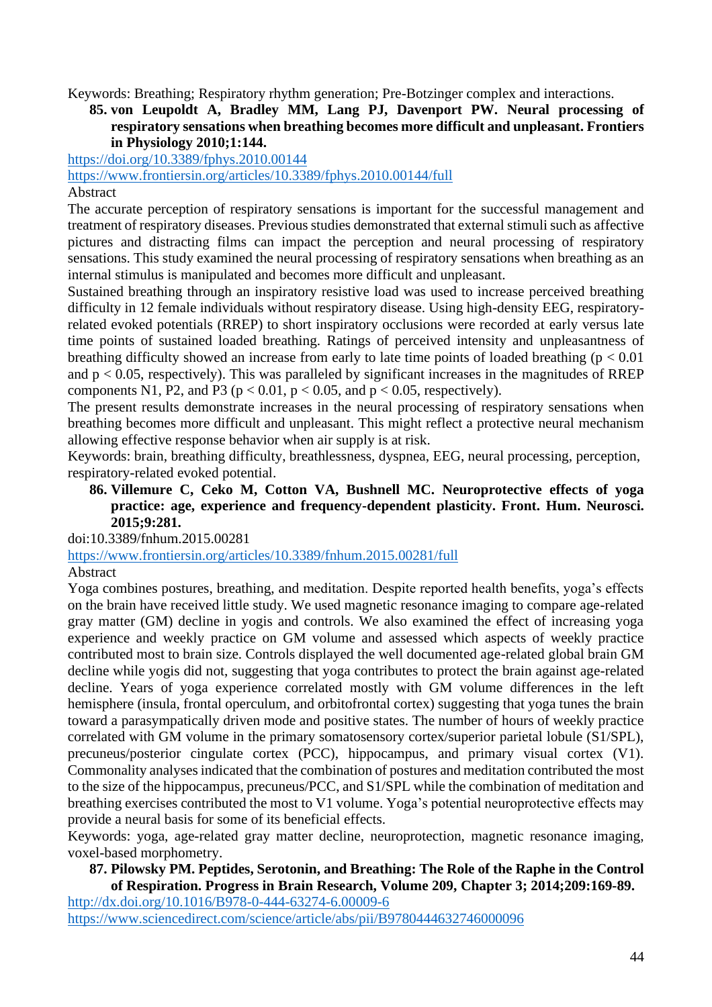Keywords: Breathing; Respiratory rhythm generation; Pre-Botzinger complex and interactions.

**85. von Leupoldt A, Bradley MM, Lang PJ, Davenport PW. Neural processing of respiratory sensations when breathing becomes more difficult and unpleasant. Frontiers in Physiology 2010;1:144.** 

<https://doi.org/10.3389/fphys.2010.00144>

<https://www.frontiersin.org/articles/10.3389/fphys.2010.00144/full>

#### Abstract

The accurate perception of respiratory sensations is important for the successful management and treatment of respiratory diseases. Previous studies demonstrated that external stimuli such as affective pictures and distracting films can impact the perception and neural processing of respiratory sensations. This study examined the neural processing of respiratory sensations when breathing as an internal stimulus is manipulated and becomes more difficult and unpleasant.

Sustained breathing through an inspiratory resistive load was used to increase perceived breathing difficulty in 12 female individuals without respiratory disease. Using high-density EEG, respiratoryrelated evoked potentials (RREP) to short inspiratory occlusions were recorded at early versus late time points of sustained loaded breathing. Ratings of perceived intensity and unpleasantness of breathing difficulty showed an increase from early to late time points of loaded breathing  $(p < 0.01)$ and  $p < 0.05$ , respectively). This was paralleled by significant increases in the magnitudes of RREP components N1, P2, and P3 ( $p < 0.01$ ,  $p < 0.05$ , and  $p < 0.05$ , respectively).

The present results demonstrate increases in the neural processing of respiratory sensations when breathing becomes more difficult and unpleasant. This might reflect a protective neural mechanism allowing effective response behavior when air supply is at risk.

Keywords: brain, breathing difficulty, breathlessness, dyspnea, EEG, neural processing, perception, respiratory-related evoked potential.

## **86. Villemure C, Ceko M, Cotton VA, Bushnell MC. Neuroprotective effects of yoga practice: age, experience and frequency-dependent plasticity. Front. Hum. Neurosci. 2015;9:281.**

doi:10.3389/fnhum.2015.00281

<https://www.frontiersin.org/articles/10.3389/fnhum.2015.00281/full>

## Abstract

Yoga combines postures, breathing, and meditation. Despite reported health benefits, yoga's effects on the brain have received little study. We used magnetic resonance imaging to compare age-related gray matter (GM) decline in yogis and controls. We also examined the effect of increasing yoga experience and weekly practice on GM volume and assessed which aspects of weekly practice contributed most to brain size. Controls displayed the well documented age-related global brain GM decline while yogis did not, suggesting that yoga contributes to protect the brain against age-related decline. Years of yoga experience correlated mostly with GM volume differences in the left hemisphere (insula, frontal operculum, and orbitofrontal cortex) suggesting that yoga tunes the brain toward a parasympatically driven mode and positive states. The number of hours of weekly practice correlated with GM volume in the primary somatosensory cortex/superior parietal lobule (S1/SPL), precuneus/posterior cingulate cortex (PCC), hippocampus, and primary visual cortex (V1). Commonality analyses indicated that the combination of postures and meditation contributed the most to the size of the hippocampus, precuneus/PCC, and S1/SPL while the combination of meditation and breathing exercises contributed the most to V1 volume. Yoga's potential neuroprotective effects may provide a neural basis for some of its beneficial effects.

Keywords: yoga, age-related gray matter decline, neuroprotection, magnetic resonance imaging, voxel-based morphometry.

**87. Pilowsky PM. Peptides, Serotonin, and Breathing: The Role of the Raphe in the Control of Respiration. Progress in Brain Research, Volume 209, Chapter 3; 2014;209:169-89.**

<http://dx.doi.org/10.1016/B978-0-444-63274-6.00009-6> <https://www.sciencedirect.com/science/article/abs/pii/B9780444632746000096>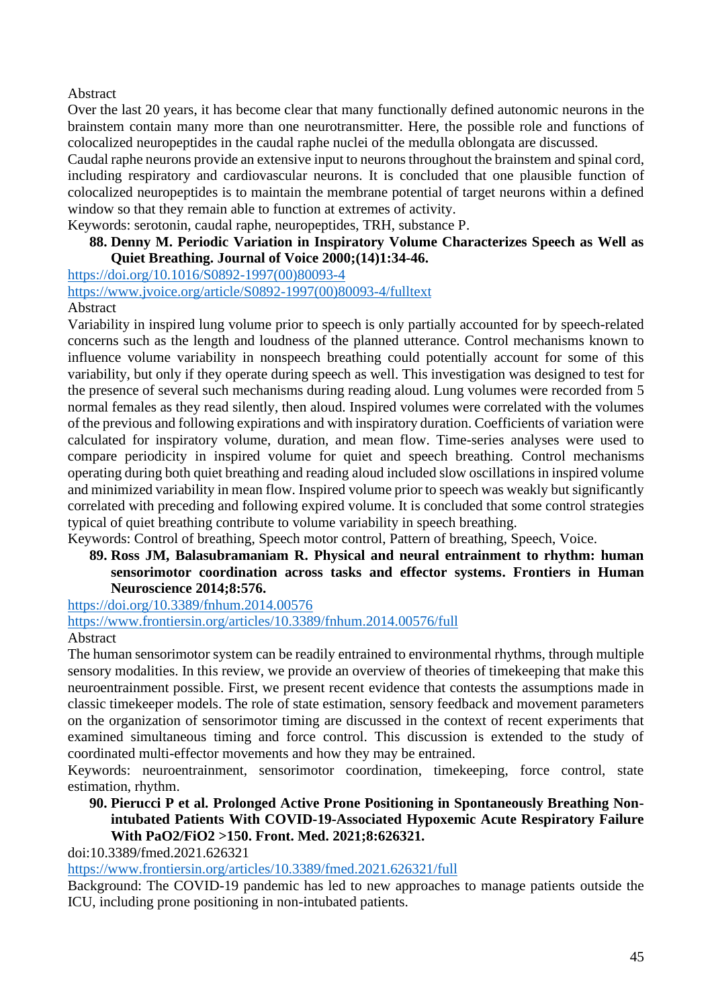#### Abstract

Over the last 20 years, it has become clear that many functionally defined autonomic neurons in the brainstem contain many more than one neurotransmitter. Here, the possible role and functions of colocalized neuropeptides in the caudal raphe nuclei of the medulla oblongata are discussed.

Caudal raphe neurons provide an extensive input to neurons throughout the brainstem and spinal cord, including respiratory and cardiovascular neurons. It is concluded that one plausible function of colocalized neuropeptides is to maintain the membrane potential of target neurons within a defined window so that they remain able to function at extremes of activity.

Keywords: serotonin, caudal raphe, neuropeptides, TRH, substance P.

#### **88. Denny M. Periodic Variation in Inspiratory Volume Characterizes Speech as Well as Quiet Breathing. Journal of Voice 2000;(14)1:34-46.**

[https://doi.org/10.1016/S0892-1997\(00\)80093-4](https://doi.org/10.1016/S0892-1997(00)80093-4)

[https://www.jvoice.org/article/S0892-1997\(00\)80093-4/fulltext](https://www.jvoice.org/article/S0892-1997(00)80093-4/fulltext)

## Abstract

Variability in inspired lung volume prior to speech is only partially accounted for by speech-related concerns such as the length and loudness of the planned utterance. Control mechanisms known to influence volume variability in nonspeech breathing could potentially account for some of this variability, but only if they operate during speech as well. This investigation was designed to test for the presence of several such mechanisms during reading aloud. Lung volumes were recorded from 5 normal females as they read silently, then aloud. Inspired volumes were correlated with the volumes of the previous and following expirations and with inspiratory duration. Coefficients of variation were calculated for inspiratory volume, duration, and mean flow. Time-series analyses were used to compare periodicity in inspired volume for quiet and speech breathing. Control mechanisms operating during both quiet breathing and reading aloud included slow oscillations in inspired volume and minimized variability in mean flow. Inspired volume prior to speech was weakly but significantly correlated with preceding and following expired volume. It is concluded that some control strategies typical of quiet breathing contribute to volume variability in speech breathing.

Keywords: Control of breathing, Speech motor control, Pattern of breathing, Speech, Voice.

#### **89. Ross JM, Balasubramaniam R. Physical and neural entrainment to rhythm: human sensorimotor coordination across tasks and effector systems. Frontiers in Human Neuroscience 2014;8:576.**

<https://doi.org/10.3389/fnhum.2014.00576>

<https://www.frontiersin.org/articles/10.3389/fnhum.2014.00576/full>

## Abstract

The human sensorimotor system can be readily entrained to environmental rhythms, through multiple sensory modalities. In this review, we provide an overview of theories of timekeeping that make this neuroentrainment possible. First, we present recent evidence that contests the assumptions made in classic timekeeper models. The role of state estimation, sensory feedback and movement parameters on the organization of sensorimotor timing are discussed in the context of recent experiments that examined simultaneous timing and force control. This discussion is extended to the study of coordinated multi-effector movements and how they may be entrained.

Keywords: neuroentrainment, sensorimotor coordination, timekeeping, force control, state estimation, rhythm.

## **90. Pierucci P et al. Prolonged Active Prone Positioning in Spontaneously Breathing Nonintubated Patients With COVID-19-Associated Hypoxemic Acute Respiratory Failure With PaO2/FiO2 >150. Front. Med. 2021;8:626321.**

doi:10.3389/fmed.2021.626321

<https://www.frontiersin.org/articles/10.3389/fmed.2021.626321/full>

Background: The COVID-19 pandemic has led to new approaches to manage patients outside the ICU, including prone positioning in non-intubated patients.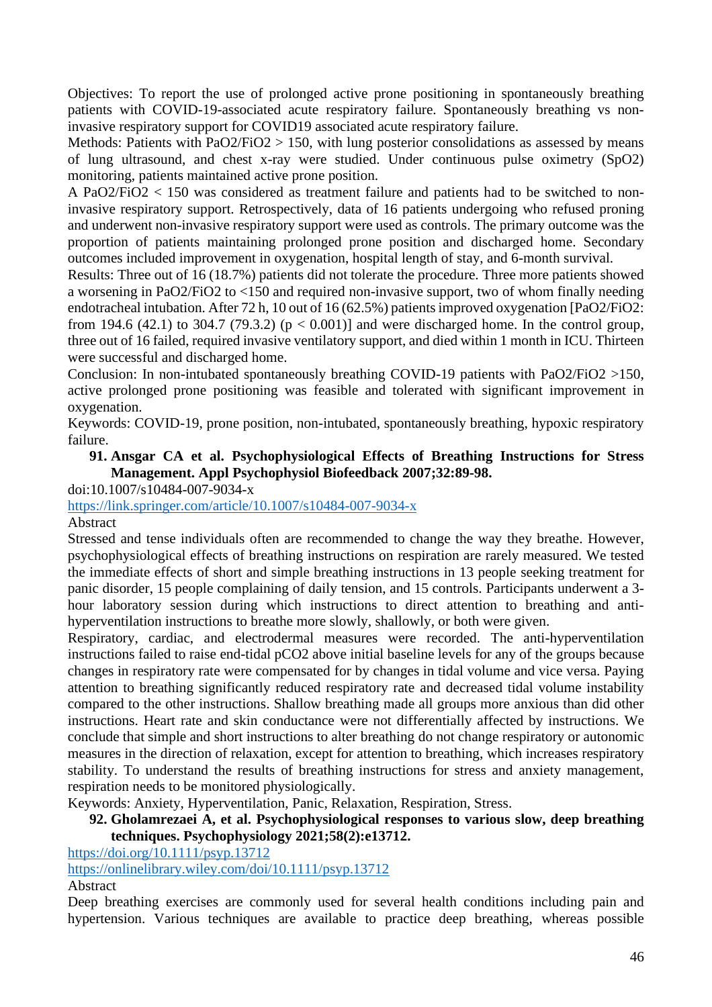Objectives: To report the use of prolonged active prone positioning in spontaneously breathing patients with COVID-19-associated acute respiratory failure. Spontaneously breathing vs noninvasive respiratory support for COVID19 associated acute respiratory failure.

Methods: Patients with PaO2/FiO2 > 150, with lung posterior consolidations as assessed by means of lung ultrasound, and chest x-ray were studied. Under continuous pulse oximetry (SpO2) monitoring, patients maintained active prone position.

A PaO2/FiO2 < 150 was considered as treatment failure and patients had to be switched to noninvasive respiratory support. Retrospectively, data of 16 patients undergoing who refused proning and underwent non-invasive respiratory support were used as controls. The primary outcome was the proportion of patients maintaining prolonged prone position and discharged home. Secondary outcomes included improvement in oxygenation, hospital length of stay, and 6-month survival.

Results: Three out of 16 (18.7%) patients did not tolerate the procedure. Three more patients showed a worsening in PaO2/FiO2 to <150 and required non-invasive support, two of whom finally needing endotracheal intubation. After 72 h, 10 out of 16 (62.5%) patients improved oxygenation [PaO2/FiO2: from 194.6 (42.1) to 304.7 (79.3.2) ( $p < 0.001$ )] and were discharged home. In the control group, three out of 16 failed, required invasive ventilatory support, and died within 1 month in ICU. Thirteen were successful and discharged home.

Conclusion: In non-intubated spontaneously breathing COVID-19 patients with PaO2/FiO2 >150, active prolonged prone positioning was feasible and tolerated with significant improvement in oxygenation.

Keywords: COVID-19, prone position, non-intubated, spontaneously breathing, hypoxic respiratory failure.

## **91. Ansgar CA et al. Psychophysiological Effects of Breathing Instructions for Stress Management. Appl Psychophysiol Biofeedback 2007;32:89-98.**

doi:10.1007/s10484-007-9034-x

<https://link.springer.com/article/10.1007/s10484-007-9034-x>

## Abstract

Stressed and tense individuals often are recommended to change the way they breathe. However, psychophysiological effects of breathing instructions on respiration are rarely measured. We tested the immediate effects of short and simple breathing instructions in 13 people seeking treatment for panic disorder, 15 people complaining of daily tension, and 15 controls. Participants underwent a 3 hour laboratory session during which instructions to direct attention to breathing and antihyperventilation instructions to breathe more slowly, shallowly, or both were given.

Respiratory, cardiac, and electrodermal measures were recorded. The anti-hyperventilation instructions failed to raise end-tidal pCO2 above initial baseline levels for any of the groups because changes in respiratory rate were compensated for by changes in tidal volume and vice versa. Paying attention to breathing significantly reduced respiratory rate and decreased tidal volume instability compared to the other instructions. Shallow breathing made all groups more anxious than did other instructions. Heart rate and skin conductance were not differentially affected by instructions. We conclude that simple and short instructions to alter breathing do not change respiratory or autonomic measures in the direction of relaxation, except for attention to breathing, which increases respiratory stability. To understand the results of breathing instructions for stress and anxiety management, respiration needs to be monitored physiologically.

Keywords: Anxiety, Hyperventilation, Panic, Relaxation, Respiration, Stress.

## **92. Gholamrezaei A, et al. Psychophysiological responses to various slow, deep breathing techniques. Psychophysiology 2021;58(2):e13712.**

<https://doi.org/10.1111/psyp.13712>

<https://onlinelibrary.wiley.com/doi/10.1111/psyp.13712>

## Abstract

Deep breathing exercises are commonly used for several health conditions including pain and hypertension. Various techniques are available to practice deep breathing, whereas possible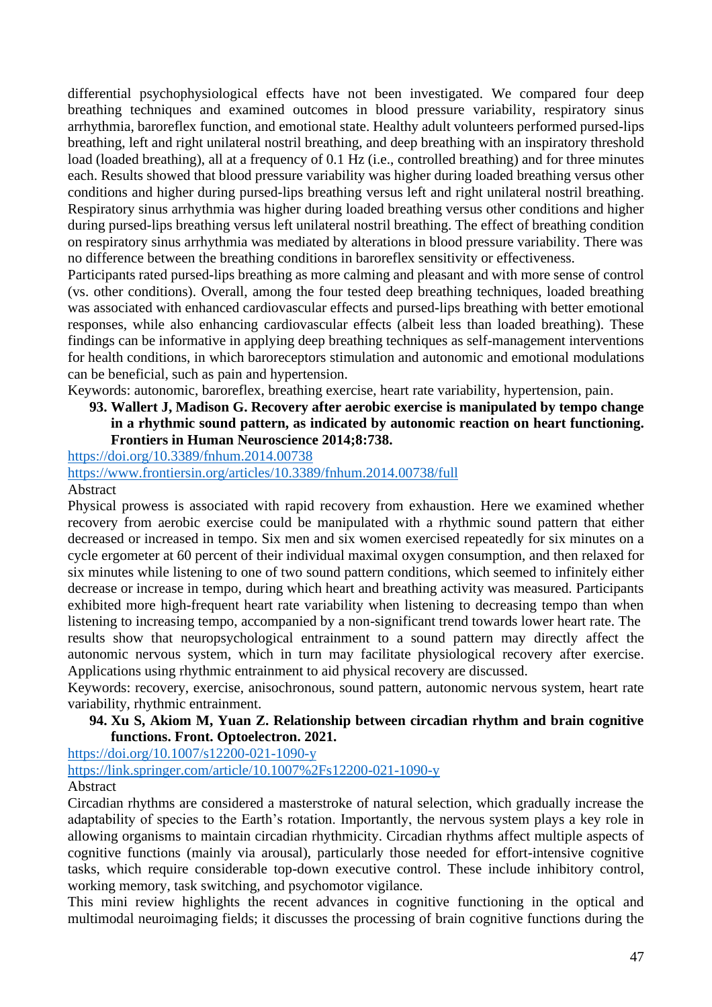differential psychophysiological effects have not been investigated. We compared four deep breathing techniques and examined outcomes in blood pressure variability, respiratory sinus arrhythmia, baroreflex function, and emotional state. Healthy adult volunteers performed pursed-lips breathing, left and right unilateral nostril breathing, and deep breathing with an inspiratory threshold load (loaded breathing), all at a frequency of 0.1 Hz (i.e., controlled breathing) and for three minutes each. Results showed that blood pressure variability was higher during loaded breathing versus other conditions and higher during pursed-lips breathing versus left and right unilateral nostril breathing. Respiratory sinus arrhythmia was higher during loaded breathing versus other conditions and higher during pursed-lips breathing versus left unilateral nostril breathing. The effect of breathing condition on respiratory sinus arrhythmia was mediated by alterations in blood pressure variability. There was no difference between the breathing conditions in baroreflex sensitivity or effectiveness.

Participants rated pursed-lips breathing as more calming and pleasant and with more sense of control (vs. other conditions). Overall, among the four tested deep breathing techniques, loaded breathing was associated with enhanced cardiovascular effects and pursed-lips breathing with better emotional responses, while also enhancing cardiovascular effects (albeit less than loaded breathing). These findings can be informative in applying deep breathing techniques as self-management interventions for health conditions, in which baroreceptors stimulation and autonomic and emotional modulations can be beneficial, such as pain and hypertension.

Keywords: autonomic, baroreflex, breathing exercise, heart rate variability, hypertension, pain.

#### **93. Wallert J, Madison G. Recovery after aerobic exercise is manipulated by tempo change in a rhythmic sound pattern, as indicated by autonomic reaction on heart functioning. Frontiers in Human Neuroscience 2014;8:738.**

<https://doi.org/10.3389/fnhum.2014.00738>

<https://www.frontiersin.org/articles/10.3389/fnhum.2014.00738/full>

#### Abstract

Physical prowess is associated with rapid recovery from exhaustion. Here we examined whether recovery from aerobic exercise could be manipulated with a rhythmic sound pattern that either decreased or increased in tempo. Six men and six women exercised repeatedly for six minutes on a cycle ergometer at 60 percent of their individual maximal oxygen consumption, and then relaxed for six minutes while listening to one of two sound pattern conditions, which seemed to infinitely either decrease or increase in tempo, during which heart and breathing activity was measured. Participants exhibited more high-frequent heart rate variability when listening to decreasing tempo than when listening to increasing tempo, accompanied by a non-significant trend towards lower heart rate. The results show that neuropsychological entrainment to a sound pattern may directly affect the autonomic nervous system, which in turn may facilitate physiological recovery after exercise. Applications using rhythmic entrainment to aid physical recovery are discussed.

Keywords: recovery, exercise, anisochronous, sound pattern, autonomic nervous system, heart rate variability, rhythmic entrainment.

#### **94. Xu S, Akiom M, Yuan Z. Relationship between circadian rhythm and brain cognitive functions. Front. Optoelectron. 2021.**

<https://doi.org/10.1007/s12200-021-1090-y>

<https://link.springer.com/article/10.1007%2Fs12200-021-1090-y>

#### Abstract

Circadian rhythms are considered a masterstroke of natural selection, which gradually increase the adaptability of species to the Earth's rotation. Importantly, the nervous system plays a key role in allowing organisms to maintain circadian rhythmicity. Circadian rhythms affect multiple aspects of cognitive functions (mainly via arousal), particularly those needed for effort-intensive cognitive tasks, which require considerable top-down executive control. These include inhibitory control, working memory, task switching, and psychomotor vigilance.

This mini review highlights the recent advances in cognitive functioning in the optical and multimodal neuroimaging fields; it discusses the processing of brain cognitive functions during the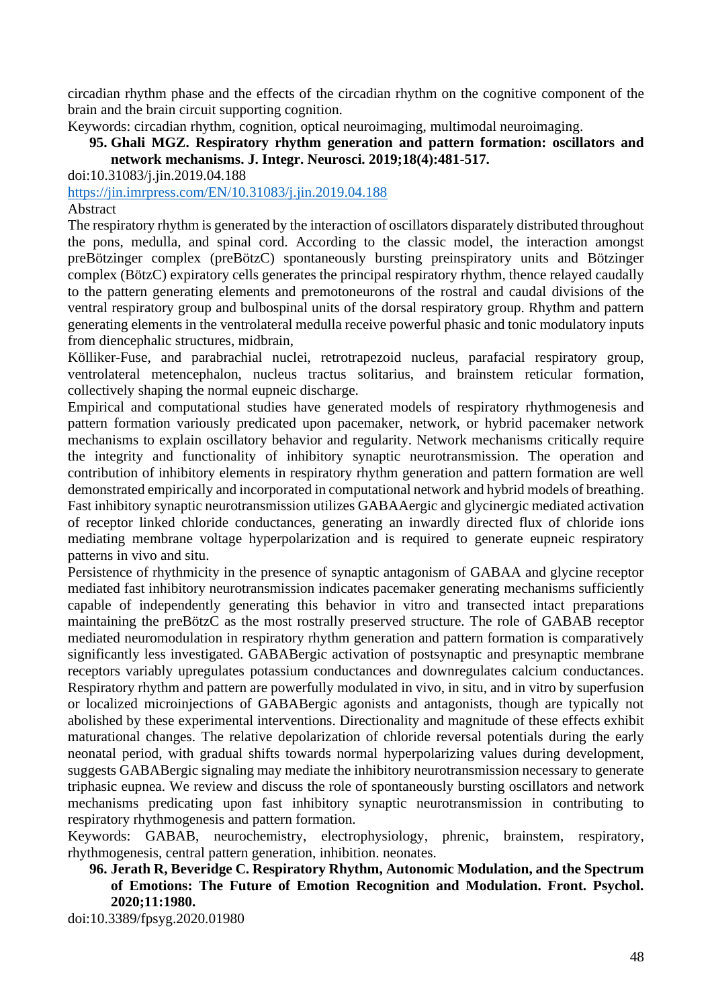circadian rhythm phase and the effects of the circadian rhythm on the cognitive component of the brain and the brain circuit supporting cognition.

Keywords: circadian rhythm, cognition, optical neuroimaging, multimodal neuroimaging.

#### **95. Ghali MGZ. Respiratory rhythm generation and pattern formation: oscillators and network mechanisms. J. Integr. Neurosci. 2019;18(4):481-517.**

doi:10.31083/j.jin.2019.04.188

<https://jin.imrpress.com/EN/10.31083/j.jin.2019.04.188>

#### Abstract

The respiratory rhythm is generated by the interaction of oscillators disparately distributed throughout the pons, medulla, and spinal cord. According to the classic model, the interaction amongst preBötzinger complex (preBötzC) spontaneously bursting preinspiratory units and Bötzinger complex (BötzC) expiratory cells generates the principal respiratory rhythm, thence relayed caudally to the pattern generating elements and premotoneurons of the rostral and caudal divisions of the ventral respiratory group and bulbospinal units of the dorsal respiratory group. Rhythm and pattern generating elements in the ventrolateral medulla receive powerful phasic and tonic modulatory inputs from diencephalic structures, midbrain,

Kölliker-Fuse, and parabrachial nuclei, retrotrapezoid nucleus, parafacial respiratory group, ventrolateral metencephalon, nucleus tractus solitarius, and brainstem reticular formation, collectively shaping the normal eupneic discharge.

Empirical and computational studies have generated models of respiratory rhythmogenesis and pattern formation variously predicated upon pacemaker, network, or hybrid pacemaker network mechanisms to explain oscillatory behavior and regularity. Network mechanisms critically require the integrity and functionality of inhibitory synaptic neurotransmission. The operation and contribution of inhibitory elements in respiratory rhythm generation and pattern formation are well demonstrated empirically and incorporated in computational network and hybrid models of breathing. Fast inhibitory synaptic neurotransmission utilizes GABAAergic and glycinergic mediated activation of receptor linked chloride conductances, generating an inwardly directed flux of chloride ions mediating membrane voltage hyperpolarization and is required to generate eupneic respiratory patterns in vivo and situ.

Persistence of rhythmicity in the presence of synaptic antagonism of GABAA and glycine receptor mediated fast inhibitory neurotransmission indicates pacemaker generating mechanisms sufficiently capable of independently generating this behavior in vitro and transected intact preparations maintaining the preBötzC as the most rostrally preserved structure. The role of GABAB receptor mediated neuromodulation in respiratory rhythm generation and pattern formation is comparatively significantly less investigated. GABABergic activation of postsynaptic and presynaptic membrane receptors variably upregulates potassium conductances and downregulates calcium conductances. Respiratory rhythm and pattern are powerfully modulated in vivo, in situ, and in vitro by superfusion or localized microinjections of GABABergic agonists and antagonists, though are typically not abolished by these experimental interventions. Directionality and magnitude of these effects exhibit maturational changes. The relative depolarization of chloride reversal potentials during the early neonatal period, with gradual shifts towards normal hyperpolarizing values during development, suggests GABABergic signaling may mediate the inhibitory neurotransmission necessary to generate triphasic eupnea. We review and discuss the role of spontaneously bursting oscillators and network mechanisms predicating upon fast inhibitory synaptic neurotransmission in contributing to respiratory rhythmogenesis and pattern formation.

Keywords: GABAB, neurochemistry, electrophysiology, phrenic, brainstem, respiratory, rhythmogenesis, central pattern generation, inhibition. neonates.

**96. Jerath R, Beveridge C. Respiratory Rhythm, Autonomic Modulation, and the Spectrum of Emotions: The Future of Emotion Recognition and Modulation. Front. Psychol. 2020;11:1980.**

doi:10.3389/fpsyg.2020.01980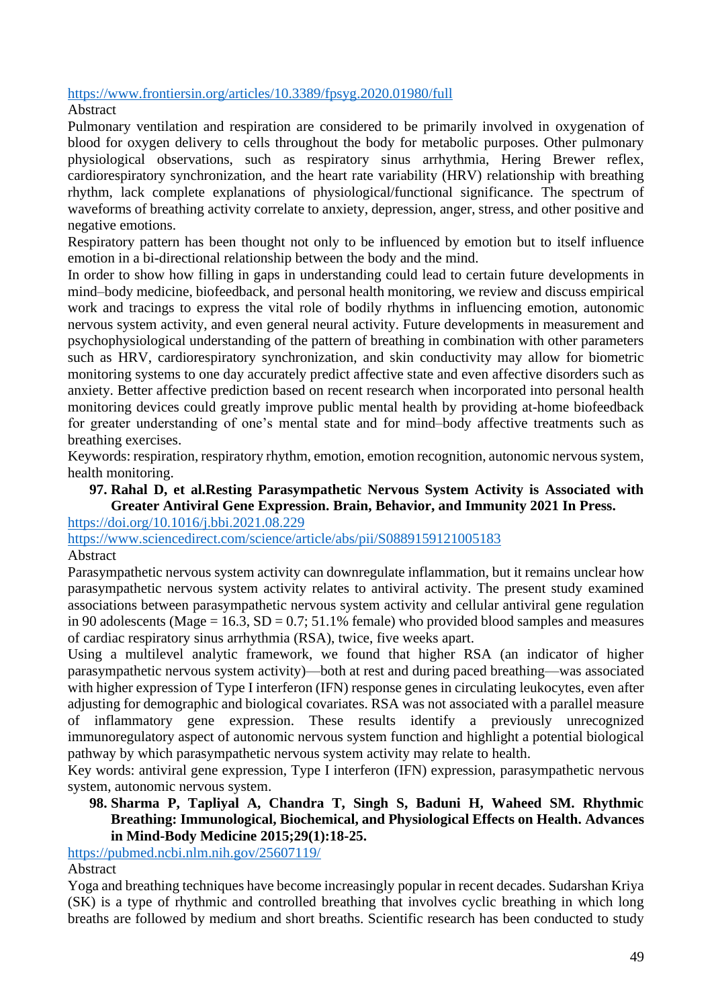<https://www.frontiersin.org/articles/10.3389/fpsyg.2020.01980/full>

#### Abstract

Pulmonary ventilation and respiration are considered to be primarily involved in oxygenation of blood for oxygen delivery to cells throughout the body for metabolic purposes. Other pulmonary physiological observations, such as respiratory sinus arrhythmia, Hering Brewer reflex, cardiorespiratory synchronization, and the heart rate variability (HRV) relationship with breathing rhythm, lack complete explanations of physiological/functional significance. The spectrum of waveforms of breathing activity correlate to anxiety, depression, anger, stress, and other positive and negative emotions.

Respiratory pattern has been thought not only to be influenced by emotion but to itself influence emotion in a bi-directional relationship between the body and the mind.

In order to show how filling in gaps in understanding could lead to certain future developments in mind–body medicine, biofeedback, and personal health monitoring, we review and discuss empirical work and tracings to express the vital role of bodily rhythms in influencing emotion, autonomic nervous system activity, and even general neural activity. Future developments in measurement and psychophysiological understanding of the pattern of breathing in combination with other parameters such as HRV, cardiorespiratory synchronization, and skin conductivity may allow for biometric monitoring systems to one day accurately predict affective state and even affective disorders such as anxiety. Better affective prediction based on recent research when incorporated into personal health monitoring devices could greatly improve public mental health by providing at-home biofeedback for greater understanding of one's mental state and for mind–body affective treatments such as breathing exercises.

Keywords: respiration, respiratory rhythm, emotion, emotion recognition, autonomic nervous system, health monitoring.

#### **97. Rahal D, et al.Resting Parasympathetic Nervous System Activity is Associated with Greater Antiviral Gene Expression. Brain, Behavior, and Immunity 2021 In Press.**

<https://doi.org/10.1016/j.bbi.2021.08.229>

<https://www.sciencedirect.com/science/article/abs/pii/S0889159121005183>

## Abstract

Parasympathetic nervous system activity can downregulate inflammation, but it remains unclear how parasympathetic nervous system activity relates to antiviral activity. The present study examined associations between parasympathetic nervous system activity and cellular antiviral gene regulation in 90 adolescents (Mage = 16.3,  $SD = 0.7$ ; 51.1% female) who provided blood samples and measures of cardiac respiratory sinus arrhythmia (RSA), twice, five weeks apart.

Using a multilevel analytic framework, we found that higher RSA (an indicator of higher parasympathetic nervous system activity)—both at rest and during paced breathing—was associated with higher expression of Type I interferon (IFN) response genes in circulating leukocytes, even after adjusting for demographic and biological covariates. RSA was not associated with a parallel measure of inflammatory gene expression. These results identify a previously unrecognized immunoregulatory aspect of autonomic nervous system function and highlight a potential biological pathway by which parasympathetic nervous system activity may relate to health.

Key words: antiviral gene expression, Type I interferon (IFN) expression, parasympathetic nervous system, autonomic nervous system.

#### **98. Sharma P, Tapliyal A, Chandra T, Singh S, Baduni H, Waheed SM. Rhythmic Breathing: Immunological, Biochemical, and Physiological Effects on Health. Advances in Mind-Body Medicine 2015;29(1):18-25.**

<https://pubmed.ncbi.nlm.nih.gov/25607119/>

## Abstract

Yoga and breathing techniques have become increasingly popular in recent decades. Sudarshan Kriya (SK) is a type of rhythmic and controlled breathing that involves cyclic breathing in which long breaths are followed by medium and short breaths. Scientific research has been conducted to study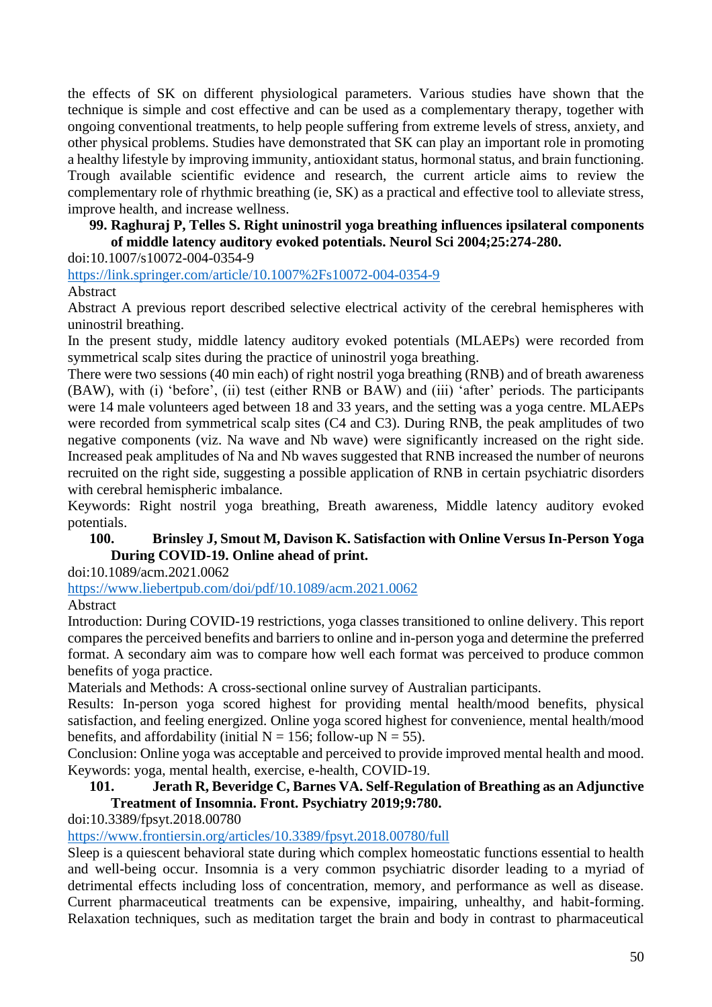the effects of SK on different physiological parameters. Various studies have shown that the technique is simple and cost effective and can be used as a complementary therapy, together with ongoing conventional treatments, to help people suffering from extreme levels of stress, anxiety, and other physical problems. Studies have demonstrated that SK can play an important role in promoting a healthy lifestyle by improving immunity, antioxidant status, hormonal status, and brain functioning. Trough available scientific evidence and research, the current article aims to review the complementary role of rhythmic breathing (ie, SK) as a practical and effective tool to alleviate stress, improve health, and increase wellness.

## **99. Raghuraj P, Telles S. Right uninostril yoga breathing influences ipsilateral components of middle latency auditory evoked potentials. Neurol Sci 2004;25:274-280.**

doi:10.1007/s10072-004-0354-9

<https://link.springer.com/article/10.1007%2Fs10072-004-0354-9>

Abstract

Abstract A previous report described selective electrical activity of the cerebral hemispheres with uninostril breathing.

In the present study, middle latency auditory evoked potentials (MLAEPs) were recorded from symmetrical scalp sites during the practice of uninostril yoga breathing.

There were two sessions (40 min each) of right nostril yoga breathing (RNB) and of breath awareness (BAW), with (i) 'before', (ii) test (either RNB or BAW) and (iii) 'after' periods. The participants were 14 male volunteers aged between 18 and 33 years, and the setting was a yoga centre. MLAEPs were recorded from symmetrical scalp sites (C4 and C3). During RNB, the peak amplitudes of two negative components (viz. Na wave and Nb wave) were significantly increased on the right side. Increased peak amplitudes of Na and Nb waves suggested that RNB increased the number of neurons recruited on the right side, suggesting a possible application of RNB in certain psychiatric disorders with cerebral hemispheric imbalance.

Keywords: Right nostril yoga breathing, Breath awareness, Middle latency auditory evoked potentials.

## **100. Brinsley J, Smout M, Davison K. Satisfaction with Online Versus In-Person Yoga During COVID-19. Online ahead of print.**

doi:10.1089/acm.2021.0062

<https://www.liebertpub.com/doi/pdf/10.1089/acm.2021.0062>

Abstract

Introduction: During COVID-19 restrictions, yoga classes transitioned to online delivery. This report compares the perceived benefits and barriers to online and in-person yoga and determine the preferred format. A secondary aim was to compare how well each format was perceived to produce common benefits of yoga practice.

Materials and Methods: A cross-sectional online survey of Australian participants.

Results: In-person yoga scored highest for providing mental health/mood benefits, physical satisfaction, and feeling energized. Online yoga scored highest for convenience, mental health/mood benefits, and affordability (initial  $N = 156$ ; follow-up  $N = 55$ ).

Conclusion: Online yoga was acceptable and perceived to provide improved mental health and mood. Keywords: yoga, mental health, exercise, e-health, COVID-19.

## **101. Jerath R, Beveridge C, Barnes VA. Self-Regulation of Breathing as an Adjunctive Treatment of Insomnia. Front. Psychiatry 2019;9:780.**

doi:10.3389/fpsyt.2018.00780

<https://www.frontiersin.org/articles/10.3389/fpsyt.2018.00780/full>

Sleep is a quiescent behavioral state during which complex homeostatic functions essential to health and well-being occur. Insomnia is a very common psychiatric disorder leading to a myriad of detrimental effects including loss of concentration, memory, and performance as well as disease. Current pharmaceutical treatments can be expensive, impairing, unhealthy, and habit-forming. Relaxation techniques, such as meditation target the brain and body in contrast to pharmaceutical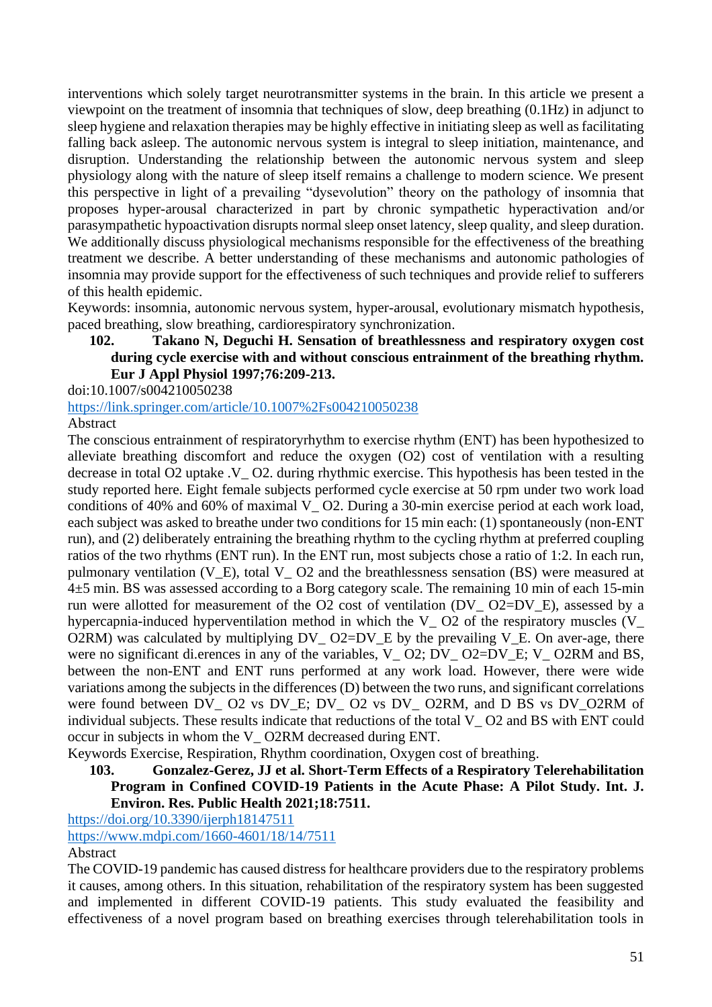interventions which solely target neurotransmitter systems in the brain. In this article we present a viewpoint on the treatment of insomnia that techniques of slow, deep breathing (0.1Hz) in adjunct to sleep hygiene and relaxation therapies may be highly effective in initiating sleep as well as facilitating falling back asleep. The autonomic nervous system is integral to sleep initiation, maintenance, and disruption. Understanding the relationship between the autonomic nervous system and sleep physiology along with the nature of sleep itself remains a challenge to modern science. We present this perspective in light of a prevailing "dysevolution" theory on the pathology of insomnia that proposes hyper-arousal characterized in part by chronic sympathetic hyperactivation and/or parasympathetic hypoactivation disrupts normal sleep onset latency, sleep quality, and sleep duration. We additionally discuss physiological mechanisms responsible for the effectiveness of the breathing treatment we describe. A better understanding of these mechanisms and autonomic pathologies of insomnia may provide support for the effectiveness of such techniques and provide relief to sufferers of this health epidemic.

Keywords: insomnia, autonomic nervous system, hyper-arousal, evolutionary mismatch hypothesis, paced breathing, slow breathing, cardiorespiratory synchronization.

## **102. Takano N, Deguchi H. Sensation of breathlessness and respiratory oxygen cost during cycle exercise with and without conscious entrainment of the breathing rhythm. Eur J Appl Physiol 1997;76:209-213.**

doi:10.1007/s004210050238

<https://link.springer.com/article/10.1007%2Fs004210050238>

Abstract

The conscious entrainment of respiratoryrhythm to exercise rhythm (ENT) has been hypothesized to alleviate breathing discomfort and reduce the oxygen (O2) cost of ventilation with a resulting decrease in total O2 uptake .V\_ O2. during rhythmic exercise. This hypothesis has been tested in the study reported here. Eight female subjects performed cycle exercise at 50 rpm under two work load conditions of 40% and 60% of maximal V  $\alpha$  O2. During a 30-min exercise period at each work load, each subject was asked to breathe under two conditions for 15 min each: (1) spontaneously (non-ENT run), and (2) deliberately entraining the breathing rhythm to the cycling rhythm at preferred coupling ratios of the two rhythms (ENT run). In the ENT run, most subjects chose a ratio of 1:2. In each run, pulmonary ventilation (V\_E), total V\_ O2 and the breathlessness sensation (BS) were measured at 4±5 min. BS was assessed according to a Borg category scale. The remaining 10 min of each 15-min run were allotted for measurement of the O2 cost of ventilation (DV\_ O2=DV\_E), assessed by a hypercapnia-induced hyperventilation method in which the V\_ O2 of the respiratory muscles (V\_ O2RM) was calculated by multiplying  $DV_$  O2=DV\_E by the prevailing V\_E. On aver-age, there were no significant di.erences in any of the variables, V<sub>\_</sub> O2; DV<sub>\_</sub> O2=DV<sub>\_</sub>E; V<sub>\_</sub> O2RM and BS, between the non-ENT and ENT runs performed at any work load. However, there were wide variations among the subjects in the differences (D) between the two runs, and significant correlations were found between DV\_ O2 vs DV\_E; DV\_ O2 vs DV\_ O2RM, and D BS vs DV\_O2RM of individual subjects. These results indicate that reductions of the total V  $O2$  and BS with ENT could occur in subjects in whom the V\_ O2RM decreased during ENT.

Keywords Exercise, Respiration, Rhythm coordination, Oxygen cost of breathing.

**103. Gonzalez-Gerez, JJ et al. Short-Term Effects of a Respiratory Telerehabilitation Program in Confined COVID-19 Patients in the Acute Phase: A Pilot Study. Int. J. Environ. Res. Public Health 2021;18:7511.**

<https://doi.org/10.3390/ijerph18147511>

<https://www.mdpi.com/1660-4601/18/14/7511>

#### Abstract

The COVID-19 pandemic has caused distress for healthcare providers due to the respiratory problems it causes, among others. In this situation, rehabilitation of the respiratory system has been suggested and implemented in different COVID-19 patients. This study evaluated the feasibility and effectiveness of a novel program based on breathing exercises through telerehabilitation tools in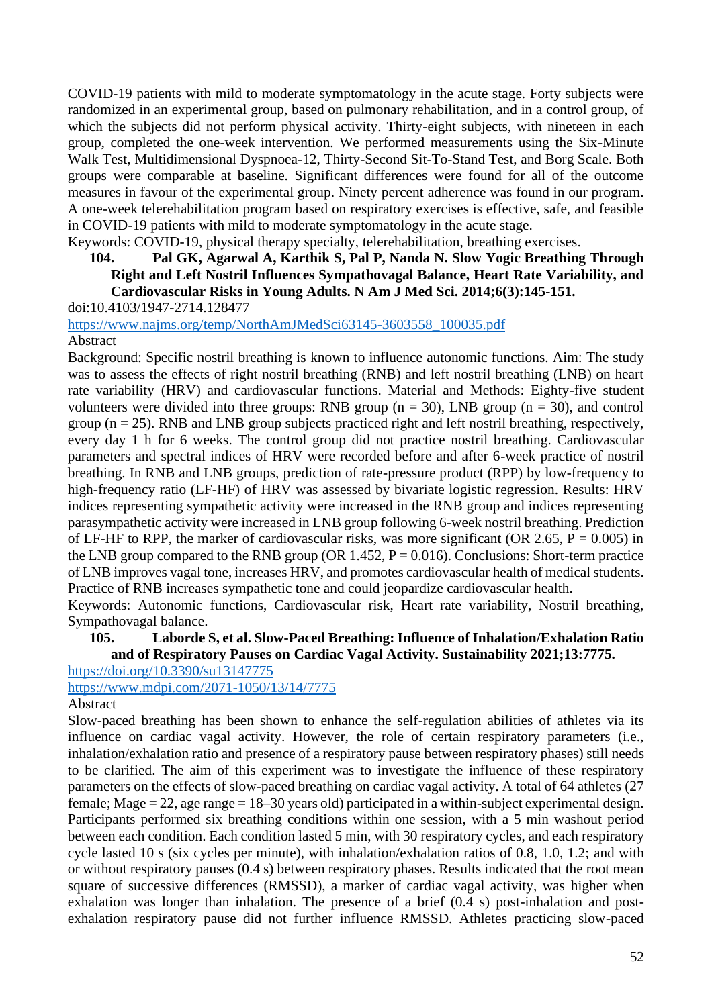COVID-19 patients with mild to moderate symptomatology in the acute stage. Forty subjects were randomized in an experimental group, based on pulmonary rehabilitation, and in a control group, of which the subjects did not perform physical activity. Thirty-eight subjects, with nineteen in each group, completed the one-week intervention. We performed measurements using the Six-Minute Walk Test, Multidimensional Dyspnoea-12, Thirty-Second Sit-To-Stand Test, and Borg Scale. Both groups were comparable at baseline. Significant differences were found for all of the outcome measures in favour of the experimental group. Ninety percent adherence was found in our program. A one-week telerehabilitation program based on respiratory exercises is effective, safe, and feasible in COVID-19 patients with mild to moderate symptomatology in the acute stage.

Keywords: COVID-19, physical therapy specialty, telerehabilitation, breathing exercises.

## **104. Pal GK, Agarwal A, Karthik S, Pal P, Nanda N. Slow Yogic Breathing Through Right and Left Nostril Influences Sympathovagal Balance, Heart Rate Variability, and Cardiovascular Risks in Young Adults. N Am J Med Sci. 2014;6(3):145-151.**

doi:10.4103/1947-2714.128477

[https://www.najms.org/temp/NorthAmJMedSci63145-3603558\\_100035.pdf](https://www.najms.org/temp/NorthAmJMedSci63145-3603558_100035.pdf)

#### Abstract

Background: Specific nostril breathing is known to influence autonomic functions. Aim: The study was to assess the effects of right nostril breathing (RNB) and left nostril breathing (LNB) on heart rate variability (HRV) and cardiovascular functions. Material and Methods: Eighty-five student volunteers were divided into three groups: RNB group ( $n = 30$ ), LNB group ( $n = 30$ ), and control group ( $n = 25$ ). RNB and LNB group subjects practiced right and left nostril breathing, respectively, every day 1 h for 6 weeks. The control group did not practice nostril breathing. Cardiovascular parameters and spectral indices of HRV were recorded before and after 6-week practice of nostril breathing. In RNB and LNB groups, prediction of rate-pressure product (RPP) by low-frequency to high-frequency ratio (LF-HF) of HRV was assessed by bivariate logistic regression. Results: HRV indices representing sympathetic activity were increased in the RNB group and indices representing parasympathetic activity were increased in LNB group following 6-week nostril breathing. Prediction of LF-HF to RPP, the marker of cardiovascular risks, was more significant (OR 2.65,  $P = 0.005$ ) in the LNB group compared to the RNB group (OR  $1.452$ , P = 0.016). Conclusions: Short-term practice of LNB improves vagal tone, increases HRV, and promotes cardiovascular health of medical students. Practice of RNB increases sympathetic tone and could jeopardize cardiovascular health.

Keywords: Autonomic functions, Cardiovascular risk, Heart rate variability, Nostril breathing, Sympathovagal balance.

#### **105. Laborde S, et al. Slow-Paced Breathing: Influence of Inhalation/Exhalation Ratio and of Respiratory Pauses on Cardiac Vagal Activity. Sustainability 2021;13:7775.**

<https://doi.org/10.3390/su13147775>

<https://www.mdpi.com/2071-1050/13/14/7775>

## Abstract

Slow-paced breathing has been shown to enhance the self-regulation abilities of athletes via its influence on cardiac vagal activity. However, the role of certain respiratory parameters (i.e., inhalation/exhalation ratio and presence of a respiratory pause between respiratory phases) still needs to be clarified. The aim of this experiment was to investigate the influence of these respiratory parameters on the effects of slow-paced breathing on cardiac vagal activity. A total of 64 athletes (27 female; Mage = 22, age range = 18–30 years old) participated in a within-subject experimental design. Participants performed six breathing conditions within one session, with a 5 min washout period between each condition. Each condition lasted 5 min, with 30 respiratory cycles, and each respiratory cycle lasted 10 s (six cycles per minute), with inhalation/exhalation ratios of 0.8, 1.0, 1.2; and with or without respiratory pauses (0.4 s) between respiratory phases. Results indicated that the root mean square of successive differences (RMSSD), a marker of cardiac vagal activity, was higher when exhalation was longer than inhalation. The presence of a brief (0.4 s) post-inhalation and postexhalation respiratory pause did not further influence RMSSD. Athletes practicing slow-paced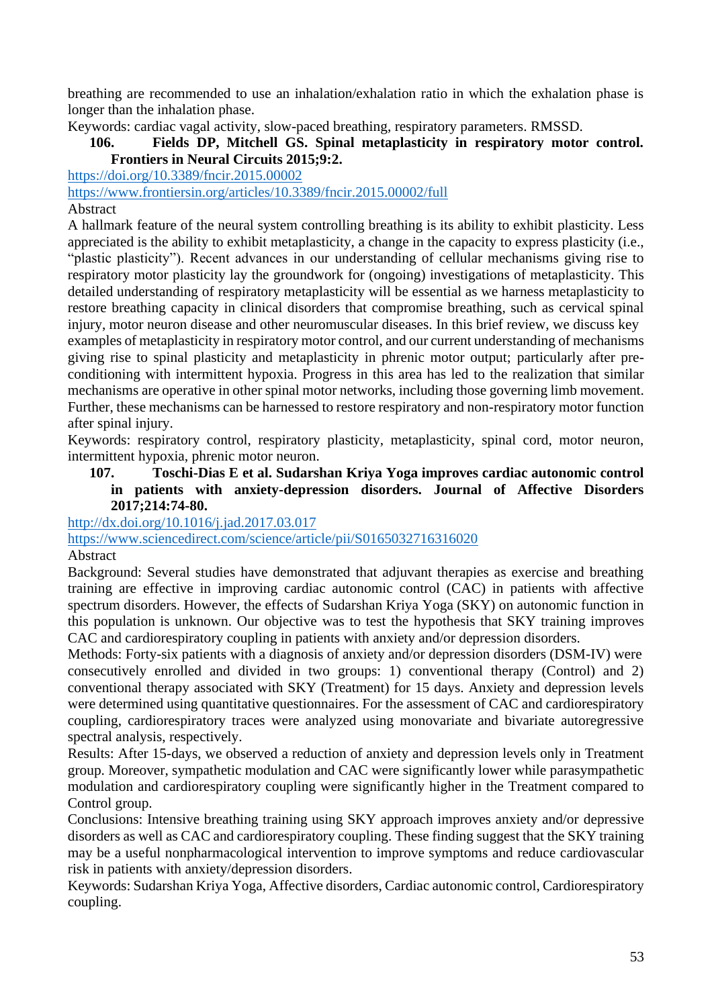breathing are recommended to use an inhalation/exhalation ratio in which the exhalation phase is longer than the inhalation phase.

Keywords: cardiac vagal activity, slow-paced breathing, respiratory parameters. RMSSD.

## **106. Fields DP, Mitchell GS. Spinal metaplasticity in respiratory motor control. Frontiers in Neural Circuits 2015;9:2.**

<https://doi.org/10.3389/fncir.2015.00002>

<https://www.frontiersin.org/articles/10.3389/fncir.2015.00002/full>

## Abstract

A hallmark feature of the neural system controlling breathing is its ability to exhibit plasticity. Less appreciated is the ability to exhibit metaplasticity, a change in the capacity to express plasticity (i.e., "plastic plasticity"). Recent advances in our understanding of cellular mechanisms giving rise to respiratory motor plasticity lay the groundwork for (ongoing) investigations of metaplasticity. This detailed understanding of respiratory metaplasticity will be essential as we harness metaplasticity to restore breathing capacity in clinical disorders that compromise breathing, such as cervical spinal injury, motor neuron disease and other neuromuscular diseases. In this brief review, we discuss key examples of metaplasticity in respiratory motor control, and our current understanding of mechanisms giving rise to spinal plasticity and metaplasticity in phrenic motor output; particularly after preconditioning with intermittent hypoxia. Progress in this area has led to the realization that similar mechanisms are operative in other spinal motor networks, including those governing limb movement. Further, these mechanisms can be harnessed to restore respiratory and non-respiratory motor function

after spinal injury.

Keywords: respiratory control, respiratory plasticity, metaplasticity, spinal cord, motor neuron, intermittent hypoxia, phrenic motor neuron.

#### **107. Toschi-Dias E et al. Sudarshan Kriya Yoga improves cardiac autonomic control in patients with anxiety-depression disorders. Journal of Affective Disorders 2017;214:74-80.**

<http://dx.doi.org/10.1016/j.jad.2017.03.017>

<https://www.sciencedirect.com/science/article/pii/S0165032716316020>

## Abstract

Background: Several studies have demonstrated that adjuvant therapies as exercise and breathing training are effective in improving cardiac autonomic control (CAC) in patients with affective spectrum disorders. However, the effects of Sudarshan Kriya Yoga (SKY) on autonomic function in this population is unknown. Our objective was to test the hypothesis that SKY training improves CAC and cardiorespiratory coupling in patients with anxiety and/or depression disorders.

Methods: Forty-six patients with a diagnosis of anxiety and/or depression disorders (DSM-IV) were consecutively enrolled and divided in two groups: 1) conventional therapy (Control) and 2) conventional therapy associated with SKY (Treatment) for 15 days. Anxiety and depression levels were determined using quantitative questionnaires. For the assessment of CAC and cardiorespiratory coupling, cardiorespiratory traces were analyzed using monovariate and bivariate autoregressive spectral analysis, respectively.

Results: After 15-days, we observed a reduction of anxiety and depression levels only in Treatment group. Moreover, sympathetic modulation and CAC were significantly lower while parasympathetic modulation and cardiorespiratory coupling were significantly higher in the Treatment compared to Control group.

Conclusions: Intensive breathing training using SKY approach improves anxiety and/or depressive disorders as well as CAC and cardiorespiratory coupling. These finding suggest that the SKY training may be a useful nonpharmacological intervention to improve symptoms and reduce cardiovascular risk in patients with anxiety/depression disorders.

Keywords: Sudarshan Kriya Yoga, Affective disorders, Cardiac autonomic control, Cardiorespiratory coupling.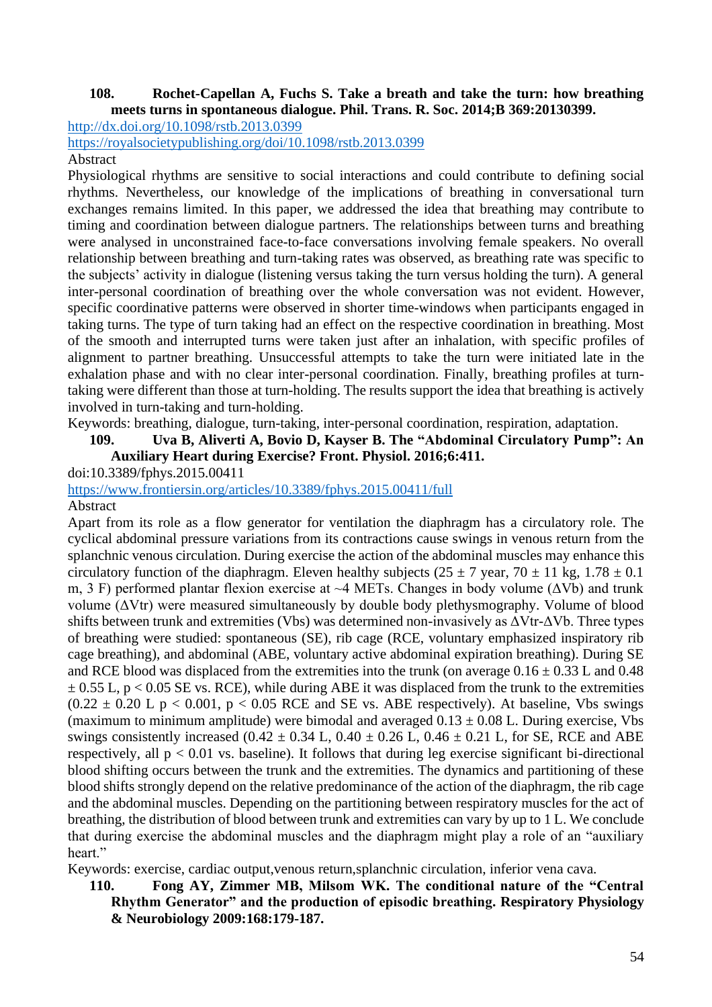## **108. Rochet-Capellan A, Fuchs S. Take a breath and take the turn: how breathing meets turns in spontaneous dialogue. Phil. Trans. R. Soc. 2014;B 369:20130399.**

<http://dx.doi.org/10.1098/rstb.2013.0399>

<https://royalsocietypublishing.org/doi/10.1098/rstb.2013.0399>

## Abstract

Physiological rhythms are sensitive to social interactions and could contribute to defining social rhythms. Nevertheless, our knowledge of the implications of breathing in conversational turn exchanges remains limited. In this paper, we addressed the idea that breathing may contribute to timing and coordination between dialogue partners. The relationships between turns and breathing were analysed in unconstrained face-to-face conversations involving female speakers. No overall relationship between breathing and turn-taking rates was observed, as breathing rate was specific to the subjects' activity in dialogue (listening versus taking the turn versus holding the turn). A general inter-personal coordination of breathing over the whole conversation was not evident. However, specific coordinative patterns were observed in shorter time-windows when participants engaged in taking turns. The type of turn taking had an effect on the respective coordination in breathing. Most of the smooth and interrupted turns were taken just after an inhalation, with specific profiles of alignment to partner breathing. Unsuccessful attempts to take the turn were initiated late in the exhalation phase and with no clear inter-personal coordination. Finally, breathing profiles at turntaking were different than those at turn-holding. The results support the idea that breathing is actively involved in turn-taking and turn-holding.

Keywords: breathing, dialogue, turn-taking, inter-personal coordination, respiration, adaptation.

**109. Uva B, Aliverti A, Bovio D, Kayser B. The "Abdominal Circulatory Pump": An Auxiliary Heart during Exercise? Front. Physiol. 2016;6:411.**

doi:10.3389/fphys.2015.00411

<https://www.frontiersin.org/articles/10.3389/fphys.2015.00411/full>

## Abstract

Apart from its role as a flow generator for ventilation the diaphragm has a circulatory role. The cyclical abdominal pressure variations from its contractions cause swings in venous return from the splanchnic venous circulation. During exercise the action of the abdominal muscles may enhance this circulatory function of the diaphragm. Eleven healthy subjects ( $25 \pm 7$  year,  $70 \pm 11$  kg,  $1.78 \pm 0.1$ m, 3 F) performed plantar flexion exercise at  $\sim$ 4 METs. Changes in body volume ( $\Delta Vb$ ) and trunk volume (ΔVtr) were measured simultaneously by double body plethysmography. Volume of blood shifts between trunk and extremities (Vbs) was determined non-invasively as  $\Delta V$ tr- $\Delta V$ b. Three types of breathing were studied: spontaneous (SE), rib cage (RCE, voluntary emphasized inspiratory rib cage breathing), and abdominal (ABE, voluntary active abdominal expiration breathing). During SE and RCE blood was displaced from the extremities into the trunk (on average  $0.16 \pm 0.33$  L and  $0.48$ )  $\pm$  0.55 L, p < 0.05 SE vs. RCE), while during ABE it was displaced from the trunk to the extremities  $(0.22 \pm 0.20 \text{ L p} < 0.001, \text{ p} < 0.05 \text{ RCE}$  and SE vs. ABE respectively). At baseline, Vbs swings (maximum to minimum amplitude) were bimodal and averaged  $0.13 \pm 0.08$  L. During exercise, Vbs swings consistently increased (0.42  $\pm$  0.34 L, 0.40  $\pm$  0.26 L, 0.46  $\pm$  0.21 L, for SE, RCE and ABE respectively, all  $p < 0.01$  vs. baseline). It follows that during leg exercise significant bi-directional blood shifting occurs between the trunk and the extremities. The dynamics and partitioning of these blood shifts strongly depend on the relative predominance of the action of the diaphragm, the rib cage and the abdominal muscles. Depending on the partitioning between respiratory muscles for the act of breathing, the distribution of blood between trunk and extremities can vary by up to 1 L. We conclude that during exercise the abdominal muscles and the diaphragm might play a role of an "auxiliary heart."

Keywords: exercise, cardiac output,venous return,splanchnic circulation, inferior vena cava.

**110. Fong AY, Zimmer MB, Milsom WK. The conditional nature of the "Central Rhythm Generator" and the production of episodic breathing. Respiratory Physiology & Neurobiology 2009:168:179-187.**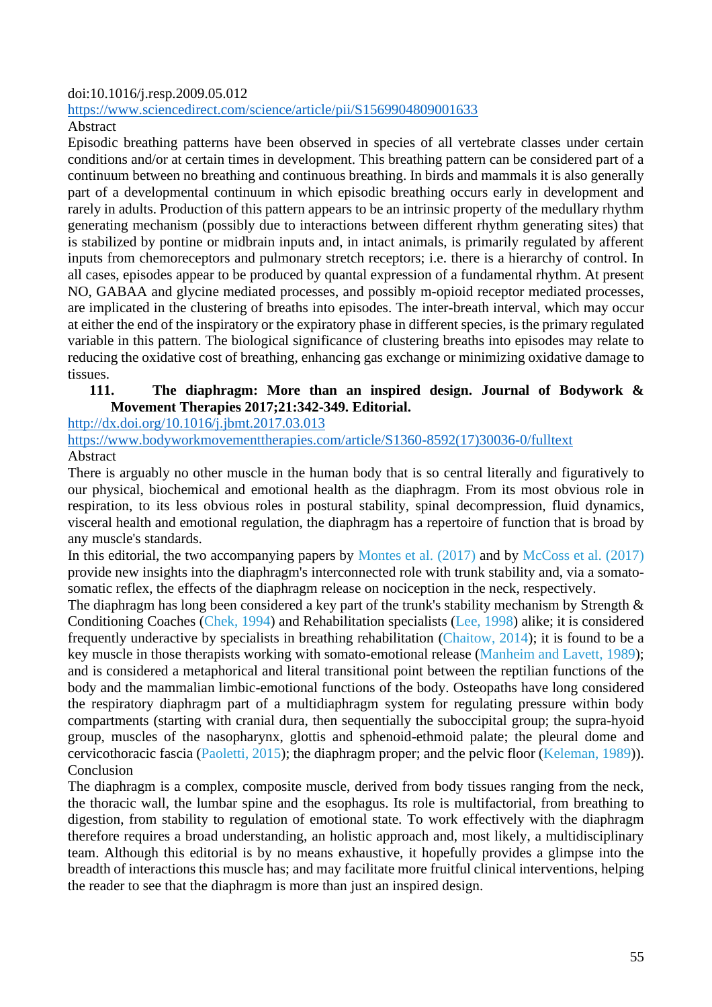#### doi:10.1016/j.resp.2009.05.012

<https://www.sciencedirect.com/science/article/pii/S1569904809001633>

#### Abstract

Episodic breathing patterns have been observed in species of all vertebrate classes under certain conditions and/or at certain times in development. This breathing pattern can be considered part of a continuum between no breathing and continuous breathing. In birds and mammals it is also generally part of a developmental continuum in which episodic breathing occurs early in development and rarely in adults. Production of this pattern appears to be an intrinsic property of the medullary rhythm generating mechanism (possibly due to interactions between different rhythm generating sites) that is stabilized by pontine or midbrain inputs and, in intact animals, is primarily regulated by afferent inputs from chemoreceptors and pulmonary stretch receptors; i.e. there is a hierarchy of control. In all cases, episodes appear to be produced by quantal expression of a fundamental rhythm. At present NO, GABAA and glycine mediated processes, and possibly m-opioid receptor mediated processes, are implicated in the clustering of breaths into episodes. The inter-breath interval, which may occur at either the end of the inspiratory or the expiratory phase in different species, is the primary regulated variable in this pattern. The biological significance of clustering breaths into episodes may relate to reducing the oxidative cost of breathing, enhancing gas exchange or minimizing oxidative damage to tissues.

## **111. The diaphragm: More than an inspired design. Journal of Bodywork & Movement Therapies 2017;21:342-349. Editorial.**

<http://dx.doi.org/10.1016/j.jbmt.2017.03.013>

[https://www.bodyworkmovementtherapies.com/article/S1360-8592\(17\)30036-0/fulltext](https://www.bodyworkmovementtherapies.com/article/S1360-8592(17)30036-0/fulltext) Abstract

There is arguably no other muscle in the human body that is so central literally and figuratively to our physical, biochemical and emotional health as the diaphragm. From its most obvious role in respiration, to its less obvious roles in postural stability, spinal decompression, fluid dynamics, visceral health and emotional regulation, the diaphragm has a repertoire of function that is broad by any muscle's standards.

In this editorial, the two accompanying papers by Montes et al. (2017) and by McCoss et al. (2017) provide new insights into the diaphragm's interconnected role with trunk stability and, via a somatosomatic reflex, the effects of the diaphragm release on nociception in the neck, respectively.

The diaphragm has long been considered a key part of the trunk's stability mechanism by Strength & Conditioning Coaches (Chek, 1994) and Rehabilitation specialists (Lee, 1998) alike; it is considered frequently underactive by specialists in breathing rehabilitation (Chaitow, 2014); it is found to be a key muscle in those therapists working with somato-emotional release (Manheim and Lavett, 1989); and is considered a metaphorical and literal transitional point between the reptilian functions of the body and the mammalian limbic-emotional functions of the body. Osteopaths have long considered the respiratory diaphragm part of a multidiaphragm system for regulating pressure within body compartments (starting with cranial dura, then sequentially the suboccipital group; the supra-hyoid group, muscles of the nasopharynx, glottis and sphenoid-ethmoid palate; the pleural dome and cervicothoracic fascia (Paoletti, 2015); the diaphragm proper; and the pelvic floor (Keleman, 1989)). Conclusion

The diaphragm is a complex, composite muscle, derived from body tissues ranging from the neck, the thoracic wall, the lumbar spine and the esophagus. Its role is multifactorial, from breathing to digestion, from stability to regulation of emotional state. To work effectively with the diaphragm therefore requires a broad understanding, an holistic approach and, most likely, a multidisciplinary team. Although this editorial is by no means exhaustive, it hopefully provides a glimpse into the breadth of interactions this muscle has; and may facilitate more fruitful clinical interventions, helping the reader to see that the diaphragm is more than just an inspired design.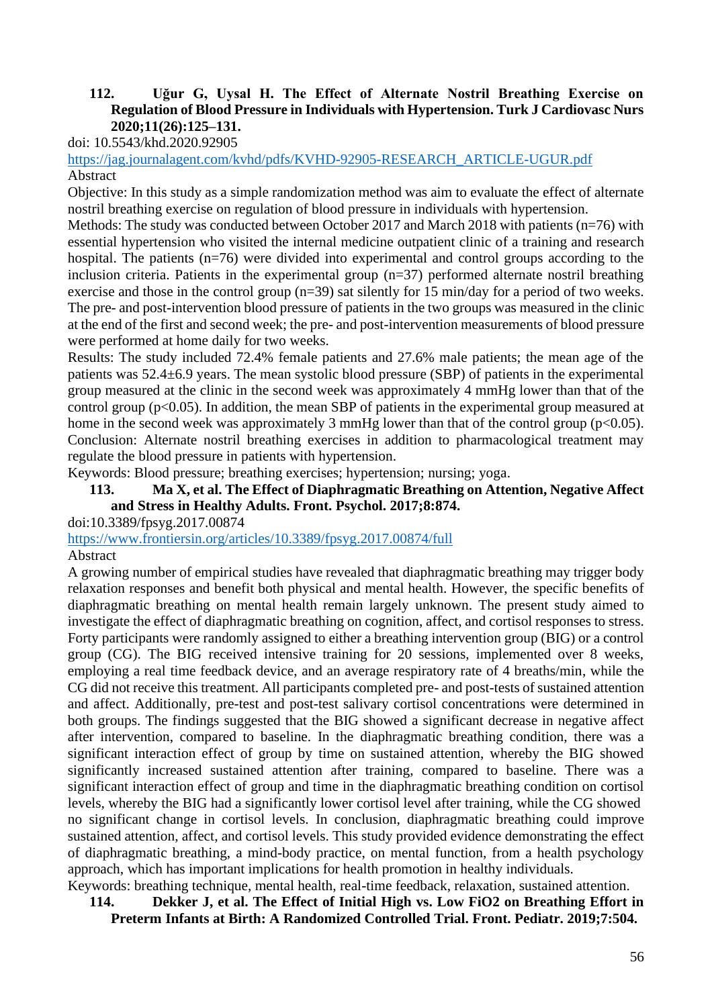## **112. Uğur G, Uysal H. The Effect of Alternate Nostril Breathing Exercise on Regulation of Blood Pressure in Individuals with Hypertension. Turk J Cardiovasc Nurs 2020;11(26):125–131.**

doi: 10.5543/khd.2020.92905

[https://jag.journalagent.com/kvhd/pdfs/KVHD-92905-RESEARCH\\_ARTICLE-UGUR.pdf](https://jag.journalagent.com/kvhd/pdfs/KVHD-92905-RESEARCH_ARTICLE-UGUR.pdf) Abstract

Objective: In this study as a simple randomization method was aim to evaluate the effect of alternate nostril breathing exercise on regulation of blood pressure in individuals with hypertension.

Methods: The study was conducted between October 2017 and March 2018 with patients (n=76) with essential hypertension who visited the internal medicine outpatient clinic of a training and research hospital. The patients (n=76) were divided into experimental and control groups according to the inclusion criteria. Patients in the experimental group (n=37) performed alternate nostril breathing exercise and those in the control group (n=39) sat silently for 15 min/day for a period of two weeks. The pre- and post-intervention blood pressure of patients in the two groups was measured in the clinic at the end of the first and second week; the pre- and post-intervention measurements of blood pressure were performed at home daily for two weeks.

Results: The study included 72.4% female patients and 27.6% male patients; the mean age of the patients was 52.4±6.9 years. The mean systolic blood pressure (SBP) of patients in the experimental group measured at the clinic in the second week was approximately 4 mmHg lower than that of the control group ( $p<0.05$ ). In addition, the mean SBP of patients in the experimental group measured at home in the second week was approximately 3 mmHg lower than that of the control group ( $p<0.05$ ). Conclusion: Alternate nostril breathing exercises in addition to pharmacological treatment may regulate the blood pressure in patients with hypertension.

Keywords: Blood pressure; breathing exercises; hypertension; nursing; yoga.

#### **113. Ma X, et al. The Effect of Diaphragmatic Breathing on Attention, Negative Affect and Stress in Healthy Adults. Front. Psychol. 2017;8:874.**

doi:10.3389/fpsyg.2017.00874

<https://www.frontiersin.org/articles/10.3389/fpsyg.2017.00874/full>

## Abstract

A growing number of empirical studies have revealed that diaphragmatic breathing may trigger body relaxation responses and benefit both physical and mental health. However, the specific benefits of diaphragmatic breathing on mental health remain largely unknown. The present study aimed to investigate the effect of diaphragmatic breathing on cognition, affect, and cortisol responses to stress. Forty participants were randomly assigned to either a breathing intervention group (BIG) or a control group (CG). The BIG received intensive training for 20 sessions, implemented over 8 weeks, employing a real time feedback device, and an average respiratory rate of 4 breaths/min, while the CG did not receive this treatment. All participants completed pre- and post-tests of sustained attention and affect. Additionally, pre-test and post-test salivary cortisol concentrations were determined in both groups. The findings suggested that the BIG showed a significant decrease in negative affect after intervention, compared to baseline. In the diaphragmatic breathing condition, there was a significant interaction effect of group by time on sustained attention, whereby the BIG showed significantly increased sustained attention after training, compared to baseline. There was a significant interaction effect of group and time in the diaphragmatic breathing condition on cortisol levels, whereby the BIG had a significantly lower cortisol level after training, while the CG showed no significant change in cortisol levels. In conclusion, diaphragmatic breathing could improve sustained attention, affect, and cortisol levels. This study provided evidence demonstrating the effect of diaphragmatic breathing, a mind-body practice, on mental function, from a health psychology approach, which has important implications for health promotion in healthy individuals.

Keywords: breathing technique, mental health, real-time feedback, relaxation, sustained attention.

**114. Dekker J, et al. The Effect of Initial High vs. Low FiO2 on Breathing Effort in Preterm Infants at Birth: A Randomized Controlled Trial. Front. Pediatr. 2019;7:504.**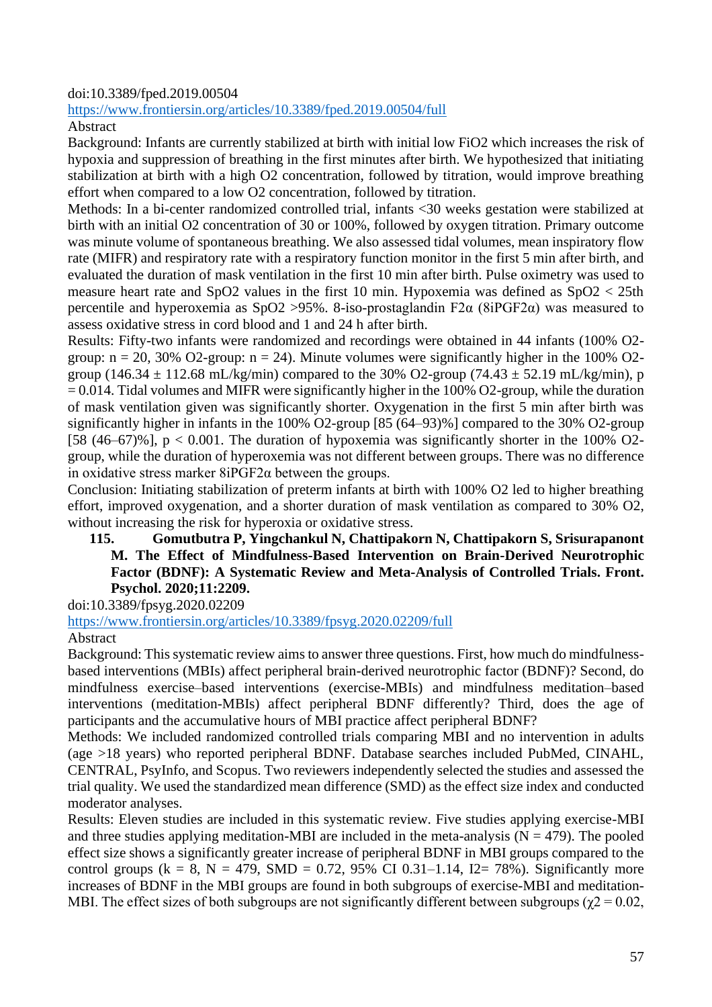#### doi:10.3389/fped.2019.00504

#### <https://www.frontiersin.org/articles/10.3389/fped.2019.00504/full>

#### Abstract

Background: Infants are currently stabilized at birth with initial low FiO2 which increases the risk of hypoxia and suppression of breathing in the first minutes after birth. We hypothesized that initiating stabilization at birth with a high O2 concentration, followed by titration, would improve breathing effort when compared to a low O2 concentration, followed by titration.

Methods: In a bi-center randomized controlled trial, infants <30 weeks gestation were stabilized at birth with an initial O2 concentration of 30 or 100%, followed by oxygen titration. Primary outcome was minute volume of spontaneous breathing. We also assessed tidal volumes, mean inspiratory flow rate (MIFR) and respiratory rate with a respiratory function monitor in the first 5 min after birth, and evaluated the duration of mask ventilation in the first 10 min after birth. Pulse oximetry was used to measure heart rate and SpO2 values in the first 10 min. Hypoxemia was defined as SpO2 < 25th percentile and hyperoxemia as  $SpO2 > 95\%$ . 8-iso-prostaglandin F2 $\alpha$  (8iPGF2 $\alpha$ ) was measured to assess oxidative stress in cord blood and 1 and 24 h after birth.

Results: Fifty-two infants were randomized and recordings were obtained in 44 infants (100% O2 group:  $n = 20$ , 30% O2-group:  $n = 24$ ). Minute volumes were significantly higher in the 100% O2group (146.34  $\pm$  112.68 mL/kg/min) compared to the 30% O2-group (74.43  $\pm$  52.19 mL/kg/min), p  $= 0.014$ . Tidal volumes and MIFR were significantly higher in the 100% O2-group, while the duration of mask ventilation given was significantly shorter. Oxygenation in the first 5 min after birth was significantly higher in infants in the 100% O2-group [85 (64–93)%] compared to the 30% O2-group [58 (46–67)%],  $p < 0.001$ . The duration of hypoxemia was significantly shorter in the 100% O2group, while the duration of hyperoxemia was not different between groups. There was no difference in oxidative stress marker 8iPGF2α between the groups.

Conclusion: Initiating stabilization of preterm infants at birth with 100% O2 led to higher breathing effort, improved oxygenation, and a shorter duration of mask ventilation as compared to 30% O2, without increasing the risk for hyperoxia or oxidative stress.

## **115. Gomutbutra P, Yingchankul N, Chattipakorn N, Chattipakorn S, Srisurapanont M. The Effect of Mindfulness-Based Intervention on Brain-Derived Neurotrophic Factor (BDNF): A Systematic Review and Meta-Analysis of Controlled Trials. Front. Psychol. 2020;11:2209.**

doi:10.3389/fpsyg.2020.02209

<https://www.frontiersin.org/articles/10.3389/fpsyg.2020.02209/full>

## Abstract

Background: This systematic review aims to answer three questions. First, how much do mindfulnessbased interventions (MBIs) affect peripheral brain-derived neurotrophic factor (BDNF)? Second, do mindfulness exercise–based interventions (exercise-MBIs) and mindfulness meditation–based interventions (meditation-MBIs) affect peripheral BDNF differently? Third, does the age of participants and the accumulative hours of MBI practice affect peripheral BDNF?

Methods: We included randomized controlled trials comparing MBI and no intervention in adults (age >18 years) who reported peripheral BDNF. Database searches included PubMed, CINAHL, CENTRAL, PsyInfo, and Scopus. Two reviewers independently selected the studies and assessed the trial quality. We used the standardized mean difference (SMD) as the effect size index and conducted moderator analyses.

Results: Eleven studies are included in this systematic review. Five studies applying exercise-MBI and three studies applying meditation-MBI are included in the meta-analysis  $(N = 479)$ . The pooled effect size shows a significantly greater increase of peripheral BDNF in MBI groups compared to the control groups (k = 8, N = 479, SMD = 0.72, 95% CI 0.31–1.14, I2= 78%). Significantly more increases of BDNF in the MBI groups are found in both subgroups of exercise-MBI and meditation-MBI. The effect sizes of both subgroups are not significantly different between subgroups ( $\chi$ 2 = 0.02,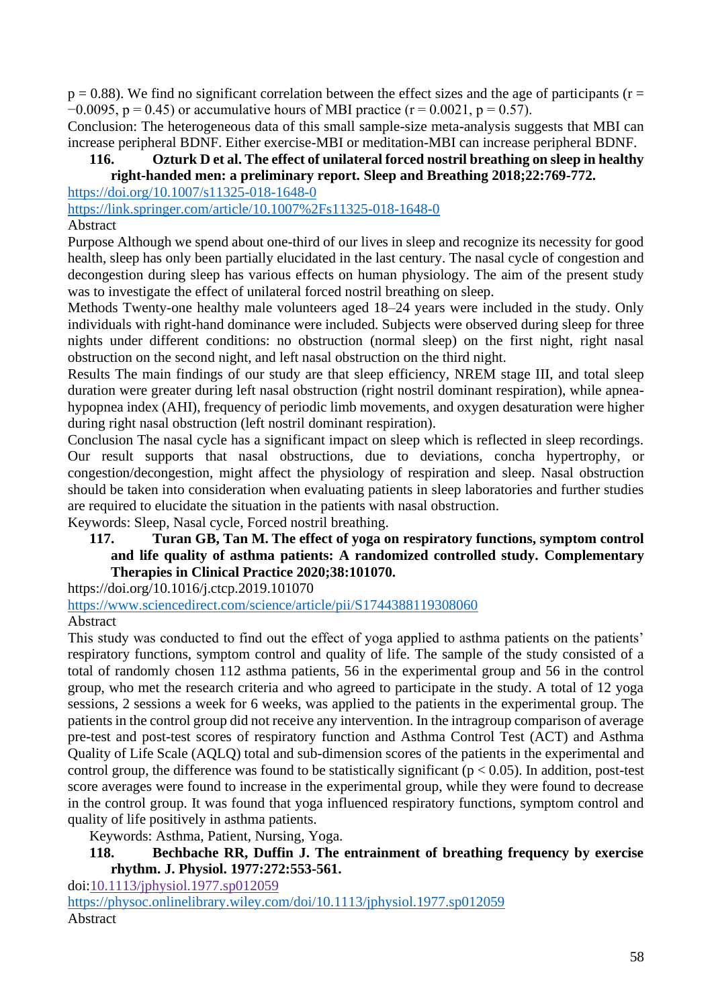$p = 0.88$ ). We find no significant correlation between the effect sizes and the age of participants ( $r =$  $-0.0095$ , p = 0.45) or accumulative hours of MBI practice (r = 0.0021, p = 0.57).

Conclusion: The heterogeneous data of this small sample-size meta-analysis suggests that MBI can increase peripheral BDNF. Either exercise-MBI or meditation-MBI can increase peripheral BDNF.

**116. Ozturk D et al. The effect of unilateral forced nostril breathing on sleep in healthy right-handed men: a preliminary report. Sleep and Breathing 2018;22:769-772.**

<https://doi.org/10.1007/s11325-018-1648-0>

<https://link.springer.com/article/10.1007%2Fs11325-018-1648-0>

#### Abstract

Purpose Although we spend about one-third of our lives in sleep and recognize its necessity for good health, sleep has only been partially elucidated in the last century. The nasal cycle of congestion and decongestion during sleep has various effects on human physiology. The aim of the present study was to investigate the effect of unilateral forced nostril breathing on sleep.

Methods Twenty-one healthy male volunteers aged 18–24 years were included in the study. Only individuals with right-hand dominance were included. Subjects were observed during sleep for three nights under different conditions: no obstruction (normal sleep) on the first night, right nasal obstruction on the second night, and left nasal obstruction on the third night.

Results The main findings of our study are that sleep efficiency, NREM stage III, and total sleep duration were greater during left nasal obstruction (right nostril dominant respiration), while apneahypopnea index (AHI), frequency of periodic limb movements, and oxygen desaturation were higher during right nasal obstruction (left nostril dominant respiration).

Conclusion The nasal cycle has a significant impact on sleep which is reflected in sleep recordings. Our result supports that nasal obstructions, due to deviations, concha hypertrophy, or congestion/decongestion, might affect the physiology of respiration and sleep. Nasal obstruction should be taken into consideration when evaluating patients in sleep laboratories and further studies are required to elucidate the situation in the patients with nasal obstruction.

Keywords: Sleep, Nasal cycle, Forced nostril breathing.

**117. Turan GB, Tan M. The effect of yoga on respiratory functions, symptom control and life quality of asthma patients: A randomized controlled study. Complementary Therapies in Clinical Practice 2020;38:101070.**

https://doi.org/10.1016/j.ctcp.2019.101070

<https://www.sciencedirect.com/science/article/pii/S1744388119308060> Abstract

This study was conducted to find out the effect of yoga applied to asthma patients on the patients' respiratory functions, symptom control and quality of life. The sample of the study consisted of a total of randomly chosen 112 asthma patients, 56 in the experimental group and 56 in the control group, who met the research criteria and who agreed to participate in the study. A total of 12 yoga sessions, 2 sessions a week for 6 weeks, was applied to the patients in the experimental group. The patients in the control group did not receive any intervention. In the intragroup comparison of average pre-test and post-test scores of respiratory function and Asthma Control Test (ACT) and Asthma Quality of Life Scale (AQLQ) total and sub-dimension scores of the patients in the experimental and control group, the difference was found to be statistically significant ( $p < 0.05$ ). In addition, post-test score averages were found to increase in the experimental group, while they were found to decrease in the control group. It was found that yoga influenced respiratory functions, symptom control and quality of life positively in asthma patients.

Keywords: Asthma, Patient, Nursing, Yoga.

**118. Bechbache RR, Duffin J. The entrainment of breathing frequency by exercise rhythm. J. Physiol. 1977:272:553-561.**

doi[:10.1113/jphysiol.1977.sp012059](https://dx.doi.org/10.1113%2Fjphysiol.1977.sp012059) <https://physoc.onlinelibrary.wiley.com/doi/10.1113/jphysiol.1977.sp012059> Abstract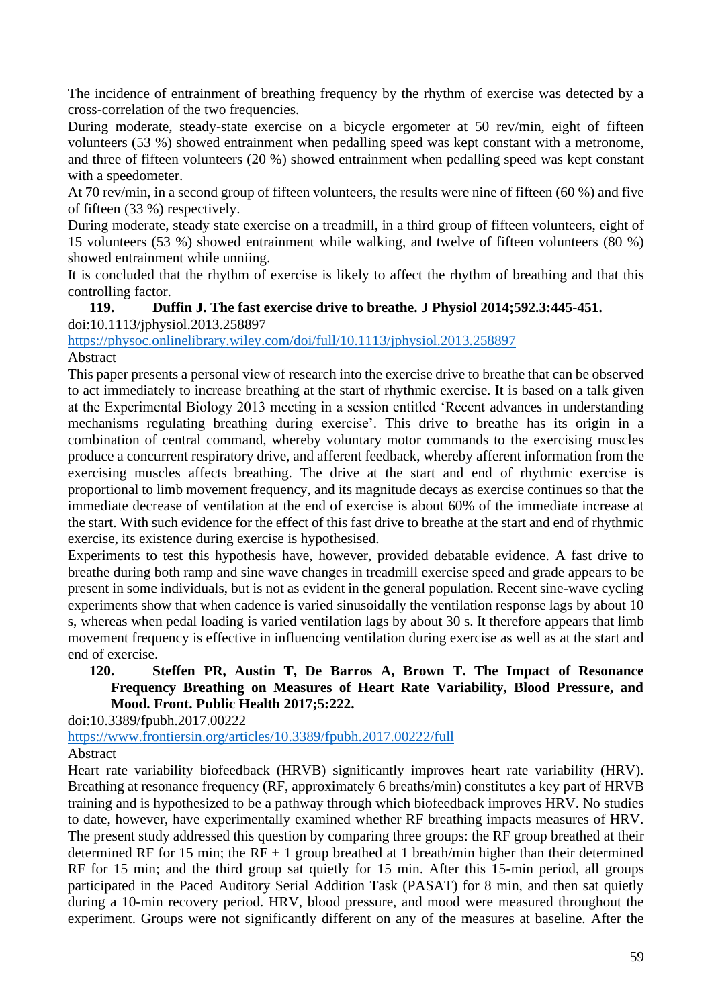The incidence of entrainment of breathing frequency by the rhythm of exercise was detected by a cross-correlation of the two frequencies.

During moderate, steady-state exercise on a bicycle ergometer at 50 rev/min, eight of fifteen volunteers (53 %) showed entrainment when pedalling speed was kept constant with a metronome, and three of fifteen volunteers (20 %) showed entrainment when pedalling speed was kept constant with a speedometer.

At 70 rev/min, in a second group of fifteen volunteers, the results were nine of fifteen (60 %) and five of fifteen (33 %) respectively.

During moderate, steady state exercise on a treadmill, in a third group of fifteen volunteers, eight of 15 volunteers (53 %) showed entrainment while walking, and twelve of fifteen volunteers (80 %) showed entrainment while unniing.

It is concluded that the rhythm of exercise is likely to affect the rhythm of breathing and that this controlling factor.

#### **119. Duffin J. The fast exercise drive to breathe. J Physiol 2014;592.3:445-451.** doi:10.1113/jphysiol.2013.258897

<https://physoc.onlinelibrary.wiley.com/doi/full/10.1113/jphysiol.2013.258897> Abstract

This paper presents a personal view of research into the exercise drive to breathe that can be observed to act immediately to increase breathing at the start of rhythmic exercise. It is based on a talk given at the Experimental Biology 2013 meeting in a session entitled 'Recent advances in understanding mechanisms regulating breathing during exercise'. This drive to breathe has its origin in a combination of central command, whereby voluntary motor commands to the exercising muscles produce a concurrent respiratory drive, and afferent feedback, whereby afferent information from the exercising muscles affects breathing. The drive at the start and end of rhythmic exercise is proportional to limb movement frequency, and its magnitude decays as exercise continues so that the immediate decrease of ventilation at the end of exercise is about 60% of the immediate increase at the start. With such evidence for the effect of this fast drive to breathe at the start and end of rhythmic exercise, its existence during exercise is hypothesised.

Experiments to test this hypothesis have, however, provided debatable evidence. A fast drive to breathe during both ramp and sine wave changes in treadmill exercise speed and grade appears to be present in some individuals, but is not as evident in the general population. Recent sine-wave cycling experiments show that when cadence is varied sinusoidally the ventilation response lags by about 10 s, whereas when pedal loading is varied ventilation lags by about 30 s. It therefore appears that limb movement frequency is effective in influencing ventilation during exercise as well as at the start and end of exercise.

#### **120. Steffen PR, Austin T, De Barros A, Brown T. The Impact of Resonance Frequency Breathing on Measures of Heart Rate Variability, Blood Pressure, and Mood. Front. Public Health 2017;5:222.**

doi:10.3389/fpubh.2017.00222

<https://www.frontiersin.org/articles/10.3389/fpubh.2017.00222/full>

## Abstract

Heart rate variability biofeedback (HRVB) significantly improves heart rate variability (HRV). Breathing at resonance frequency (RF, approximately 6 breaths/min) constitutes a key part of HRVB training and is hypothesized to be a pathway through which biofeedback improves HRV. No studies to date, however, have experimentally examined whether RF breathing impacts measures of HRV. The present study addressed this question by comparing three groups: the RF group breathed at their determined RF for 15 min; the  $RF + 1$  group breathed at 1 breath/min higher than their determined RF for 15 min; and the third group sat quietly for 15 min. After this 15-min period, all groups participated in the Paced Auditory Serial Addition Task (PASAT) for 8 min, and then sat quietly during a 10-min recovery period. HRV, blood pressure, and mood were measured throughout the experiment. Groups were not significantly different on any of the measures at baseline. After the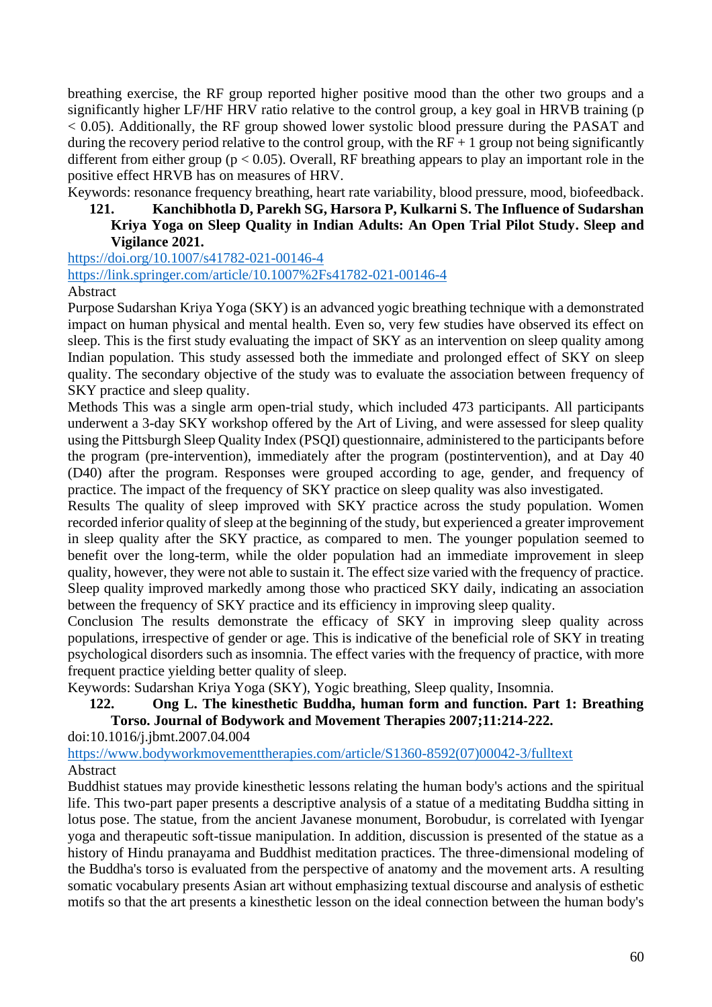breathing exercise, the RF group reported higher positive mood than the other two groups and a significantly higher LF/HF HRV ratio relative to the control group, a key goal in HRVB training (p  $< 0.05$ ). Additionally, the RF group showed lower systolic blood pressure during the PASAT and during the recovery period relative to the control group, with the  $RF + 1$  group not being significantly different from either group ( $p < 0.05$ ). Overall, RF breathing appears to play an important role in the positive effect HRVB has on measures of HRV.

Keywords: resonance frequency breathing, heart rate variability, blood pressure, mood, biofeedback.

#### **121. Kanchibhotla D, Parekh SG, Harsora P, Kulkarni S. The Influence of Sudarshan Kriya Yoga on Sleep Quality in Indian Adults: An Open Trial Pilot Study. Sleep and Vigilance 2021.**

<https://doi.org/10.1007/s41782-021-00146-4> <https://link.springer.com/article/10.1007%2Fs41782-021-00146-4>

#### Abstract

Purpose Sudarshan Kriya Yoga (SKY) is an advanced yogic breathing technique with a demonstrated impact on human physical and mental health. Even so, very few studies have observed its effect on sleep. This is the first study evaluating the impact of SKY as an intervention on sleep quality among Indian population. This study assessed both the immediate and prolonged effect of SKY on sleep quality. The secondary objective of the study was to evaluate the association between frequency of SKY practice and sleep quality.

Methods This was a single arm open-trial study, which included 473 participants. All participants underwent a 3-day SKY workshop offered by the Art of Living, and were assessed for sleep quality using the Pittsburgh Sleep Quality Index (PSQI) questionnaire, administered to the participants before the program (pre-intervention), immediately after the program (postintervention), and at Day 40 (D40) after the program. Responses were grouped according to age, gender, and frequency of practice. The impact of the frequency of SKY practice on sleep quality was also investigated.

Results The quality of sleep improved with SKY practice across the study population. Women recorded inferior quality of sleep at the beginning of the study, but experienced a greater improvement in sleep quality after the SKY practice, as compared to men. The younger population seemed to benefit over the long-term, while the older population had an immediate improvement in sleep quality, however, they were not able to sustain it. The effect size varied with the frequency of practice. Sleep quality improved markedly among those who practiced SKY daily, indicating an association between the frequency of SKY practice and its efficiency in improving sleep quality.

Conclusion The results demonstrate the efficacy of SKY in improving sleep quality across populations, irrespective of gender or age. This is indicative of the beneficial role of SKY in treating psychological disorders such as insomnia. The effect varies with the frequency of practice, with more frequent practice yielding better quality of sleep.

Keywords: Sudarshan Kriya Yoga (SKY), Yogic breathing, Sleep quality, Insomnia.

## **122. Ong L. The kinesthetic Buddha, human form and function. Part 1: Breathing Torso. Journal of Bodywork and Movement Therapies 2007;11:214-222.**

doi:10.1016/j.jbmt.2007.04.004

[https://www.bodyworkmovementtherapies.com/article/S1360-8592\(07\)00042-3/fulltext](https://www.bodyworkmovementtherapies.com/article/S1360-8592(07)00042-3/fulltext) Abstract

Buddhist statues may provide kinesthetic lessons relating the human body's actions and the spiritual life. This two-part paper presents a descriptive analysis of a statue of a meditating Buddha sitting in lotus pose. The statue, from the ancient Javanese monument, Borobudur, is correlated with Iyengar yoga and therapeutic soft-tissue manipulation. In addition, discussion is presented of the statue as a history of Hindu pranayama and Buddhist meditation practices. The three-dimensional modeling of the Buddha's torso is evaluated from the perspective of anatomy and the movement arts. A resulting somatic vocabulary presents Asian art without emphasizing textual discourse and analysis of esthetic motifs so that the art presents a kinesthetic lesson on the ideal connection between the human body's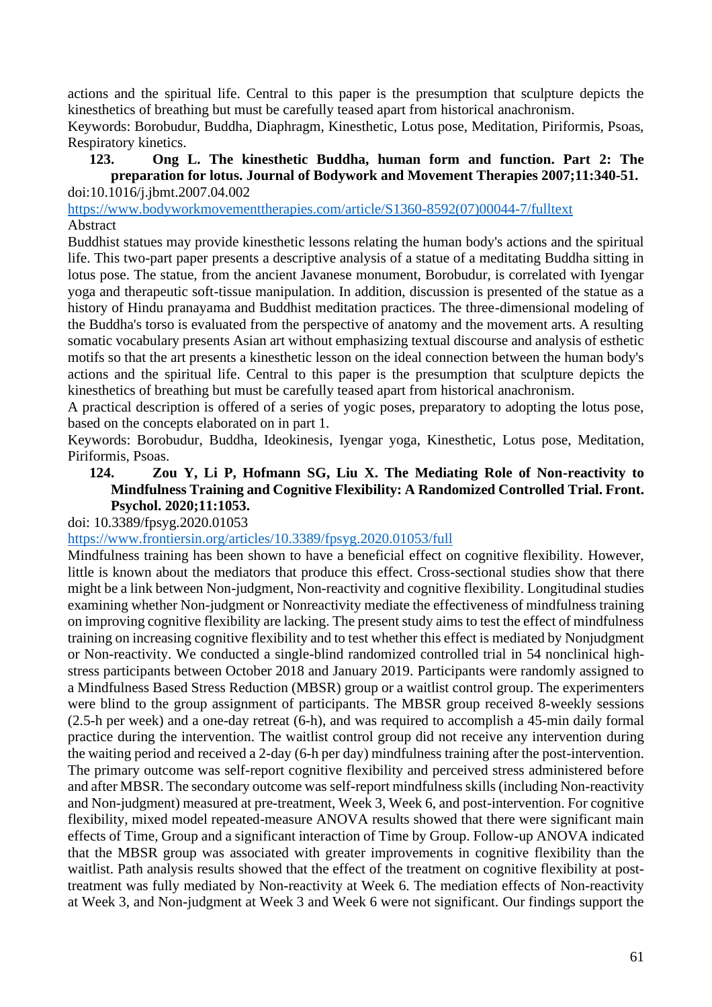actions and the spiritual life. Central to this paper is the presumption that sculpture depicts the kinesthetics of breathing but must be carefully teased apart from historical anachronism.

Keywords: Borobudur, Buddha, Diaphragm, Kinesthetic, Lotus pose, Meditation, Piriformis, Psoas, Respiratory kinetics.

**123. Ong L. The kinesthetic Buddha, human form and function. Part 2: The preparation for lotus. Journal of Bodywork and Movement Therapies 2007;11:340-51.**

doi:10.1016/j.jbmt.2007.04.002

[https://www.bodyworkmovementtherapies.com/article/S1360-8592\(07\)00044-7/fulltext](https://www.bodyworkmovementtherapies.com/article/S1360-8592(07)00044-7/fulltext) Abstract

Buddhist statues may provide kinesthetic lessons relating the human body's actions and the spiritual life. This two-part paper presents a descriptive analysis of a statue of a meditating Buddha sitting in lotus pose. The statue, from the ancient Javanese monument, Borobudur, is correlated with Iyengar yoga and therapeutic soft-tissue manipulation. In addition, discussion is presented of the statue as a history of Hindu pranayama and Buddhist meditation practices. The three-dimensional modeling of the Buddha's torso is evaluated from the perspective of anatomy and the movement arts. A resulting somatic vocabulary presents Asian art without emphasizing textual discourse and analysis of esthetic motifs so that the art presents a kinesthetic lesson on the ideal connection between the human body's actions and the spiritual life. Central to this paper is the presumption that sculpture depicts the kinesthetics of breathing but must be carefully teased apart from historical anachronism.

A practical description is offered of a series of yogic poses, preparatory to adopting the lotus pose, based on the concepts elaborated on in part 1.

Keywords: Borobudur, Buddha, Ideokinesis, Iyengar yoga, Kinesthetic, Lotus pose, Meditation, Piriformis, Psoas.

#### **124. Zou Y, Li P, Hofmann SG, Liu X. The Mediating Role of Non-reactivity to Mindfulness Training and Cognitive Flexibility: A Randomized Controlled Trial. Front. Psychol. 2020;11:1053.**

doi: 10.3389/fpsyg.2020.01053

## <https://www.frontiersin.org/articles/10.3389/fpsyg.2020.01053/full>

Mindfulness training has been shown to have a beneficial effect on cognitive flexibility. However, little is known about the mediators that produce this effect. Cross-sectional studies show that there might be a link between Non-judgment, Non-reactivity and cognitive flexibility. Longitudinal studies examining whether Non-judgment or Nonreactivity mediate the effectiveness of mindfulness training on improving cognitive flexibility are lacking. The present study aims to test the effect of mindfulness training on increasing cognitive flexibility and to test whether this effect is mediated by Nonjudgment or Non-reactivity. We conducted a single-blind randomized controlled trial in 54 nonclinical highstress participants between October 2018 and January 2019. Participants were randomly assigned to a Mindfulness Based Stress Reduction (MBSR) group or a waitlist control group. The experimenters were blind to the group assignment of participants. The MBSR group received 8-weekly sessions (2.5-h per week) and a one-day retreat (6-h), and was required to accomplish a 45-min daily formal practice during the intervention. The waitlist control group did not receive any intervention during the waiting period and received a 2-day (6-h per day) mindfulness training after the post-intervention. The primary outcome was self-report cognitive flexibility and perceived stress administered before and after MBSR. The secondary outcome was self-report mindfulness skills (including Non-reactivity and Non-judgment) measured at pre-treatment, Week 3, Week 6, and post-intervention. For cognitive flexibility, mixed model repeated-measure ANOVA results showed that there were significant main effects of Time, Group and a significant interaction of Time by Group. Follow-up ANOVA indicated that the MBSR group was associated with greater improvements in cognitive flexibility than the waitlist. Path analysis results showed that the effect of the treatment on cognitive flexibility at posttreatment was fully mediated by Non-reactivity at Week 6. The mediation effects of Non-reactivity at Week 3, and Non-judgment at Week 3 and Week 6 were not significant. Our findings support the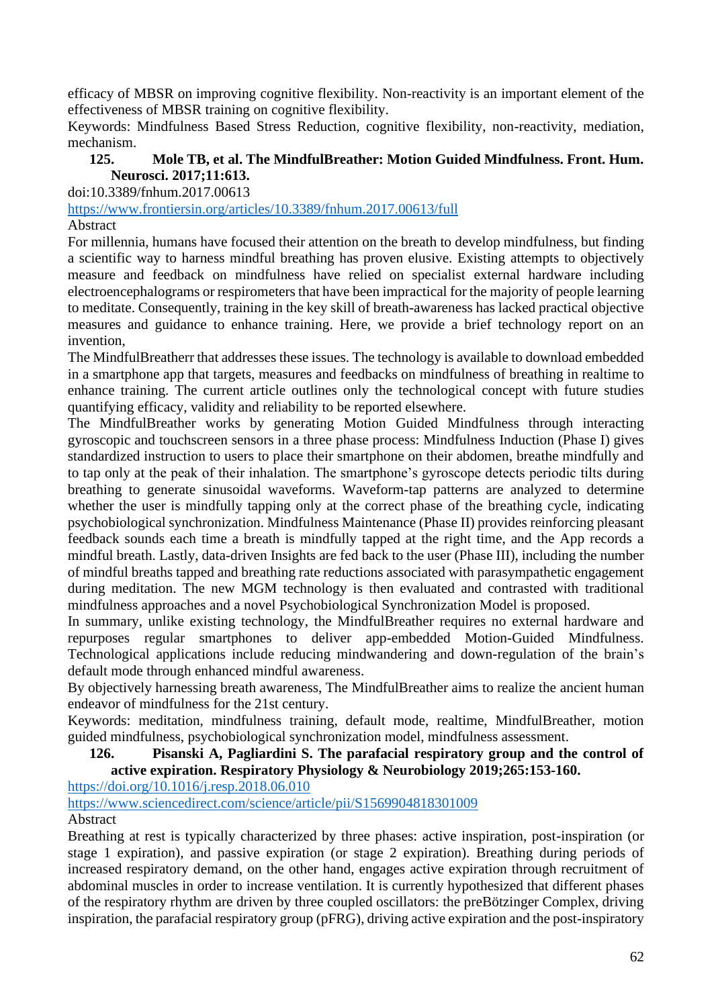efficacy of MBSR on improving cognitive flexibility. Non-reactivity is an important element of the effectiveness of MBSR training on cognitive flexibility.

Keywords: Mindfulness Based Stress Reduction, cognitive flexibility, non-reactivity, mediation, mechanism.

## **125. Mole TB, et al. The MindfulBreather: Motion Guided Mindfulness. Front. Hum. Neurosci. 2017;11:613.**

doi:10.3389/fnhum.2017.00613

<https://www.frontiersin.org/articles/10.3389/fnhum.2017.00613/full>

## Abstract

For millennia, humans have focused their attention on the breath to develop mindfulness, but finding a scientific way to harness mindful breathing has proven elusive. Existing attempts to objectively measure and feedback on mindfulness have relied on specialist external hardware including electroencephalograms or respirometers that have been impractical for the majority of people learning to meditate. Consequently, training in the key skill of breath-awareness has lacked practical objective measures and guidance to enhance training. Here, we provide a brief technology report on an invention,

The MindfulBreatherr that addresses these issues. The technology is available to download embedded in a smartphone app that targets, measures and feedbacks on mindfulness of breathing in realtime to enhance training. The current article outlines only the technological concept with future studies quantifying efficacy, validity and reliability to be reported elsewhere.

The MindfulBreather works by generating Motion Guided Mindfulness through interacting gyroscopic and touchscreen sensors in a three phase process: Mindfulness Induction (Phase I) gives standardized instruction to users to place their smartphone on their abdomen, breathe mindfully and to tap only at the peak of their inhalation. The smartphone's gyroscope detects periodic tilts during breathing to generate sinusoidal waveforms. Waveform-tap patterns are analyzed to determine whether the user is mindfully tapping only at the correct phase of the breathing cycle, indicating psychobiological synchronization. Mindfulness Maintenance (Phase II) provides reinforcing pleasant feedback sounds each time a breath is mindfully tapped at the right time, and the App records a mindful breath. Lastly, data-driven Insights are fed back to the user (Phase III), including the number of mindful breaths tapped and breathing rate reductions associated with parasympathetic engagement during meditation. The new MGM technology is then evaluated and contrasted with traditional mindfulness approaches and a novel Psychobiological Synchronization Model is proposed.

In summary, unlike existing technology, the MindfulBreather requires no external hardware and repurposes regular smartphones to deliver app-embedded Motion-Guided Mindfulness. Technological applications include reducing mindwandering and down-regulation of the brain's default mode through enhanced mindful awareness.

By objectively harnessing breath awareness, The MindfulBreather aims to realize the ancient human endeavor of mindfulness for the 21st century.

Keywords: meditation, mindfulness training, default mode, realtime, MindfulBreather, motion guided mindfulness, psychobiological synchronization model, mindfulness assessment.

## **126. Pisanski A, Pagliardini S. The parafacial respiratory group and the control of active expiration. Respiratory Physiology & Neurobiology 2019;265:153-160.**

<https://doi.org/10.1016/j.resp.2018.06.010>

<https://www.sciencedirect.com/science/article/pii/S1569904818301009>

## Abstract

Breathing at rest is typically characterized by three phases: active inspiration, post-inspiration (or stage 1 expiration), and passive expiration (or stage 2 expiration). Breathing during periods of increased respiratory demand, on the other hand, engages active expiration through recruitment of abdominal muscles in order to increase ventilation. It is currently hypothesized that different phases of the respiratory rhythm are driven by three coupled oscillators: the preBötzinger Complex, driving inspiration, the parafacial respiratory group (pFRG), driving active expiration and the post-inspiratory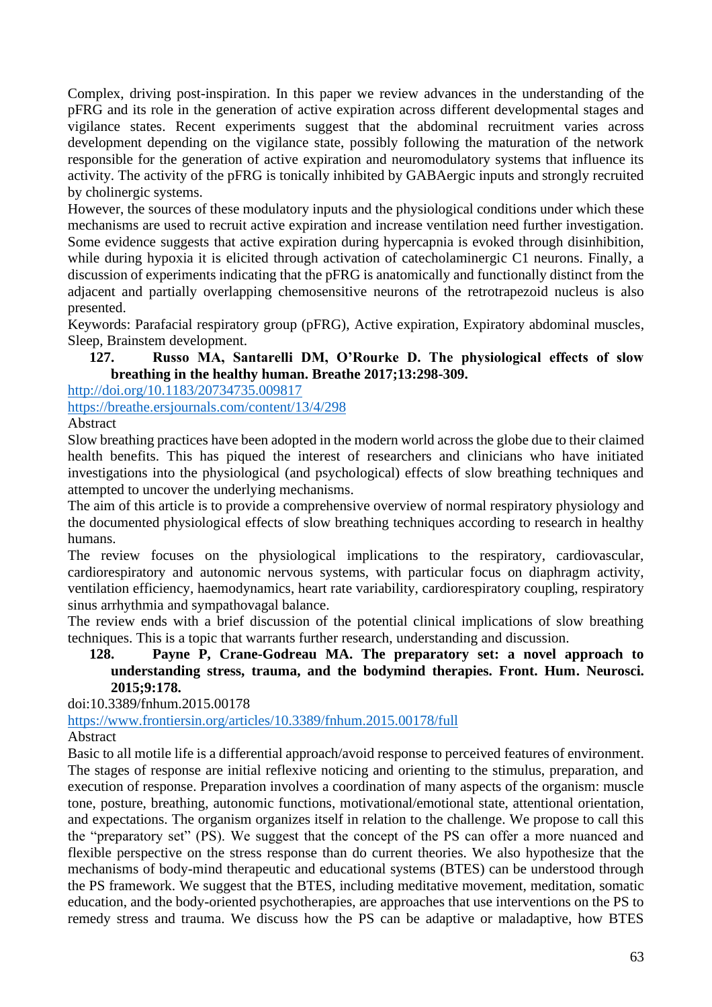Complex, driving post-inspiration. In this paper we review advances in the understanding of the pFRG and its role in the generation of active expiration across different developmental stages and vigilance states. Recent experiments suggest that the abdominal recruitment varies across development depending on the vigilance state, possibly following the maturation of the network responsible for the generation of active expiration and neuromodulatory systems that influence its activity. The activity of the pFRG is tonically inhibited by GABAergic inputs and strongly recruited by cholinergic systems.

However, the sources of these modulatory inputs and the physiological conditions under which these mechanisms are used to recruit active expiration and increase ventilation need further investigation. Some evidence suggests that active expiration during hypercapnia is evoked through disinhibition, while during hypoxia it is elicited through activation of catecholaminergic C1 neurons. Finally, a discussion of experiments indicating that the pFRG is anatomically and functionally distinct from the adjacent and partially overlapping chemosensitive neurons of the retrotrapezoid nucleus is also presented.

Keywords: Parafacial respiratory group (pFRG), Active expiration, Expiratory abdominal muscles, Sleep, Brainstem development.

## **127. Russo MA, Santarelli DM, O'Rourke D. The physiological effects of slow breathing in the healthy human. Breathe 2017;13:298-309.**

<http://doi.org/10.1183/20734735.009817>

<https://breathe.ersjournals.com/content/13/4/298>

Abstract

Slow breathing practices have been adopted in the modern world across the globe due to their claimed health benefits. This has piqued the interest of researchers and clinicians who have initiated investigations into the physiological (and psychological) effects of slow breathing techniques and attempted to uncover the underlying mechanisms.

The aim of this article is to provide a comprehensive overview of normal respiratory physiology and the documented physiological effects of slow breathing techniques according to research in healthy humans.

The review focuses on the physiological implications to the respiratory, cardiovascular, cardiorespiratory and autonomic nervous systems, with particular focus on diaphragm activity, ventilation efficiency, haemodynamics, heart rate variability, cardiorespiratory coupling, respiratory sinus arrhythmia and sympathovagal balance.

The review ends with a brief discussion of the potential clinical implications of slow breathing techniques. This is a topic that warrants further research, understanding and discussion.

## **128. Payne P, Crane-Godreau MA. The preparatory set: a novel approach to understanding stress, trauma, and the bodymind therapies. Front. Hum. Neurosci. 2015;9:178.**

doi:10.3389/fnhum.2015.00178

<https://www.frontiersin.org/articles/10.3389/fnhum.2015.00178/full>

Abstract

Basic to all motile life is a differential approach/avoid response to perceived features of environment. The stages of response are initial reflexive noticing and orienting to the stimulus, preparation, and execution of response. Preparation involves a coordination of many aspects of the organism: muscle tone, posture, breathing, autonomic functions, motivational/emotional state, attentional orientation, and expectations. The organism organizes itself in relation to the challenge. We propose to call this the "preparatory set" (PS). We suggest that the concept of the PS can offer a more nuanced and flexible perspective on the stress response than do current theories. We also hypothesize that the mechanisms of body-mind therapeutic and educational systems (BTES) can be understood through the PS framework. We suggest that the BTES, including meditative movement, meditation, somatic education, and the body-oriented psychotherapies, are approaches that use interventions on the PS to remedy stress and trauma. We discuss how the PS can be adaptive or maladaptive, how BTES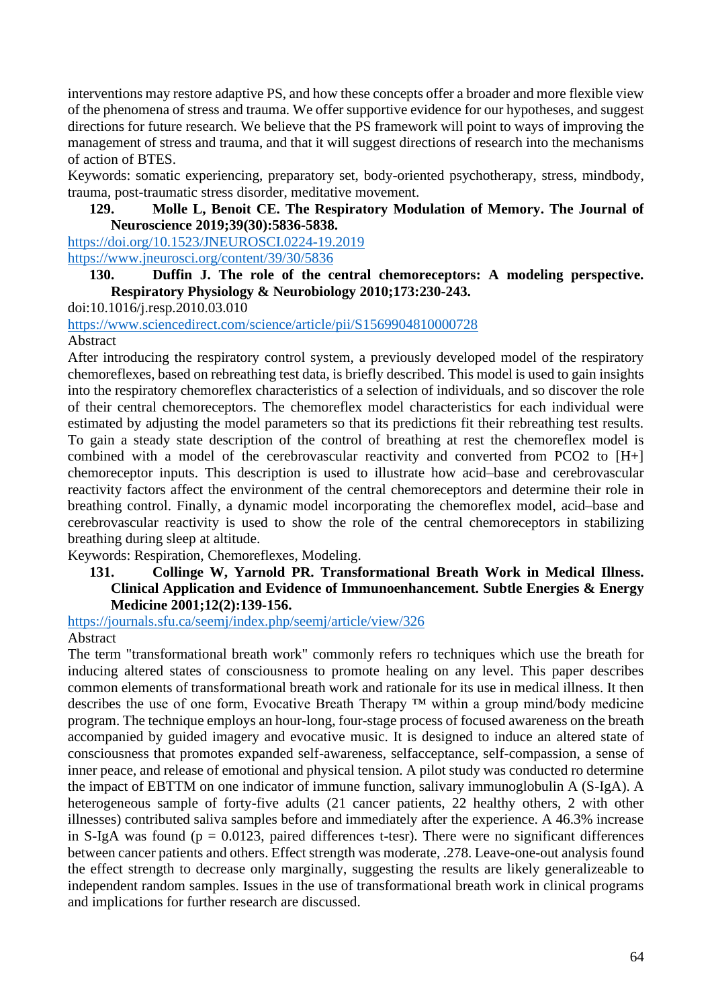interventions may restore adaptive PS, and how these concepts offer a broader and more flexible view of the phenomena of stress and trauma. We offer supportive evidence for our hypotheses, and suggest directions for future research. We believe that the PS framework will point to ways of improving the management of stress and trauma, and that it will suggest directions of research into the mechanisms of action of BTES.

Keywords: somatic experiencing, preparatory set, body-oriented psychotherapy, stress, mindbody, trauma, post-traumatic stress disorder, meditative movement.

#### **129. Molle L, Benoit CE. The Respiratory Modulation of Memory. The Journal of Neuroscience 2019;39(30):5836-5838.**

<https://doi.org/10.1523/JNEUROSCI.0224-19.2019> <https://www.jneurosci.org/content/39/30/5836>

## **130. Duffin J. The role of the central chemoreceptors: A modeling perspective. Respiratory Physiology & Neurobiology 2010;173:230-243.**

doi:10.1016/j.resp.2010.03.010

<https://www.sciencedirect.com/science/article/pii/S1569904810000728> Abstract

After introducing the respiratory control system, a previously developed model of the respiratory chemoreflexes, based on rebreathing test data, is briefly described. This model is used to gain insights into the respiratory chemoreflex characteristics of a selection of individuals, and so discover the role of their central chemoreceptors. The chemoreflex model characteristics for each individual were estimated by adjusting the model parameters so that its predictions fit their rebreathing test results. To gain a steady state description of the control of breathing at rest the chemoreflex model is combined with a model of the cerebrovascular reactivity and converted from PCO2 to [H+] chemoreceptor inputs. This description is used to illustrate how acid–base and cerebrovascular reactivity factors affect the environment of the central chemoreceptors and determine their role in breathing control. Finally, a dynamic model incorporating the chemoreflex model, acid–base and cerebrovascular reactivity is used to show the role of the central chemoreceptors in stabilizing breathing during sleep at altitude.

Keywords: Respiration, Chemoreflexes, Modeling.

#### **131. Collinge W, Yarnold PR. Transformational Breath Work in Medical Illness. Clinical Application and Evidence of Immunoenhancement. Subtle Energies & Energy Medicine 2001;12(2):139-156.**

<https://journals.sfu.ca/seemj/index.php/seemj/article/view/326>

## Abstract

The term "transformational breath work" commonly refers ro techniques which use the breath for inducing altered states of consciousness to promote healing on any level. This paper describes common elements of transformational breath work and rationale for its use in medical illness. It then describes the use of one form, Evocative Breath Therapy ™ within a group mind/body medicine program. The technique employs an hour-long, four-stage process of focused awareness on the breath accompanied by guided imagery and evocative music. It is designed to induce an altered state of consciousness that promotes expanded self-awareness, selfacceptance, self-compassion, a sense of inner peace, and release of emotional and physical tension. A pilot study was conducted ro determine the impact of EBTTM on one indicator of immune function, salivary immunoglobulin A (S-IgA). A heterogeneous sample of forty-five adults (21 cancer patients, 22 healthy others, 2 with other illnesses) contributed saliva samples before and immediately after the experience. A 46.3% increase in S-IgA was found ( $p = 0.0123$ , paired differences t-tesr). There were no significant differences between cancer patients and others. Effect strength was moderate, .278. Leave-one-out analysis found the effect strength to decrease only marginally, suggesting the results are likely generalizeable to independent random samples. Issues in the use of transformational breath work in clinical programs and implications for further research are discussed.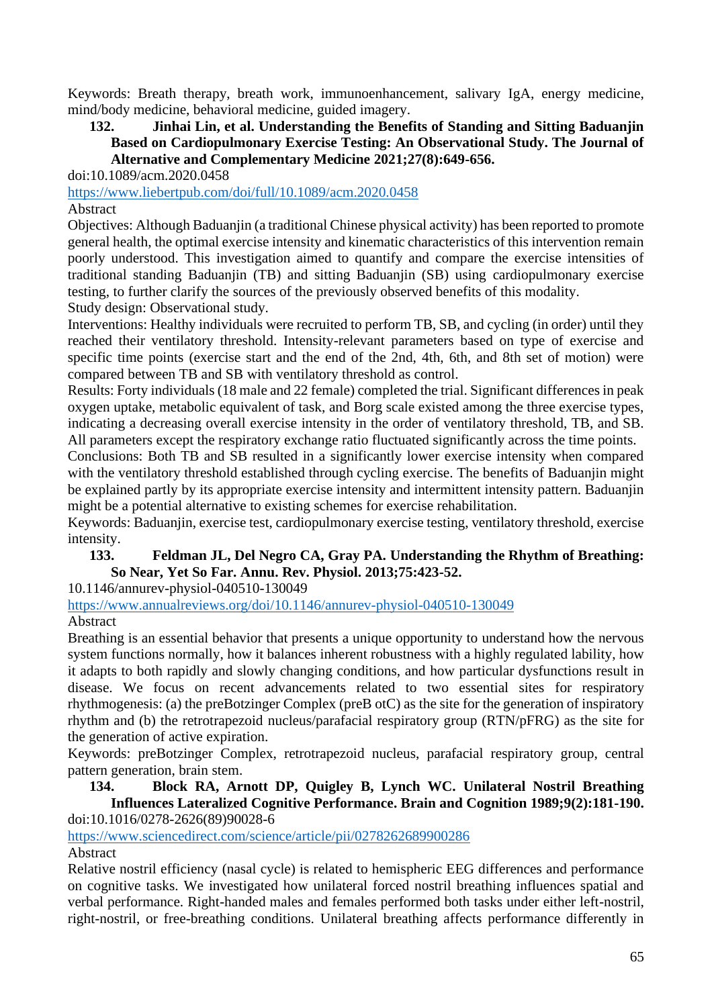Keywords: Breath therapy, breath work, immunoenhancement, salivary IgA, energy medicine, mind/body medicine, behavioral medicine, guided imagery.

## **132. Jinhai Lin, et al. Understanding the Benefits of Standing and Sitting Baduanjin Based on Cardiopulmonary Exercise Testing: An Observational Study. The Journal of Alternative and Complementary Medicine 2021;27(8):649-656.**

doi:10.1089/acm.2020.0458

<https://www.liebertpub.com/doi/full/10.1089/acm.2020.0458>

## Abstract

Objectives: Although Baduanjin (a traditional Chinese physical activity) has been reported to promote general health, the optimal exercise intensity and kinematic characteristics of this intervention remain poorly understood. This investigation aimed to quantify and compare the exercise intensities of traditional standing Baduanjin (TB) and sitting Baduanjin (SB) using cardiopulmonary exercise testing, to further clarify the sources of the previously observed benefits of this modality. Study design: Observational study.

Interventions: Healthy individuals were recruited to perform TB, SB, and cycling (in order) until they reached their ventilatory threshold. Intensity-relevant parameters based on type of exercise and specific time points (exercise start and the end of the 2nd, 4th, 6th, and 8th set of motion) were compared between TB and SB with ventilatory threshold as control.

Results: Forty individuals (18 male and 22 female) completed the trial. Significant differences in peak oxygen uptake, metabolic equivalent of task, and Borg scale existed among the three exercise types, indicating a decreasing overall exercise intensity in the order of ventilatory threshold, TB, and SB. All parameters except the respiratory exchange ratio fluctuated significantly across the time points.

Conclusions: Both TB and SB resulted in a significantly lower exercise intensity when compared with the ventilatory threshold established through cycling exercise. The benefits of Baduanjin might be explained partly by its appropriate exercise intensity and intermittent intensity pattern. Baduanjin might be a potential alternative to existing schemes for exercise rehabilitation.

Keywords: Baduanjin, exercise test, cardiopulmonary exercise testing, ventilatory threshold, exercise intensity.

## **133. Feldman JL, Del Negro CA, Gray PA. Understanding the Rhythm of Breathing: So Near, Yet So Far. Annu. Rev. Physiol. 2013;75:423-52.**

10.1146/annurev-physiol-040510-130049

<https://www.annualreviews.org/doi/10.1146/annurev-physiol-040510-130049>

Abstract

Breathing is an essential behavior that presents a unique opportunity to understand how the nervous system functions normally, how it balances inherent robustness with a highly regulated lability, how it adapts to both rapidly and slowly changing conditions, and how particular dysfunctions result in disease. We focus on recent advancements related to two essential sites for respiratory rhythmogenesis: (a) the preBotzinger Complex (preB otC) as the site for the generation of inspiratory rhythm and (b) the retrotrapezoid nucleus/parafacial respiratory group (RTN/pFRG) as the site for the generation of active expiration.

Keywords: preBotzinger Complex, retrotrapezoid nucleus, parafacial respiratory group, central pattern generation, brain stem.

**134. Block RA, Arnott DP, Quigley B, Lynch WC. Unilateral Nostril Breathing Influences Lateralized Cognitive Performance. Brain and Cognition 1989;9(2):181-190.**

doi:10.1016/0278-2626(89)90028-6

<https://www.sciencedirect.com/science/article/pii/0278262689900286>

## Abstract

Relative nostril efficiency (nasal cycle) is related to hemispheric EEG differences and performance on cognitive tasks. We investigated how unilateral forced nostril breathing influences spatial and verbal performance. Right-handed males and females performed both tasks under either left-nostril, right-nostril, or free-breathing conditions. Unilateral breathing affects performance differently in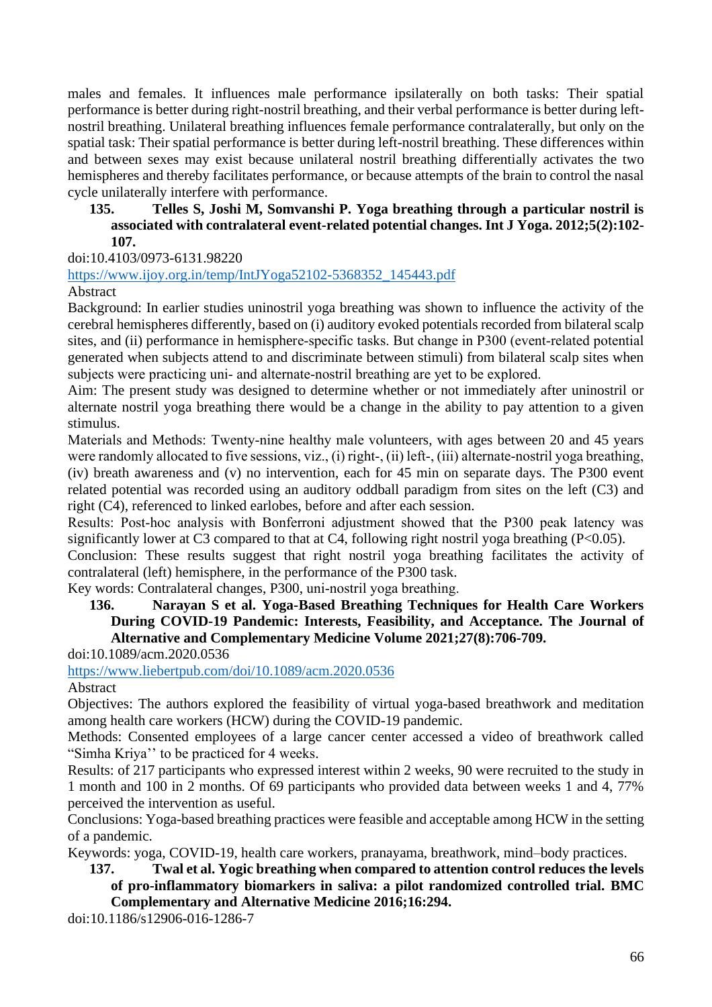males and females. It influences male performance ipsilaterally on both tasks: Their spatial performance is better during right-nostril breathing, and their verbal performance is better during leftnostril breathing. Unilateral breathing influences female performance contralaterally, but only on the spatial task: Their spatial performance is better during left-nostril breathing. These differences within and between sexes may exist because unilateral nostril breathing differentially activates the two hemispheres and thereby facilitates performance, or because attempts of the brain to control the nasal cycle unilaterally interfere with performance.

## **135. Telles S, Joshi M, Somvanshi P. Yoga breathing through a particular nostril is associated with contralateral event-related potential changes. Int J Yoga. 2012;5(2):102- 107.**

doi:10.4103/0973-6131.98220

[https://www.ijoy.org.in/temp/IntJYoga52102-5368352\\_145443.pdf](https://www.ijoy.org.in/temp/IntJYoga52102-5368352_145443.pdf)

Abstract

Background: In earlier studies uninostril yoga breathing was shown to influence the activity of the cerebral hemispheres differently, based on (i) auditory evoked potentials recorded from bilateral scalp sites, and (ii) performance in hemisphere-specific tasks. But change in P300 (event-related potential generated when subjects attend to and discriminate between stimuli) from bilateral scalp sites when subjects were practicing uni‐ and alternate‐nostril breathing are yet to be explored.

Aim: The present study was designed to determine whether or not immediately after uninostril or alternate nostril yoga breathing there would be a change in the ability to pay attention to a given stimulus.

Materials and Methods: Twenty‐nine healthy male volunteers, with ages between 20 and 45 years were randomly allocated to five sessions, viz., (i) right-, (ii) left-, (iii) alternate-nostril yoga breathing, (iv) breath awareness and (v) no intervention, each for 45 min on separate days. The P300 event related potential was recorded using an auditory oddball paradigm from sites on the left (C3) and right (C4), referenced to linked earlobes, before and after each session.

Results: Post-hoc analysis with Bonferroni adjustment showed that the P300 peak latency was significantly lower at C3 compared to that at C4, following right nostril yoga breathing (P<0.05).

Conclusion: These results suggest that right nostril yoga breathing facilitates the activity of contralateral (left) hemisphere, in the performance of the P300 task.

Key words: Contralateral changes, P300, uni‐nostril yoga breathing.

#### **136. Narayan S et al. Yoga-Based Breathing Techniques for Health Care Workers During COVID-19 Pandemic: Interests, Feasibility, and Acceptance. The Journal of Alternative and Complementary Medicine Volume 2021;27(8):706-709.**

doi:10.1089/acm.2020.0536

<https://www.liebertpub.com/doi/10.1089/acm.2020.0536>

## Abstract

Objectives: The authors explored the feasibility of virtual yoga-based breathwork and meditation among health care workers (HCW) during the COVID-19 pandemic.

Methods: Consented employees of a large cancer center accessed a video of breathwork called "Simha Kriya'' to be practiced for 4 weeks.

Results: of 217 participants who expressed interest within 2 weeks, 90 were recruited to the study in 1 month and 100 in 2 months. Of 69 participants who provided data between weeks 1 and 4, 77% perceived the intervention as useful.

Conclusions: Yoga-based breathing practices were feasible and acceptable among HCW in the setting of a pandemic.

Keywords: yoga, COVID-19, health care workers, pranayama, breathwork, mind–body practices.

**137. Twal et al. Yogic breathing when compared to attention control reduces the levels of pro-inflammatory biomarkers in saliva: a pilot randomized controlled trial. BMC Complementary and Alternative Medicine 2016;16:294.**

doi:10.1186/s12906-016-1286-7